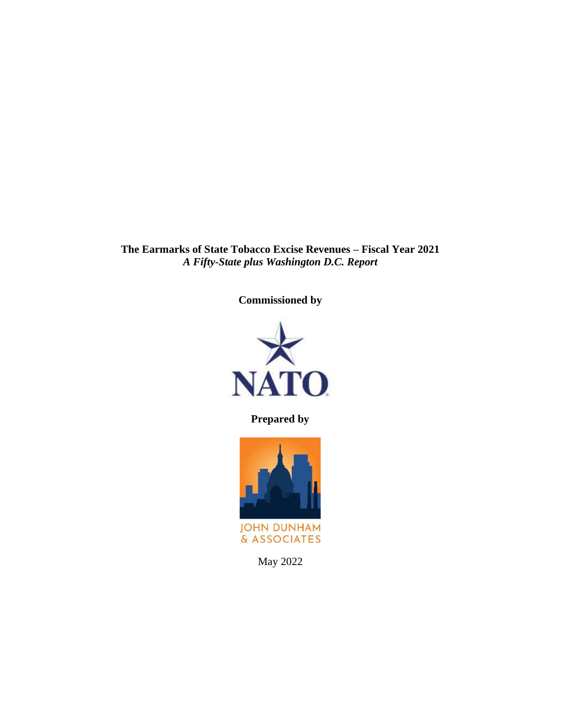**The Earmarks of State Tobacco Excise Revenues – Fiscal Year 2021** *A Fifty-State plus Washington D.C. Report*

**Commissioned by**



**Prepared by**



May 2022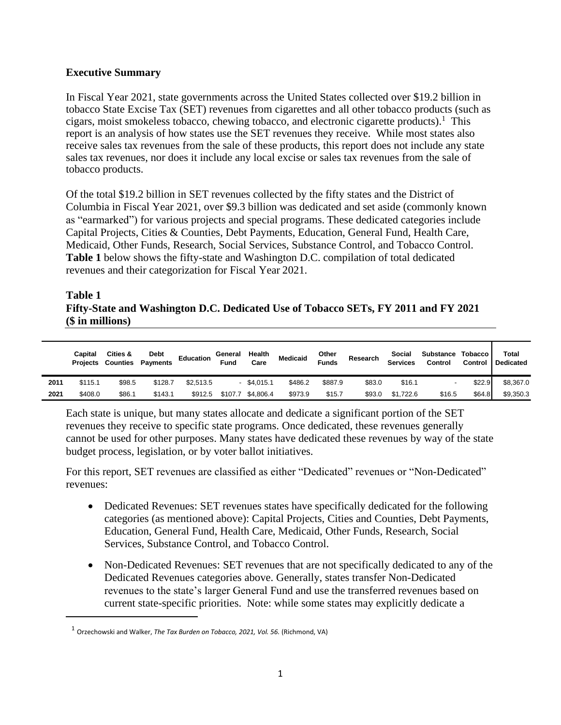### **Executive Summary**

In Fiscal Year 2021, state governments across the United States collected over \$19.2 billion in tobacco State Excise Tax (SET) revenues from cigarettes and all other tobacco products (such as cigars, moist smokeless tobacco, chewing tobacco, and electronic cigarette products). 1 This report is an analysis of how states use the SET revenues they receive. While most states also receive sales tax revenues from the sale of these products, this report does not include any state sales tax revenues, nor does it include any local excise or sales tax revenues from the sale of tobacco products.

Of the total \$19.2 billion in SET revenues collected by the fifty states and the District of Columbia in Fiscal Year 2021, over \$9.3 billion was dedicated and set aside (commonly known as "earmarked") for various projects and special programs. These dedicated categories include Capital Projects, Cities & Counties, Debt Payments, Education, General Fund, Health Care, Medicaid, Other Funds, Research, Social Services, Substance Control, and Tobacco Control. **Table 1** below shows the fifty-state and Washington D.C. compilation of total dedicated revenues and their categorization for Fiscal Year 2021.

### **Table 1 Fifty-State and Washington D.C. Dedicated Use of Tobacco SETs, FY 2011 and FY 2021 (\$ in millions)**

|      | Capital | Cities &<br><b>Projects Counties</b> | <b>Debt</b><br><b>Payments</b> | <b>Education</b> | General<br>Fund | Health<br>Care    | <b>Medicaid</b> | Other<br><b>Funds</b> | Research | Social<br><b>Services</b> | Substance Tobacco<br>Control | Control | Total<br><b>Dedicated</b> |
|------|---------|--------------------------------------|--------------------------------|------------------|-----------------|-------------------|-----------------|-----------------------|----------|---------------------------|------------------------------|---------|---------------------------|
| 2011 | \$115.1 | \$98.5                               | \$128.7                        | \$2.513.5        |                 | $-$ \$4.015.1     | \$486.2         | \$887.9               | \$83.0   | \$16.1                    |                              | \$22.9  | \$8,367.0                 |
| 2021 | \$408.0 | \$86.1                               | \$143.1                        | \$912.5          |                 | \$107.7 \$4,806.4 | \$973.9         | \$15.7                | \$93.0   | \$1.722.6                 | \$16.5                       | \$64.8  | \$9,350.3                 |

Each state is unique, but many states allocate and dedicate a significant portion of the SET revenues they receive to specific state programs. Once dedicated, these revenues generally cannot be used for other purposes. Many states have dedicated these revenues by way of the state budget process, legislation, or by voter ballot initiatives.

For this report, SET revenues are classified as either "Dedicated" revenues or "Non-Dedicated" revenues:

- Dedicated Revenues: SET revenues states have specifically dedicated for the following categories (as mentioned above): Capital Projects, Cities and Counties, Debt Payments, Education, General Fund, Health Care, Medicaid, Other Funds, Research, Social Services, Substance Control, and Tobacco Control.
- Non-Dedicated Revenues: SET revenues that are not specifically dedicated to any of the Dedicated Revenues categories above. Generally, states transfer Non-Dedicated revenues to the state's larger General Fund and use the transferred revenues based on current state-specific priorities. Note: while some states may explicitly dedicate a

<sup>1</sup> Orzechowski and Walker, *The Tax Burden on Tobacco, 2021, Vol. 56.* (Richmond, VA)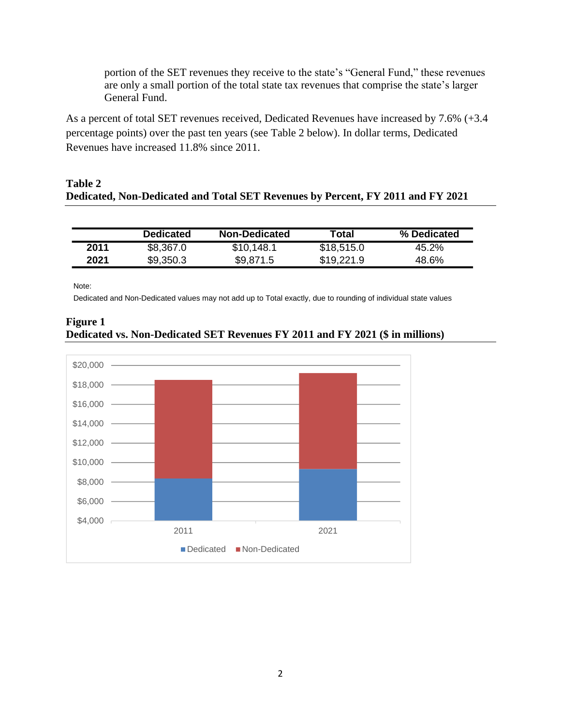portion of the SET revenues they receive to the state's "General Fund," these revenues are only a small portion of the total state tax revenues that comprise the state's larger General Fund.

As a percent of total SET revenues received, Dedicated Revenues have increased by 7.6% (+3.4 percentage points) over the past ten years (see Table 2 below). In dollar terms, Dedicated Revenues have increased 11.8% since 2011.

### **Table 2 Dedicated, Non-Dedicated and Total SET Revenues by Percent, FY 2011 and FY 2021**

|      | <b>Dedicated</b> | <b>Non-Dedicated</b> | Total      | % Dedicated |
|------|------------------|----------------------|------------|-------------|
| 2011 | \$8,367.0        | \$10,148.1           | \$18,515.0 | 45.2%       |
| 2021 | \$9,350.3        | \$9,871.5            | \$19,221.9 | 48.6%       |

Note:

Dedicated and Non-Dedicated values may not add up to Total exactly, due to rounding of individual state values

### **Figure 1 Dedicated vs. Non-Dedicated SET Revenues FY 2011 and FY 2021 (\$ in millions)**

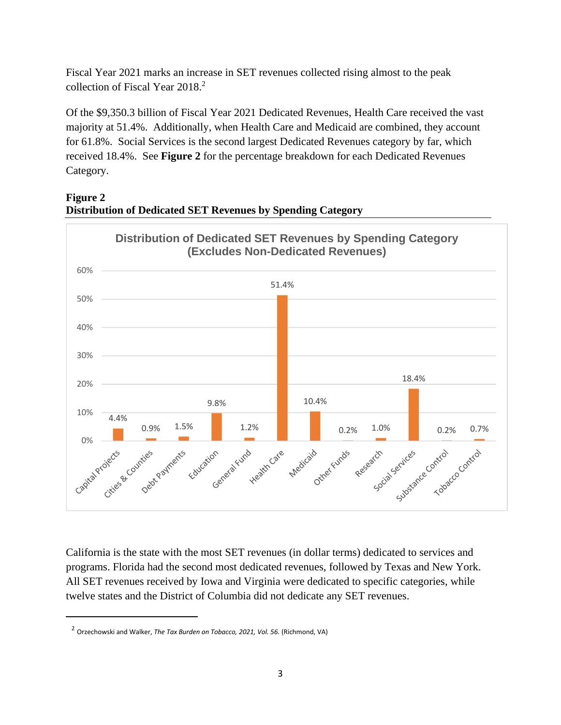Fiscal Year 2021 marks an increase in SET revenues collected rising almost to the peak collection of Fiscal Year 2018.<sup>2</sup>

Of the \$9,350.3 billion of Fiscal Year 2021 Dedicated Revenues, Health Care received the vast majority at 51.4%. Additionally, when Health Care and Medicaid are combined, they account for 61.8%. Social Services is the second largest Dedicated Revenues category by far, which received 18.4%. See **Figure 2** for the percentage breakdown for each Dedicated Revenues Category.





California is the state with the most SET revenues (in dollar terms) dedicated to services and programs. Florida had the second most dedicated revenues, followed by Texas and New York. All SET revenues received by Iowa and Virginia were dedicated to specific categories, while twelve states and the District of Columbia did not dedicate any SET revenues.

<sup>&</sup>lt;sup>2</sup> Orzechowski and Walker, *The Tax Burden on Tobacco, 2021, Vol. 56.* (Richmond, VA)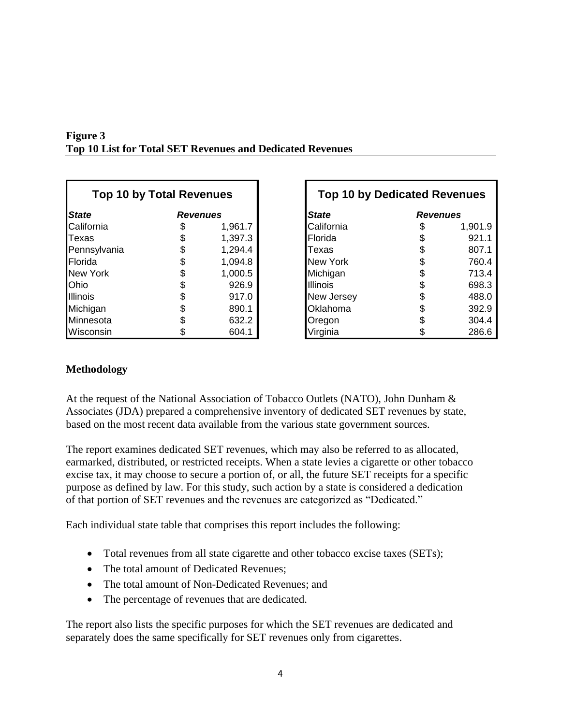| <b>Top 10 by Total Revenues</b> |                 |         |                 | <b>Top 10 by Dedicated Revenues</b> |         |  |  |
|---------------------------------|-----------------|---------|-----------------|-------------------------------------|---------|--|--|
| <b>State</b>                    | <b>Revenues</b> |         | <b>State</b>    | <b>Revenues</b>                     |         |  |  |
| California                      |                 | 1,961.7 | California      |                                     | 1,901.9 |  |  |
| Texas                           |                 | 1,397.3 | Florida         |                                     | 921.1   |  |  |
| Pennsylvania                    |                 | 1,294.4 | Texas           |                                     | 807.1   |  |  |
| Florida                         |                 | 1,094.8 | New York        |                                     | 760.4   |  |  |
| New York                        |                 | 1,000.5 | Michigan        |                                     | 713.4   |  |  |
| Ohio                            |                 | 926.9   | <b>Illinois</b> |                                     | 698.3   |  |  |
| <b>Illinois</b>                 |                 | 917.0   | New Jersey      |                                     | 488.0   |  |  |
| Michigan                        |                 | 890.1   | Oklahoma        |                                     | 392.9   |  |  |
| Minnesota                       |                 | 632.2   | Oregon          |                                     | 304.4   |  |  |
| Wisconsin                       |                 | 604.1   | Virginia        |                                     | 286.6   |  |  |

| <b>Figure 3</b>                                                  |  |  |
|------------------------------------------------------------------|--|--|
| <b>Top 10 List for Total SET Revenues and Dedicated Revenues</b> |  |  |

| <b>Top 10 by Total Revenues</b> |                 |         | <b>Top 10 by Dedicated Revenues</b> |                 |         |
|---------------------------------|-----------------|---------|-------------------------------------|-----------------|---------|
| <b>State</b>                    | <b>Revenues</b> |         | <b>State</b>                        | <b>Revenues</b> |         |
| California                      | S               | 1,961.7 | California                          | S               | 1,901.9 |
| Texas                           |                 | 1,397.3 | Florida                             |                 | 921.1   |
| Pennsylvania                    | \$              | 1,294.4 | Texas                               |                 | 807.1   |
| Florida                         |                 | 1,094.8 | <b>New York</b>                     |                 | 760.4   |
| New York                        |                 | 1,000.5 | Michigan                            |                 | 713.4   |
| Ohio                            |                 | 926.9   | <b>Illinois</b>                     |                 | 698.3   |
| Illinois                        |                 | 917.0   | New Jersey                          |                 | 488.0   |
| Michigan                        |                 | 890.1   | Oklahoma                            |                 | 392.9   |
| Minnesota                       |                 | 632.2   | Oregon                              |                 | 304.4   |
| Wisconsin                       |                 | 604.1   | Virginia                            |                 | 286.6   |

### **Methodology**

At the request of the National Association of Tobacco Outlets (NATO), John Dunham & Associates (JDA) prepared a comprehensive inventory of dedicated SET revenues by state, based on the most recent data available from the various state government sources.

The report examines dedicated SET revenues, which may also be referred to as allocated, earmarked, distributed, or restricted receipts. When a state levies a cigarette or other tobacco excise tax, it may choose to secure a portion of, or all, the future SET receipts for a specific purpose as defined by law. For this study, such action by a state is considered a dedication of that portion of SET revenues and the revenues are categorized as "Dedicated."

Each individual state table that comprises this report includes the following:

- Total revenues from all state cigarette and other tobacco excise taxes (SETs);
- The total amount of Dedicated Revenues;
- The total amount of Non-Dedicated Revenues; and
- The percentage of revenues that are dedicated.

The report also lists the specific purposes for which the SET revenues are dedicated and separately does the same specifically for SET revenues only from cigarettes.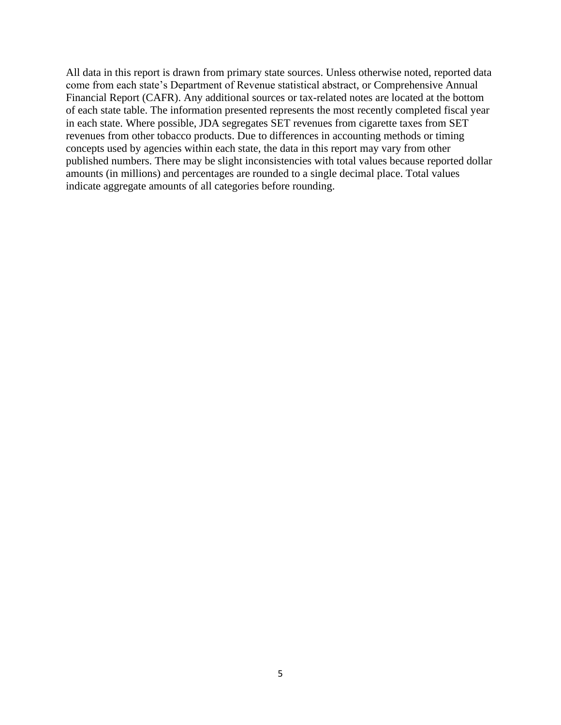All data in this report is drawn from primary state sources. Unless otherwise noted, reported data come from each state's Department of Revenue statistical abstract, or Comprehensive Annual Financial Report (CAFR). Any additional sources or tax-related notes are located at the bottom of each state table. The information presented represents the most recently completed fiscal year in each state. Where possible, JDA segregates SET revenues from cigarette taxes from SET revenues from other tobacco products. Due to differences in accounting methods or timing concepts used by agencies within each state, the data in this report may vary from other published numbers. There may be slight inconsistencies with total values because reported dollar amounts (in millions) and percentages are rounded to a single decimal place. Total values indicate aggregate amounts of all categories before rounding.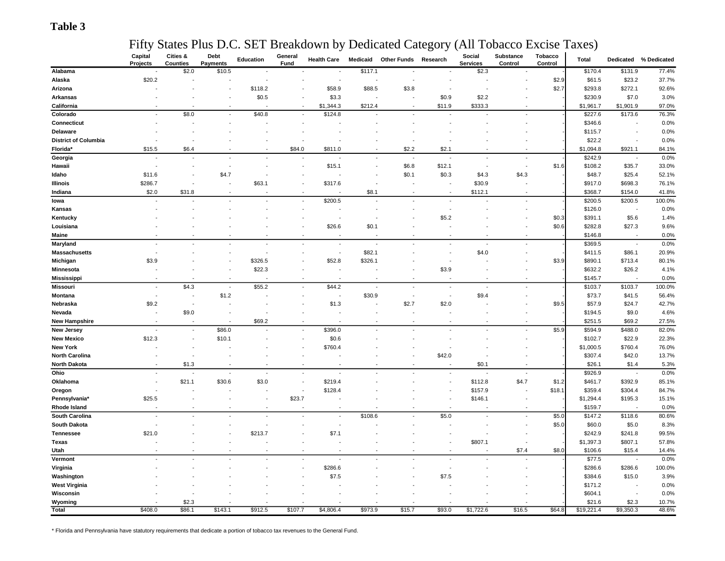### **Table 3**

### Fifty States Plus D.C. SET Breakdown by Dedicated Category (All Tobacco Excise Taxes)

| \$117.1<br>\$131.9<br>77.4%<br>\$2.0<br>\$10.5<br>\$2.3<br>\$170.4<br>Alabama<br>\$20.2<br>\$2.9<br>\$61.5<br>\$23.2<br>37.7%<br>Alaska<br>$\overline{\phantom{a}}$<br>\$58.9<br>\$88.5<br>\$2.7<br>\$293.8<br>\$272.1<br>92.6%<br>\$118.2<br>\$3.8<br>Arizona<br>\$0.5<br>\$3.3<br>3.0%<br>\$0.9<br>\$2.2<br>\$230.9<br>\$7.0<br>Arkansas<br>\$212.4<br>\$11.9<br>\$333.3<br>\$1,901.9<br>97.0%<br>California<br>\$1,344.3<br>\$1,961.7<br>$\overline{\phantom{a}}$<br>\$8.0<br>\$40.8<br>\$124.8<br>76.3%<br>Colorado<br>\$227.6<br>\$173.6<br>$\overline{\phantom{a}}$<br>Connecticut<br>0.0%<br>\$346.6<br>0.0%<br>Delaware<br>\$115.7<br>\$22.2<br>0.0%<br><b>District of Columbia</b><br>Florida*<br>\$6.4<br>\$84.0<br>\$811.0<br>\$2.2<br>\$2.1<br>\$1,094.8<br>84.1%<br>\$15.5<br>\$921.1<br>0.0%<br>Georgia<br>\$242.9<br>$\overline{a}$<br>$\overline{\phantom{a}}$<br>$\overline{\phantom{a}}$<br>÷<br>\$15.1<br>\$6.8<br>\$12.1<br>\$1.6<br>\$35.7<br>33.0%<br>Hawaii<br>\$108.2<br>\$11.6<br>\$4.7<br>\$0.1<br>\$0.3<br>\$4.3<br>\$4.3<br>\$48.7<br>\$25.4<br>52.1%<br>Idaho<br>\$30.9<br>76.1%<br>Illinois<br>\$286.7<br>\$63.1<br>\$317.6<br>\$917.0<br>\$698.3<br>\$2.0<br>\$31.8<br>\$8.1<br>\$112.1<br>\$368.7<br>41.8%<br>Indiana<br>\$154.0<br>$\overline{\phantom{a}}$<br>\$200.5<br>100.0%<br>\$200.5<br>\$200.5<br>lowa<br>$\overline{\phantom{a}}$<br>0.0%<br>\$126.0<br>Kansas<br>\$5.2<br>\$0.3<br>\$391.1<br>\$5.6<br>1.4%<br>Kentucky<br>\$26.6<br>\$0.1<br>\$0.6<br>\$282.8<br>9.6%<br>Louisiana<br>\$27.3<br>0.0%<br>Maine<br>\$146.8<br>$\overline{\phantom{a}}$<br>0.0%<br>\$369.5<br>Maryland<br>$\overline{\phantom{a}}$<br>$\overline{\phantom{a}}$<br>$\overline{\phantom{a}}$<br>\$82.1<br>\$4.0<br>\$86.1<br>20.9%<br><b>Massachusetts</b><br>\$411.5<br>$\overline{\phantom{a}}$<br>\$3.9<br>\$326.5<br>\$52.8<br>\$326.1<br>\$3.9<br>\$890.1<br>\$713.4<br>80.1%<br>Michigan<br>\$22.3<br>\$3.9<br>\$632.2<br>\$26.2<br>4.1%<br>Minnesota<br>$\overline{a}$<br>0.0%<br><b>Mississippi</b><br>\$145.7<br>\$4.3<br>\$55.2<br>\$44.2<br>Missouri<br>\$103.7<br>100.0%<br>\$103.7<br>\$1.2<br>\$30.9<br>56.4%<br>Montana<br>\$9.4<br>\$73.7<br>\$41.5<br>$\overline{\phantom{a}}$<br>$\overline{\phantom{a}}$<br>$\overline{\phantom{a}}$<br>$\overline{\phantom{a}}$<br>\$9.2<br>\$1.3<br>\$2.7<br>\$2.0<br>42.7%<br>Nebraska<br>\$9.5<br>\$57.9<br>\$24.7<br>4.6%<br>\$9.0<br>\$194.5<br>\$9.0<br>Nevada<br>27.5%<br><b>New Hampshire</b><br>\$69.2<br>\$251.5<br>\$69.2<br>\$86.0<br>\$396.0<br>\$5.9<br>\$594.9<br>\$488.0<br>82.0%<br><b>New Jersey</b><br>$\overline{\phantom{a}}$<br>\$12.3<br>\$0.6<br>\$22.9<br>22.3%<br><b>New Mexico</b><br>\$10.1<br>\$102.7<br>76.0%<br><b>New York</b><br>\$760.4<br>\$1,000.5<br>\$760.4<br>13.7%<br><b>North Carolina</b><br>\$42.0<br>\$307.4<br>\$42.0<br>North Dakota<br>\$1.3<br>5.3%<br>\$0.1<br>\$26.1<br>\$1.4<br>Ohio<br>0.0%<br>\$926.9<br>$\overline{\phantom{a}}$<br>$\overline{\phantom{a}}$<br>\$21.1<br>85.1%<br>Oklahoma<br>\$30.6<br>\$3.0<br>\$219.4<br>\$112.8<br>\$4.7<br>\$1.2<br>\$461.7<br>\$392.9<br>\$128.4<br>\$157.9<br>\$18.1<br>84.7%<br>\$359.4<br>\$304.4<br>Oregon<br>Pennsylvania*<br>\$25.5<br>\$23.7<br>\$146.1<br>\$1,294.4<br>\$195.3<br>15.1%<br>Rhode Island<br>0.0%<br>\$159.7<br>South Carolina<br>\$108.6<br>\$5.0<br>\$5.0<br>\$147.2<br>\$118.6<br>80.6%<br>٠<br>$\overline{\phantom{a}}$<br>\$5.0<br>8.3%<br><b>South Dakota</b><br>\$60.0<br>\$5.0<br>\$21.0<br>\$7.1<br>99.5%<br><b>Tennessee</b><br>\$213.7<br>\$242.9<br>\$241.8<br>57.8%<br>\$807.1<br>\$1,397.3<br>\$807.1<br>Texas<br>\$7.4<br>\$8.0<br>Utah<br>\$106.6<br>\$15.4<br>14.4%<br>0.0%<br>Vermont<br>\$77.5<br>$\overline{a}$<br>$\overline{\phantom{a}}$<br>\$286.6<br>\$286.6<br>100.0%<br>Virginia<br>\$286.6<br>\$7.5<br>\$7.5<br>\$384.6<br>3.9%<br>Washington<br>\$15.0<br><b>West Virginia</b><br>\$171.2<br>0.0%<br>0.0%<br>Wisconsin<br>\$604.1<br>$\overline{\phantom{a}}$ |         | Capital  | Cities & | Debt     | Education | General | <b>Health Care</b> | Medicaid | <b>Other Funds</b> | Research | Social          | Substance | Tobacco | <b>Total</b> | Dedicated | % Dedicated |
|------------------------------------------------------------------------------------------------------------------------------------------------------------------------------------------------------------------------------------------------------------------------------------------------------------------------------------------------------------------------------------------------------------------------------------------------------------------------------------------------------------------------------------------------------------------------------------------------------------------------------------------------------------------------------------------------------------------------------------------------------------------------------------------------------------------------------------------------------------------------------------------------------------------------------------------------------------------------------------------------------------------------------------------------------------------------------------------------------------------------------------------------------------------------------------------------------------------------------------------------------------------------------------------------------------------------------------------------------------------------------------------------------------------------------------------------------------------------------------------------------------------------------------------------------------------------------------------------------------------------------------------------------------------------------------------------------------------------------------------------------------------------------------------------------------------------------------------------------------------------------------------------------------------------------------------------------------------------------------------------------------------------------------------------------------------------------------------------------------------------------------------------------------------------------------------------------------------------------------------------------------------------------------------------------------------------------------------------------------------------------------------------------------------------------------------------------------------------------------------------------------------------------------------------------------------------------------------------------------------------------------------------------------------------------------------------------------------------------------------------------------------------------------------------------------------------------------------------------------------------------------------------------------------------------------------------------------------------------------------------------------------------------------------------------------------------------------------------------------------------------------------------------------------------------------------------------------------------------------------------------------------------------------------------------------------------------------------------------------------------------------------------------------------------------------------------------------------------------------------------------------------------------------------------------------------------------------------------------------------------------------------------------------------------------------------------------------------------------------------------------------------------------------------------------------------------------------------------------------------------------------------------------------------------------------------------------------------------------------------|---------|----------|----------|----------|-----------|---------|--------------------|----------|--------------------|----------|-----------------|-----------|---------|--------------|-----------|-------------|
|                                                                                                                                                                                                                                                                                                                                                                                                                                                                                                                                                                                                                                                                                                                                                                                                                                                                                                                                                                                                                                                                                                                                                                                                                                                                                                                                                                                                                                                                                                                                                                                                                                                                                                                                                                                                                                                                                                                                                                                                                                                                                                                                                                                                                                                                                                                                                                                                                                                                                                                                                                                                                                                                                                                                                                                                                                                                                                                                                                                                                                                                                                                                                                                                                                                                                                                                                                                                                                                                                                                                                                                                                                                                                                                                                                                                                                                                                                                                                                                          |         | Projects | Counties | Payments |           | Fund    |                    |          |                    |          | <b>Services</b> | Control   | Control |              |           |             |
|                                                                                                                                                                                                                                                                                                                                                                                                                                                                                                                                                                                                                                                                                                                                                                                                                                                                                                                                                                                                                                                                                                                                                                                                                                                                                                                                                                                                                                                                                                                                                                                                                                                                                                                                                                                                                                                                                                                                                                                                                                                                                                                                                                                                                                                                                                                                                                                                                                                                                                                                                                                                                                                                                                                                                                                                                                                                                                                                                                                                                                                                                                                                                                                                                                                                                                                                                                                                                                                                                                                                                                                                                                                                                                                                                                                                                                                                                                                                                                                          |         |          |          |          |           |         |                    |          |                    |          |                 |           |         |              |           |             |
|                                                                                                                                                                                                                                                                                                                                                                                                                                                                                                                                                                                                                                                                                                                                                                                                                                                                                                                                                                                                                                                                                                                                                                                                                                                                                                                                                                                                                                                                                                                                                                                                                                                                                                                                                                                                                                                                                                                                                                                                                                                                                                                                                                                                                                                                                                                                                                                                                                                                                                                                                                                                                                                                                                                                                                                                                                                                                                                                                                                                                                                                                                                                                                                                                                                                                                                                                                                                                                                                                                                                                                                                                                                                                                                                                                                                                                                                                                                                                                                          |         |          |          |          |           |         |                    |          |                    |          |                 |           |         |              |           |             |
|                                                                                                                                                                                                                                                                                                                                                                                                                                                                                                                                                                                                                                                                                                                                                                                                                                                                                                                                                                                                                                                                                                                                                                                                                                                                                                                                                                                                                                                                                                                                                                                                                                                                                                                                                                                                                                                                                                                                                                                                                                                                                                                                                                                                                                                                                                                                                                                                                                                                                                                                                                                                                                                                                                                                                                                                                                                                                                                                                                                                                                                                                                                                                                                                                                                                                                                                                                                                                                                                                                                                                                                                                                                                                                                                                                                                                                                                                                                                                                                          |         |          |          |          |           |         |                    |          |                    |          |                 |           |         |              |           |             |
|                                                                                                                                                                                                                                                                                                                                                                                                                                                                                                                                                                                                                                                                                                                                                                                                                                                                                                                                                                                                                                                                                                                                                                                                                                                                                                                                                                                                                                                                                                                                                                                                                                                                                                                                                                                                                                                                                                                                                                                                                                                                                                                                                                                                                                                                                                                                                                                                                                                                                                                                                                                                                                                                                                                                                                                                                                                                                                                                                                                                                                                                                                                                                                                                                                                                                                                                                                                                                                                                                                                                                                                                                                                                                                                                                                                                                                                                                                                                                                                          |         |          |          |          |           |         |                    |          |                    |          |                 |           |         |              |           |             |
|                                                                                                                                                                                                                                                                                                                                                                                                                                                                                                                                                                                                                                                                                                                                                                                                                                                                                                                                                                                                                                                                                                                                                                                                                                                                                                                                                                                                                                                                                                                                                                                                                                                                                                                                                                                                                                                                                                                                                                                                                                                                                                                                                                                                                                                                                                                                                                                                                                                                                                                                                                                                                                                                                                                                                                                                                                                                                                                                                                                                                                                                                                                                                                                                                                                                                                                                                                                                                                                                                                                                                                                                                                                                                                                                                                                                                                                                                                                                                                                          |         |          |          |          |           |         |                    |          |                    |          |                 |           |         |              |           |             |
|                                                                                                                                                                                                                                                                                                                                                                                                                                                                                                                                                                                                                                                                                                                                                                                                                                                                                                                                                                                                                                                                                                                                                                                                                                                                                                                                                                                                                                                                                                                                                                                                                                                                                                                                                                                                                                                                                                                                                                                                                                                                                                                                                                                                                                                                                                                                                                                                                                                                                                                                                                                                                                                                                                                                                                                                                                                                                                                                                                                                                                                                                                                                                                                                                                                                                                                                                                                                                                                                                                                                                                                                                                                                                                                                                                                                                                                                                                                                                                                          |         |          |          |          |           |         |                    |          |                    |          |                 |           |         |              |           |             |
|                                                                                                                                                                                                                                                                                                                                                                                                                                                                                                                                                                                                                                                                                                                                                                                                                                                                                                                                                                                                                                                                                                                                                                                                                                                                                                                                                                                                                                                                                                                                                                                                                                                                                                                                                                                                                                                                                                                                                                                                                                                                                                                                                                                                                                                                                                                                                                                                                                                                                                                                                                                                                                                                                                                                                                                                                                                                                                                                                                                                                                                                                                                                                                                                                                                                                                                                                                                                                                                                                                                                                                                                                                                                                                                                                                                                                                                                                                                                                                                          |         |          |          |          |           |         |                    |          |                    |          |                 |           |         |              |           |             |
|                                                                                                                                                                                                                                                                                                                                                                                                                                                                                                                                                                                                                                                                                                                                                                                                                                                                                                                                                                                                                                                                                                                                                                                                                                                                                                                                                                                                                                                                                                                                                                                                                                                                                                                                                                                                                                                                                                                                                                                                                                                                                                                                                                                                                                                                                                                                                                                                                                                                                                                                                                                                                                                                                                                                                                                                                                                                                                                                                                                                                                                                                                                                                                                                                                                                                                                                                                                                                                                                                                                                                                                                                                                                                                                                                                                                                                                                                                                                                                                          |         |          |          |          |           |         |                    |          |                    |          |                 |           |         |              |           |             |
|                                                                                                                                                                                                                                                                                                                                                                                                                                                                                                                                                                                                                                                                                                                                                                                                                                                                                                                                                                                                                                                                                                                                                                                                                                                                                                                                                                                                                                                                                                                                                                                                                                                                                                                                                                                                                                                                                                                                                                                                                                                                                                                                                                                                                                                                                                                                                                                                                                                                                                                                                                                                                                                                                                                                                                                                                                                                                                                                                                                                                                                                                                                                                                                                                                                                                                                                                                                                                                                                                                                                                                                                                                                                                                                                                                                                                                                                                                                                                                                          |         |          |          |          |           |         |                    |          |                    |          |                 |           |         |              |           |             |
|                                                                                                                                                                                                                                                                                                                                                                                                                                                                                                                                                                                                                                                                                                                                                                                                                                                                                                                                                                                                                                                                                                                                                                                                                                                                                                                                                                                                                                                                                                                                                                                                                                                                                                                                                                                                                                                                                                                                                                                                                                                                                                                                                                                                                                                                                                                                                                                                                                                                                                                                                                                                                                                                                                                                                                                                                                                                                                                                                                                                                                                                                                                                                                                                                                                                                                                                                                                                                                                                                                                                                                                                                                                                                                                                                                                                                                                                                                                                                                                          |         |          |          |          |           |         |                    |          |                    |          |                 |           |         |              |           |             |
|                                                                                                                                                                                                                                                                                                                                                                                                                                                                                                                                                                                                                                                                                                                                                                                                                                                                                                                                                                                                                                                                                                                                                                                                                                                                                                                                                                                                                                                                                                                                                                                                                                                                                                                                                                                                                                                                                                                                                                                                                                                                                                                                                                                                                                                                                                                                                                                                                                                                                                                                                                                                                                                                                                                                                                                                                                                                                                                                                                                                                                                                                                                                                                                                                                                                                                                                                                                                                                                                                                                                                                                                                                                                                                                                                                                                                                                                                                                                                                                          |         |          |          |          |           |         |                    |          |                    |          |                 |           |         |              |           |             |
|                                                                                                                                                                                                                                                                                                                                                                                                                                                                                                                                                                                                                                                                                                                                                                                                                                                                                                                                                                                                                                                                                                                                                                                                                                                                                                                                                                                                                                                                                                                                                                                                                                                                                                                                                                                                                                                                                                                                                                                                                                                                                                                                                                                                                                                                                                                                                                                                                                                                                                                                                                                                                                                                                                                                                                                                                                                                                                                                                                                                                                                                                                                                                                                                                                                                                                                                                                                                                                                                                                                                                                                                                                                                                                                                                                                                                                                                                                                                                                                          |         |          |          |          |           |         |                    |          |                    |          |                 |           |         |              |           |             |
|                                                                                                                                                                                                                                                                                                                                                                                                                                                                                                                                                                                                                                                                                                                                                                                                                                                                                                                                                                                                                                                                                                                                                                                                                                                                                                                                                                                                                                                                                                                                                                                                                                                                                                                                                                                                                                                                                                                                                                                                                                                                                                                                                                                                                                                                                                                                                                                                                                                                                                                                                                                                                                                                                                                                                                                                                                                                                                                                                                                                                                                                                                                                                                                                                                                                                                                                                                                                                                                                                                                                                                                                                                                                                                                                                                                                                                                                                                                                                                                          |         |          |          |          |           |         |                    |          |                    |          |                 |           |         |              |           |             |
|                                                                                                                                                                                                                                                                                                                                                                                                                                                                                                                                                                                                                                                                                                                                                                                                                                                                                                                                                                                                                                                                                                                                                                                                                                                                                                                                                                                                                                                                                                                                                                                                                                                                                                                                                                                                                                                                                                                                                                                                                                                                                                                                                                                                                                                                                                                                                                                                                                                                                                                                                                                                                                                                                                                                                                                                                                                                                                                                                                                                                                                                                                                                                                                                                                                                                                                                                                                                                                                                                                                                                                                                                                                                                                                                                                                                                                                                                                                                                                                          |         |          |          |          |           |         |                    |          |                    |          |                 |           |         |              |           |             |
|                                                                                                                                                                                                                                                                                                                                                                                                                                                                                                                                                                                                                                                                                                                                                                                                                                                                                                                                                                                                                                                                                                                                                                                                                                                                                                                                                                                                                                                                                                                                                                                                                                                                                                                                                                                                                                                                                                                                                                                                                                                                                                                                                                                                                                                                                                                                                                                                                                                                                                                                                                                                                                                                                                                                                                                                                                                                                                                                                                                                                                                                                                                                                                                                                                                                                                                                                                                                                                                                                                                                                                                                                                                                                                                                                                                                                                                                                                                                                                                          |         |          |          |          |           |         |                    |          |                    |          |                 |           |         |              |           |             |
|                                                                                                                                                                                                                                                                                                                                                                                                                                                                                                                                                                                                                                                                                                                                                                                                                                                                                                                                                                                                                                                                                                                                                                                                                                                                                                                                                                                                                                                                                                                                                                                                                                                                                                                                                                                                                                                                                                                                                                                                                                                                                                                                                                                                                                                                                                                                                                                                                                                                                                                                                                                                                                                                                                                                                                                                                                                                                                                                                                                                                                                                                                                                                                                                                                                                                                                                                                                                                                                                                                                                                                                                                                                                                                                                                                                                                                                                                                                                                                                          |         |          |          |          |           |         |                    |          |                    |          |                 |           |         |              |           |             |
|                                                                                                                                                                                                                                                                                                                                                                                                                                                                                                                                                                                                                                                                                                                                                                                                                                                                                                                                                                                                                                                                                                                                                                                                                                                                                                                                                                                                                                                                                                                                                                                                                                                                                                                                                                                                                                                                                                                                                                                                                                                                                                                                                                                                                                                                                                                                                                                                                                                                                                                                                                                                                                                                                                                                                                                                                                                                                                                                                                                                                                                                                                                                                                                                                                                                                                                                                                                                                                                                                                                                                                                                                                                                                                                                                                                                                                                                                                                                                                                          |         |          |          |          |           |         |                    |          |                    |          |                 |           |         |              |           |             |
|                                                                                                                                                                                                                                                                                                                                                                                                                                                                                                                                                                                                                                                                                                                                                                                                                                                                                                                                                                                                                                                                                                                                                                                                                                                                                                                                                                                                                                                                                                                                                                                                                                                                                                                                                                                                                                                                                                                                                                                                                                                                                                                                                                                                                                                                                                                                                                                                                                                                                                                                                                                                                                                                                                                                                                                                                                                                                                                                                                                                                                                                                                                                                                                                                                                                                                                                                                                                                                                                                                                                                                                                                                                                                                                                                                                                                                                                                                                                                                                          |         |          |          |          |           |         |                    |          |                    |          |                 |           |         |              |           |             |
|                                                                                                                                                                                                                                                                                                                                                                                                                                                                                                                                                                                                                                                                                                                                                                                                                                                                                                                                                                                                                                                                                                                                                                                                                                                                                                                                                                                                                                                                                                                                                                                                                                                                                                                                                                                                                                                                                                                                                                                                                                                                                                                                                                                                                                                                                                                                                                                                                                                                                                                                                                                                                                                                                                                                                                                                                                                                                                                                                                                                                                                                                                                                                                                                                                                                                                                                                                                                                                                                                                                                                                                                                                                                                                                                                                                                                                                                                                                                                                                          |         |          |          |          |           |         |                    |          |                    |          |                 |           |         |              |           |             |
|                                                                                                                                                                                                                                                                                                                                                                                                                                                                                                                                                                                                                                                                                                                                                                                                                                                                                                                                                                                                                                                                                                                                                                                                                                                                                                                                                                                                                                                                                                                                                                                                                                                                                                                                                                                                                                                                                                                                                                                                                                                                                                                                                                                                                                                                                                                                                                                                                                                                                                                                                                                                                                                                                                                                                                                                                                                                                                                                                                                                                                                                                                                                                                                                                                                                                                                                                                                                                                                                                                                                                                                                                                                                                                                                                                                                                                                                                                                                                                                          |         |          |          |          |           |         |                    |          |                    |          |                 |           |         |              |           |             |
|                                                                                                                                                                                                                                                                                                                                                                                                                                                                                                                                                                                                                                                                                                                                                                                                                                                                                                                                                                                                                                                                                                                                                                                                                                                                                                                                                                                                                                                                                                                                                                                                                                                                                                                                                                                                                                                                                                                                                                                                                                                                                                                                                                                                                                                                                                                                                                                                                                                                                                                                                                                                                                                                                                                                                                                                                                                                                                                                                                                                                                                                                                                                                                                                                                                                                                                                                                                                                                                                                                                                                                                                                                                                                                                                                                                                                                                                                                                                                                                          |         |          |          |          |           |         |                    |          |                    |          |                 |           |         |              |           |             |
|                                                                                                                                                                                                                                                                                                                                                                                                                                                                                                                                                                                                                                                                                                                                                                                                                                                                                                                                                                                                                                                                                                                                                                                                                                                                                                                                                                                                                                                                                                                                                                                                                                                                                                                                                                                                                                                                                                                                                                                                                                                                                                                                                                                                                                                                                                                                                                                                                                                                                                                                                                                                                                                                                                                                                                                                                                                                                                                                                                                                                                                                                                                                                                                                                                                                                                                                                                                                                                                                                                                                                                                                                                                                                                                                                                                                                                                                                                                                                                                          |         |          |          |          |           |         |                    |          |                    |          |                 |           |         |              |           |             |
|                                                                                                                                                                                                                                                                                                                                                                                                                                                                                                                                                                                                                                                                                                                                                                                                                                                                                                                                                                                                                                                                                                                                                                                                                                                                                                                                                                                                                                                                                                                                                                                                                                                                                                                                                                                                                                                                                                                                                                                                                                                                                                                                                                                                                                                                                                                                                                                                                                                                                                                                                                                                                                                                                                                                                                                                                                                                                                                                                                                                                                                                                                                                                                                                                                                                                                                                                                                                                                                                                                                                                                                                                                                                                                                                                                                                                                                                                                                                                                                          |         |          |          |          |           |         |                    |          |                    |          |                 |           |         |              |           |             |
|                                                                                                                                                                                                                                                                                                                                                                                                                                                                                                                                                                                                                                                                                                                                                                                                                                                                                                                                                                                                                                                                                                                                                                                                                                                                                                                                                                                                                                                                                                                                                                                                                                                                                                                                                                                                                                                                                                                                                                                                                                                                                                                                                                                                                                                                                                                                                                                                                                                                                                                                                                                                                                                                                                                                                                                                                                                                                                                                                                                                                                                                                                                                                                                                                                                                                                                                                                                                                                                                                                                                                                                                                                                                                                                                                                                                                                                                                                                                                                                          |         |          |          |          |           |         |                    |          |                    |          |                 |           |         |              |           |             |
|                                                                                                                                                                                                                                                                                                                                                                                                                                                                                                                                                                                                                                                                                                                                                                                                                                                                                                                                                                                                                                                                                                                                                                                                                                                                                                                                                                                                                                                                                                                                                                                                                                                                                                                                                                                                                                                                                                                                                                                                                                                                                                                                                                                                                                                                                                                                                                                                                                                                                                                                                                                                                                                                                                                                                                                                                                                                                                                                                                                                                                                                                                                                                                                                                                                                                                                                                                                                                                                                                                                                                                                                                                                                                                                                                                                                                                                                                                                                                                                          |         |          |          |          |           |         |                    |          |                    |          |                 |           |         |              |           |             |
|                                                                                                                                                                                                                                                                                                                                                                                                                                                                                                                                                                                                                                                                                                                                                                                                                                                                                                                                                                                                                                                                                                                                                                                                                                                                                                                                                                                                                                                                                                                                                                                                                                                                                                                                                                                                                                                                                                                                                                                                                                                                                                                                                                                                                                                                                                                                                                                                                                                                                                                                                                                                                                                                                                                                                                                                                                                                                                                                                                                                                                                                                                                                                                                                                                                                                                                                                                                                                                                                                                                                                                                                                                                                                                                                                                                                                                                                                                                                                                                          |         |          |          |          |           |         |                    |          |                    |          |                 |           |         |              |           |             |
|                                                                                                                                                                                                                                                                                                                                                                                                                                                                                                                                                                                                                                                                                                                                                                                                                                                                                                                                                                                                                                                                                                                                                                                                                                                                                                                                                                                                                                                                                                                                                                                                                                                                                                                                                                                                                                                                                                                                                                                                                                                                                                                                                                                                                                                                                                                                                                                                                                                                                                                                                                                                                                                                                                                                                                                                                                                                                                                                                                                                                                                                                                                                                                                                                                                                                                                                                                                                                                                                                                                                                                                                                                                                                                                                                                                                                                                                                                                                                                                          |         |          |          |          |           |         |                    |          |                    |          |                 |           |         |              |           |             |
|                                                                                                                                                                                                                                                                                                                                                                                                                                                                                                                                                                                                                                                                                                                                                                                                                                                                                                                                                                                                                                                                                                                                                                                                                                                                                                                                                                                                                                                                                                                                                                                                                                                                                                                                                                                                                                                                                                                                                                                                                                                                                                                                                                                                                                                                                                                                                                                                                                                                                                                                                                                                                                                                                                                                                                                                                                                                                                                                                                                                                                                                                                                                                                                                                                                                                                                                                                                                                                                                                                                                                                                                                                                                                                                                                                                                                                                                                                                                                                                          |         |          |          |          |           |         |                    |          |                    |          |                 |           |         |              |           |             |
|                                                                                                                                                                                                                                                                                                                                                                                                                                                                                                                                                                                                                                                                                                                                                                                                                                                                                                                                                                                                                                                                                                                                                                                                                                                                                                                                                                                                                                                                                                                                                                                                                                                                                                                                                                                                                                                                                                                                                                                                                                                                                                                                                                                                                                                                                                                                                                                                                                                                                                                                                                                                                                                                                                                                                                                                                                                                                                                                                                                                                                                                                                                                                                                                                                                                                                                                                                                                                                                                                                                                                                                                                                                                                                                                                                                                                                                                                                                                                                                          |         |          |          |          |           |         |                    |          |                    |          |                 |           |         |              |           |             |
|                                                                                                                                                                                                                                                                                                                                                                                                                                                                                                                                                                                                                                                                                                                                                                                                                                                                                                                                                                                                                                                                                                                                                                                                                                                                                                                                                                                                                                                                                                                                                                                                                                                                                                                                                                                                                                                                                                                                                                                                                                                                                                                                                                                                                                                                                                                                                                                                                                                                                                                                                                                                                                                                                                                                                                                                                                                                                                                                                                                                                                                                                                                                                                                                                                                                                                                                                                                                                                                                                                                                                                                                                                                                                                                                                                                                                                                                                                                                                                                          |         |          |          |          |           |         |                    |          |                    |          |                 |           |         |              |           |             |
|                                                                                                                                                                                                                                                                                                                                                                                                                                                                                                                                                                                                                                                                                                                                                                                                                                                                                                                                                                                                                                                                                                                                                                                                                                                                                                                                                                                                                                                                                                                                                                                                                                                                                                                                                                                                                                                                                                                                                                                                                                                                                                                                                                                                                                                                                                                                                                                                                                                                                                                                                                                                                                                                                                                                                                                                                                                                                                                                                                                                                                                                                                                                                                                                                                                                                                                                                                                                                                                                                                                                                                                                                                                                                                                                                                                                                                                                                                                                                                                          |         |          |          |          |           |         |                    |          |                    |          |                 |           |         |              |           |             |
|                                                                                                                                                                                                                                                                                                                                                                                                                                                                                                                                                                                                                                                                                                                                                                                                                                                                                                                                                                                                                                                                                                                                                                                                                                                                                                                                                                                                                                                                                                                                                                                                                                                                                                                                                                                                                                                                                                                                                                                                                                                                                                                                                                                                                                                                                                                                                                                                                                                                                                                                                                                                                                                                                                                                                                                                                                                                                                                                                                                                                                                                                                                                                                                                                                                                                                                                                                                                                                                                                                                                                                                                                                                                                                                                                                                                                                                                                                                                                                                          |         |          |          |          |           |         |                    |          |                    |          |                 |           |         |              |           |             |
|                                                                                                                                                                                                                                                                                                                                                                                                                                                                                                                                                                                                                                                                                                                                                                                                                                                                                                                                                                                                                                                                                                                                                                                                                                                                                                                                                                                                                                                                                                                                                                                                                                                                                                                                                                                                                                                                                                                                                                                                                                                                                                                                                                                                                                                                                                                                                                                                                                                                                                                                                                                                                                                                                                                                                                                                                                                                                                                                                                                                                                                                                                                                                                                                                                                                                                                                                                                                                                                                                                                                                                                                                                                                                                                                                                                                                                                                                                                                                                                          |         |          |          |          |           |         |                    |          |                    |          |                 |           |         |              |           |             |
|                                                                                                                                                                                                                                                                                                                                                                                                                                                                                                                                                                                                                                                                                                                                                                                                                                                                                                                                                                                                                                                                                                                                                                                                                                                                                                                                                                                                                                                                                                                                                                                                                                                                                                                                                                                                                                                                                                                                                                                                                                                                                                                                                                                                                                                                                                                                                                                                                                                                                                                                                                                                                                                                                                                                                                                                                                                                                                                                                                                                                                                                                                                                                                                                                                                                                                                                                                                                                                                                                                                                                                                                                                                                                                                                                                                                                                                                                                                                                                                          |         |          |          |          |           |         |                    |          |                    |          |                 |           |         |              |           |             |
|                                                                                                                                                                                                                                                                                                                                                                                                                                                                                                                                                                                                                                                                                                                                                                                                                                                                                                                                                                                                                                                                                                                                                                                                                                                                                                                                                                                                                                                                                                                                                                                                                                                                                                                                                                                                                                                                                                                                                                                                                                                                                                                                                                                                                                                                                                                                                                                                                                                                                                                                                                                                                                                                                                                                                                                                                                                                                                                                                                                                                                                                                                                                                                                                                                                                                                                                                                                                                                                                                                                                                                                                                                                                                                                                                                                                                                                                                                                                                                                          |         |          |          |          |           |         |                    |          |                    |          |                 |           |         |              |           |             |
|                                                                                                                                                                                                                                                                                                                                                                                                                                                                                                                                                                                                                                                                                                                                                                                                                                                                                                                                                                                                                                                                                                                                                                                                                                                                                                                                                                                                                                                                                                                                                                                                                                                                                                                                                                                                                                                                                                                                                                                                                                                                                                                                                                                                                                                                                                                                                                                                                                                                                                                                                                                                                                                                                                                                                                                                                                                                                                                                                                                                                                                                                                                                                                                                                                                                                                                                                                                                                                                                                                                                                                                                                                                                                                                                                                                                                                                                                                                                                                                          |         |          |          |          |           |         |                    |          |                    |          |                 |           |         |              |           |             |
|                                                                                                                                                                                                                                                                                                                                                                                                                                                                                                                                                                                                                                                                                                                                                                                                                                                                                                                                                                                                                                                                                                                                                                                                                                                                                                                                                                                                                                                                                                                                                                                                                                                                                                                                                                                                                                                                                                                                                                                                                                                                                                                                                                                                                                                                                                                                                                                                                                                                                                                                                                                                                                                                                                                                                                                                                                                                                                                                                                                                                                                                                                                                                                                                                                                                                                                                                                                                                                                                                                                                                                                                                                                                                                                                                                                                                                                                                                                                                                                          |         |          |          |          |           |         |                    |          |                    |          |                 |           |         |              |           |             |
|                                                                                                                                                                                                                                                                                                                                                                                                                                                                                                                                                                                                                                                                                                                                                                                                                                                                                                                                                                                                                                                                                                                                                                                                                                                                                                                                                                                                                                                                                                                                                                                                                                                                                                                                                                                                                                                                                                                                                                                                                                                                                                                                                                                                                                                                                                                                                                                                                                                                                                                                                                                                                                                                                                                                                                                                                                                                                                                                                                                                                                                                                                                                                                                                                                                                                                                                                                                                                                                                                                                                                                                                                                                                                                                                                                                                                                                                                                                                                                                          |         |          |          |          |           |         |                    |          |                    |          |                 |           |         |              |           |             |
|                                                                                                                                                                                                                                                                                                                                                                                                                                                                                                                                                                                                                                                                                                                                                                                                                                                                                                                                                                                                                                                                                                                                                                                                                                                                                                                                                                                                                                                                                                                                                                                                                                                                                                                                                                                                                                                                                                                                                                                                                                                                                                                                                                                                                                                                                                                                                                                                                                                                                                                                                                                                                                                                                                                                                                                                                                                                                                                                                                                                                                                                                                                                                                                                                                                                                                                                                                                                                                                                                                                                                                                                                                                                                                                                                                                                                                                                                                                                                                                          |         |          |          |          |           |         |                    |          |                    |          |                 |           |         |              |           |             |
|                                                                                                                                                                                                                                                                                                                                                                                                                                                                                                                                                                                                                                                                                                                                                                                                                                                                                                                                                                                                                                                                                                                                                                                                                                                                                                                                                                                                                                                                                                                                                                                                                                                                                                                                                                                                                                                                                                                                                                                                                                                                                                                                                                                                                                                                                                                                                                                                                                                                                                                                                                                                                                                                                                                                                                                                                                                                                                                                                                                                                                                                                                                                                                                                                                                                                                                                                                                                                                                                                                                                                                                                                                                                                                                                                                                                                                                                                                                                                                                          |         |          |          |          |           |         |                    |          |                    |          |                 |           |         |              |           |             |
|                                                                                                                                                                                                                                                                                                                                                                                                                                                                                                                                                                                                                                                                                                                                                                                                                                                                                                                                                                                                                                                                                                                                                                                                                                                                                                                                                                                                                                                                                                                                                                                                                                                                                                                                                                                                                                                                                                                                                                                                                                                                                                                                                                                                                                                                                                                                                                                                                                                                                                                                                                                                                                                                                                                                                                                                                                                                                                                                                                                                                                                                                                                                                                                                                                                                                                                                                                                                                                                                                                                                                                                                                                                                                                                                                                                                                                                                                                                                                                                          |         |          |          |          |           |         |                    |          |                    |          |                 |           |         |              |           |             |
|                                                                                                                                                                                                                                                                                                                                                                                                                                                                                                                                                                                                                                                                                                                                                                                                                                                                                                                                                                                                                                                                                                                                                                                                                                                                                                                                                                                                                                                                                                                                                                                                                                                                                                                                                                                                                                                                                                                                                                                                                                                                                                                                                                                                                                                                                                                                                                                                                                                                                                                                                                                                                                                                                                                                                                                                                                                                                                                                                                                                                                                                                                                                                                                                                                                                                                                                                                                                                                                                                                                                                                                                                                                                                                                                                                                                                                                                                                                                                                                          |         |          |          |          |           |         |                    |          |                    |          |                 |           |         |              |           |             |
|                                                                                                                                                                                                                                                                                                                                                                                                                                                                                                                                                                                                                                                                                                                                                                                                                                                                                                                                                                                                                                                                                                                                                                                                                                                                                                                                                                                                                                                                                                                                                                                                                                                                                                                                                                                                                                                                                                                                                                                                                                                                                                                                                                                                                                                                                                                                                                                                                                                                                                                                                                                                                                                                                                                                                                                                                                                                                                                                                                                                                                                                                                                                                                                                                                                                                                                                                                                                                                                                                                                                                                                                                                                                                                                                                                                                                                                                                                                                                                                          |         |          |          |          |           |         |                    |          |                    |          |                 |           |         |              |           |             |
|                                                                                                                                                                                                                                                                                                                                                                                                                                                                                                                                                                                                                                                                                                                                                                                                                                                                                                                                                                                                                                                                                                                                                                                                                                                                                                                                                                                                                                                                                                                                                                                                                                                                                                                                                                                                                                                                                                                                                                                                                                                                                                                                                                                                                                                                                                                                                                                                                                                                                                                                                                                                                                                                                                                                                                                                                                                                                                                                                                                                                                                                                                                                                                                                                                                                                                                                                                                                                                                                                                                                                                                                                                                                                                                                                                                                                                                                                                                                                                                          |         |          |          |          |           |         |                    |          |                    |          |                 |           |         |              |           |             |
|                                                                                                                                                                                                                                                                                                                                                                                                                                                                                                                                                                                                                                                                                                                                                                                                                                                                                                                                                                                                                                                                                                                                                                                                                                                                                                                                                                                                                                                                                                                                                                                                                                                                                                                                                                                                                                                                                                                                                                                                                                                                                                                                                                                                                                                                                                                                                                                                                                                                                                                                                                                                                                                                                                                                                                                                                                                                                                                                                                                                                                                                                                                                                                                                                                                                                                                                                                                                                                                                                                                                                                                                                                                                                                                                                                                                                                                                                                                                                                                          |         |          |          |          |           |         |                    |          |                    |          |                 |           |         |              |           |             |
|                                                                                                                                                                                                                                                                                                                                                                                                                                                                                                                                                                                                                                                                                                                                                                                                                                                                                                                                                                                                                                                                                                                                                                                                                                                                                                                                                                                                                                                                                                                                                                                                                                                                                                                                                                                                                                                                                                                                                                                                                                                                                                                                                                                                                                                                                                                                                                                                                                                                                                                                                                                                                                                                                                                                                                                                                                                                                                                                                                                                                                                                                                                                                                                                                                                                                                                                                                                                                                                                                                                                                                                                                                                                                                                                                                                                                                                                                                                                                                                          |         |          |          |          |           |         |                    |          |                    |          |                 |           |         |              |           |             |
|                                                                                                                                                                                                                                                                                                                                                                                                                                                                                                                                                                                                                                                                                                                                                                                                                                                                                                                                                                                                                                                                                                                                                                                                                                                                                                                                                                                                                                                                                                                                                                                                                                                                                                                                                                                                                                                                                                                                                                                                                                                                                                                                                                                                                                                                                                                                                                                                                                                                                                                                                                                                                                                                                                                                                                                                                                                                                                                                                                                                                                                                                                                                                                                                                                                                                                                                                                                                                                                                                                                                                                                                                                                                                                                                                                                                                                                                                                                                                                                          |         |          |          |          |           |         |                    |          |                    |          |                 |           |         |              |           |             |
|                                                                                                                                                                                                                                                                                                                                                                                                                                                                                                                                                                                                                                                                                                                                                                                                                                                                                                                                                                                                                                                                                                                                                                                                                                                                                                                                                                                                                                                                                                                                                                                                                                                                                                                                                                                                                                                                                                                                                                                                                                                                                                                                                                                                                                                                                                                                                                                                                                                                                                                                                                                                                                                                                                                                                                                                                                                                                                                                                                                                                                                                                                                                                                                                                                                                                                                                                                                                                                                                                                                                                                                                                                                                                                                                                                                                                                                                                                                                                                                          |         |          |          |          |           |         |                    |          |                    |          |                 |           |         |              |           |             |
|                                                                                                                                                                                                                                                                                                                                                                                                                                                                                                                                                                                                                                                                                                                                                                                                                                                                                                                                                                                                                                                                                                                                                                                                                                                                                                                                                                                                                                                                                                                                                                                                                                                                                                                                                                                                                                                                                                                                                                                                                                                                                                                                                                                                                                                                                                                                                                                                                                                                                                                                                                                                                                                                                                                                                                                                                                                                                                                                                                                                                                                                                                                                                                                                                                                                                                                                                                                                                                                                                                                                                                                                                                                                                                                                                                                                                                                                                                                                                                                          |         |          |          |          |           |         |                    |          |                    |          |                 |           |         |              |           |             |
|                                                                                                                                                                                                                                                                                                                                                                                                                                                                                                                                                                                                                                                                                                                                                                                                                                                                                                                                                                                                                                                                                                                                                                                                                                                                                                                                                                                                                                                                                                                                                                                                                                                                                                                                                                                                                                                                                                                                                                                                                                                                                                                                                                                                                                                                                                                                                                                                                                                                                                                                                                                                                                                                                                                                                                                                                                                                                                                                                                                                                                                                                                                                                                                                                                                                                                                                                                                                                                                                                                                                                                                                                                                                                                                                                                                                                                                                                                                                                                                          |         |          |          |          |           |         |                    |          |                    |          |                 |           |         |              |           |             |
|                                                                                                                                                                                                                                                                                                                                                                                                                                                                                                                                                                                                                                                                                                                                                                                                                                                                                                                                                                                                                                                                                                                                                                                                                                                                                                                                                                                                                                                                                                                                                                                                                                                                                                                                                                                                                                                                                                                                                                                                                                                                                                                                                                                                                                                                                                                                                                                                                                                                                                                                                                                                                                                                                                                                                                                                                                                                                                                                                                                                                                                                                                                                                                                                                                                                                                                                                                                                                                                                                                                                                                                                                                                                                                                                                                                                                                                                                                                                                                                          |         |          |          |          |           |         |                    |          |                    |          |                 |           |         |              |           |             |
|                                                                                                                                                                                                                                                                                                                                                                                                                                                                                                                                                                                                                                                                                                                                                                                                                                                                                                                                                                                                                                                                                                                                                                                                                                                                                                                                                                                                                                                                                                                                                                                                                                                                                                                                                                                                                                                                                                                                                                                                                                                                                                                                                                                                                                                                                                                                                                                                                                                                                                                                                                                                                                                                                                                                                                                                                                                                                                                                                                                                                                                                                                                                                                                                                                                                                                                                                                                                                                                                                                                                                                                                                                                                                                                                                                                                                                                                                                                                                                                          | Wyoming |          | \$2.3    |          |           |         |                    |          |                    |          |                 |           |         | \$21.6       | \$2.3     | 10.7%       |
| \$86.1<br>48.6%<br>Total<br>\$408.0<br>\$143.1<br>\$912.5<br>\$107.7<br>\$4,806.4<br>\$973.9<br>\$15.7<br>\$93.0<br>\$1,722.6<br>\$16.5<br>\$64.8<br>\$19,221.4<br>\$9,350.3                                                                                                                                                                                                                                                                                                                                                                                                                                                                                                                                                                                                                                                                                                                                                                                                                                                                                                                                                                                                                                                                                                                                                                                                                                                                                                                                                                                                                                                                                                                                                                                                                                                                                                                                                                                                                                                                                                                                                                                                                                                                                                                                                                                                                                                                                                                                                                                                                                                                                                                                                                                                                                                                                                                                                                                                                                                                                                                                                                                                                                                                                                                                                                                                                                                                                                                                                                                                                                                                                                                                                                                                                                                                                                                                                                                                             |         |          |          |          |           |         |                    |          |                    |          |                 |           |         |              |           |             |

\* Florida and Pennsylvania have statutory requirements that dedicate a portion of tobacco tax revenues to the General Fund.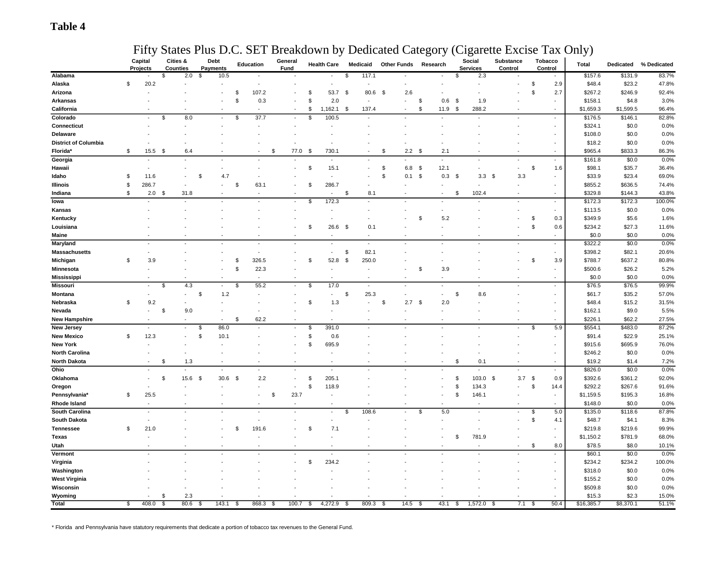### **Table 4**

### Fifty States Plus D.C. SET Breakdown by Dedicated Category (Cigarette Excise Tax Only)

|                             | Capital<br>Projects | Cities &<br><b>Counties</b> | Debt<br><b>Payments</b> |                                | <b>Education</b> | General<br>Fund |                | <b>Health Care</b>       | Medicaid                    |                | <b>Other Funds</b> | Research |                          | Social<br><b>Services</b> | Substance<br>Control |          | <b>Tobacco</b><br>Control | Total      | Dedicated      | % Dedicated |
|-----------------------------|---------------------|-----------------------------|-------------------------|--------------------------------|------------------|-----------------|----------------|--------------------------|-----------------------------|----------------|--------------------|----------|--------------------------|---------------------------|----------------------|----------|---------------------------|------------|----------------|-------------|
| Alabama                     |                     | \$<br>2.0                   | \$                      | 10.5                           |                  |                 |                |                          | \$<br>117.1                 |                |                    |          |                          | 2.3<br>\$.                |                      |          |                           | \$157.6    | \$131.9        | 83.7%       |
| Alaska                      | \$<br>20.2          |                             |                         |                                | $\overline{a}$   |                 |                | $\overline{\phantom{a}}$ |                             |                |                    |          |                          |                           |                      | \$       | 2.9                       | \$48.4     | \$23.2         | 47.8%       |
| Arizona                     |                     |                             |                         | \$                             | 107.2            |                 | \$             | 53.7                     | \$<br>80.6                  | \$             | 2.6                |          |                          |                           |                      | \$       | 2.7                       | \$267.2    | \$246.9        | 92.4%       |
| <b>Arkansas</b>             |                     |                             |                         | \$                             | 0.3              |                 | \$             | 2.0                      | $\overline{a}$              |                |                    | \$       | 0.6                      | -\$<br>1.9                |                      |          | $\frac{1}{2}$             | \$158.1    | \$4.8          | 3.0%        |
| California                  |                     |                             |                         |                                |                  |                 | \$             | 1,162.1                  | 137.4<br>\$                 |                |                    | \$.      | 11.9                     | \$<br>288.2               |                      |          | $\sim$                    | \$1,659.3  | \$1,599.5      | 96.4%       |
| Colorado                    |                     | 8.0<br>\$                   |                         | \$<br>$\overline{\phantom{a}}$ | 37.7             |                 | $\mathsf{\$}$  | 100.5                    | $\overline{a}$              |                |                    |          |                          |                           |                      |          | $\blacksquare$            | \$176.5    | \$146.1        | 82.8%       |
| Connecticut                 |                     |                             |                         |                                |                  |                 |                |                          |                             |                |                    |          |                          |                           |                      |          | $\sim$                    | \$324.1    | \$0.0          | 0.0%        |
| Delaware                    |                     |                             |                         |                                |                  |                 |                |                          |                             |                |                    |          |                          |                           |                      |          |                           | \$108.0    | \$0.0          | 0.0%        |
| <b>District of Columbia</b> |                     |                             |                         |                                |                  |                 |                |                          |                             |                |                    |          |                          |                           |                      |          | ÷,                        | \$18.2     | \$0.0          | 0.0%        |
| Florida*                    | \$<br>15.5          | \$<br>6.4                   |                         |                                |                  | 77.0<br>\$      | \$             | 730.1                    |                             | \$             | $2.2 \quad$        |          | 2.1                      |                           |                      |          | $\sim$                    | \$965.4    | \$833.3        | 86.3%       |
| Georgia                     |                     |                             |                         |                                |                  |                 |                |                          |                             |                |                    |          |                          |                           |                      |          | $\overline{\phantom{a}}$  | \$161.8    | \$0.0          | 0.0%        |
| Hawaii                      |                     |                             |                         |                                |                  |                 | \$             | 15.1                     | $\overline{a}$              | $\mathfrak{s}$ | 6.8                | \$       | 12.1                     |                           |                      | \$       | 1.6                       | \$98.1     | \$35.7         | 36.4%       |
| Idaho                       | \$<br>11.6          |                             | \$                      | 4.7                            |                  |                 |                |                          |                             | \$             | 0.1                | \$       | 0.3                      | 3.3<br>-S                 | 3.3<br>\$            |          | ٠                         | \$33.9     | \$23.4         | 69.0%       |
| Illinois                    | \$<br>286.7         |                             |                         | \$                             | 63.1             |                 | \$             | 286.7                    |                             |                |                    |          | ٠                        |                           | $\sim$               |          | $\frac{1}{2}$             | \$855.2    | \$636.5        | 74.4%       |
| Indiana                     | \$<br>2.0           | 31.8<br>- \$                |                         |                                | $\overline{a}$   |                 |                | $\overline{\phantom{a}}$ | \$<br>8.1                   |                |                    |          | ÷.                       | 102.4<br>S                | $\sim$               |          | $\overline{\phantom{a}}$  | \$329.8    | \$144.3        | 43.8%       |
| lowa                        |                     |                             |                         |                                |                  |                 | \$             | 172.3                    |                             |                |                    |          |                          |                           |                      |          | $\overline{\phantom{a}}$  | \$172.3    | \$172.3        | 100.0%      |
| Kansas                      |                     |                             |                         |                                |                  |                 |                |                          |                             |                |                    |          | $\frac{1}{2}$            |                           |                      |          | $\frac{1}{2}$             | \$113.5    | \$0.0          | 0.0%        |
|                             |                     |                             |                         |                                |                  |                 |                |                          | $\overline{a}$              |                |                    | -S       | 5.2                      |                           |                      | S        | 0.3                       | \$349.9    | \$5.6          | 1.6%        |
| Kentucky<br>Louisiana       |                     |                             |                         |                                |                  |                 | \$             |                          |                             |                |                    |          |                          |                           |                      | \$       | 0.6                       |            |                | 11.6%       |
|                             |                     |                             |                         |                                |                  |                 |                | 26.6<br>J.               | \$<br>0.1<br>$\overline{a}$ |                |                    |          |                          |                           |                      |          |                           | \$234.2    | \$27.3         |             |
| Maine                       |                     |                             |                         |                                |                  |                 |                |                          |                             |                |                    |          |                          |                           |                      |          | $\blacksquare$            | \$0.0      | \$0.0<br>\$0.0 | 0.0%        |
| Maryland                    |                     |                             |                         |                                |                  |                 |                |                          | ÷,                          |                |                    |          |                          |                           |                      |          | $\overline{\phantom{a}}$  | \$322.2    |                | 0.0%        |
| <b>Massachusetts</b>        |                     |                             |                         |                                | $\sim$           |                 |                | $\overline{\phantom{a}}$ | 82.1<br>\$                  |                |                    |          |                          |                           |                      |          | $\frac{1}{2}$             | \$398.2    | \$82.1         | 20.6%       |
| Michigan                    | \$<br>3.9           |                             |                         | \$                             | 326.5            |                 | \$             | 52.8                     | 250.0<br>\$                 |                |                    |          |                          |                           |                      | \$       | 3.9                       | \$788.7    | \$637.2        | 80.8%       |
| Minnesota                   |                     |                             |                         | \$                             | 22.3             |                 |                |                          | ÷,                          |                |                    | \$       | 3.9                      |                           |                      |          | ÷,                        | \$500.6    | \$26.2         | 5.2%        |
| <b>Mississippi</b>          |                     | $\overline{\phantom{a}}$    |                         |                                | $\sim$           |                 |                | $\overline{\phantom{a}}$ | $\sim$                      |                |                    |          | ÷.                       |                           | $\sim$               |          | $\blacksquare$            | \$0.0      | \$0.0          | 0.0%        |
| <b>Missouri</b>             |                     | 4.3<br>\$                   |                         | \$                             | 55.2             |                 | \$             | 17.0                     |                             |                |                    |          |                          |                           |                      |          | $\overline{\phantom{a}}$  | \$76.5     | \$76.5         | 99.9%       |
| Montana                     |                     |                             | \$                      | 1.2                            |                  |                 |                | $\overline{\phantom{a}}$ | 25.3<br>\$                  |                |                    |          | $\overline{\phantom{a}}$ | 8.6<br>\$                 |                      |          | $\sim$                    | \$61.7     | \$35.2         | 57.0%       |
| Nebraska                    | \$<br>9.2           |                             |                         |                                |                  |                 | \$             | 1.3                      | ÷,                          | \$             | 2.7                | \$       | 2.0                      |                           |                      |          |                           | \$48.4     | \$15.2         | 31.5%       |
| Nevada                      |                     | 9.0<br>\$                   |                         |                                |                  |                 |                |                          |                             |                |                    |          |                          |                           |                      |          |                           | \$162.1    | \$9.0          | 5.5%        |
| <b>New Hampshire</b>        |                     | $\blacksquare$              |                         | \$<br>$\overline{a}$           | 62.2             |                 |                | $\overline{\phantom{a}}$ | $\overline{\phantom{a}}$    |                |                    |          |                          |                           |                      |          | $\frac{1}{2}$             | \$226.1    | \$62.2         | 27.5%       |
| New Jersey                  |                     |                             | \$                      | 86.0                           |                  |                 | $\mathfrak{L}$ | 391.0                    |                             |                |                    |          |                          |                           |                      | \$       | 5.9                       | \$554.1    | \$483.0        | 87.2%       |
| <b>New Mexico</b>           | \$<br>12.3          |                             | \$                      | 10.1                           |                  |                 | \$             | 0.6                      |                             |                |                    |          |                          |                           |                      |          |                           | \$91.4     | \$22.9         | 25.1%       |
| <b>New York</b>             |                     |                             |                         |                                |                  |                 | \$             | 695.9                    |                             |                |                    |          |                          |                           |                      |          |                           | \$915.6    | \$695.9        | 76.0%       |
| <b>North Carolina</b>       |                     |                             |                         |                                |                  |                 |                |                          |                             |                |                    |          |                          |                           |                      |          |                           | \$246.2    | \$0.0          | 0.0%        |
| <b>North Dakota</b>         |                     | \$<br>1.3                   |                         |                                |                  |                 |                |                          |                             |                |                    |          |                          | 0.1<br>S                  |                      |          | ٠                         | \$19.2     | \$1.4          | 7.2%        |
| Ohio                        |                     |                             |                         |                                |                  |                 |                |                          |                             |                |                    |          |                          |                           |                      |          |                           | \$826.0    | \$0.0          | 0.0%        |
| Oklahoma                    |                     | \$<br>15.6                  | \$                      | 30.6<br>\$                     | 2.2              | $\sim$          | \$             | 205.1                    |                             |                |                    |          |                          | 103.0<br>\$               | - \$                 | $3.7$ \$ | 0.9                       | \$392.6    | \$361.2        | 92.0%       |
| Oregon                      |                     |                             |                         |                                |                  |                 | \$             | 118.9                    |                             |                |                    |          |                          | \$<br>134.3               |                      | \$       | 14.4                      | \$292.2    | \$267.6        | 91.6%       |
| Pennsylvania*               | \$<br>25.5          |                             |                         |                                |                  | \$<br>23.7      |                | $\overline{a}$           |                             |                |                    |          |                          | \$<br>146.1               |                      |          | ÷                         | \$1,159.5  | \$195.3        | 16.8%       |
| Rhode Island                |                     |                             |                         |                                |                  |                 |                |                          |                             |                |                    |          |                          |                           |                      |          |                           | \$148.0    | \$0.0          | 0.0%        |
| South Carolina              |                     |                             |                         |                                |                  |                 |                | $\overline{a}$           | 108.6<br>\$                 |                |                    | \$       | 5.0                      |                           |                      | \$       | 5.0                       | \$135.0    | \$118.6        | 87.8%       |
| South Dakota                |                     |                             |                         |                                |                  |                 |                |                          |                             |                |                    |          |                          |                           |                      | \$       | 4.1                       | \$48.7     | \$4.1          | 8.3%        |
| <b>Tennessee</b>            | \$<br>21.0          |                             |                         | \$                             | 191.6            |                 | \$             | 7.1                      |                             |                |                    |          |                          |                           |                      |          | ÷                         | \$219.8    | \$219.6        | 99.9%       |
| <b>Texas</b>                |                     |                             |                         |                                |                  |                 |                |                          |                             |                |                    |          |                          | 781.9<br>\$               |                      |          | $\frac{1}{2}$             | \$1,150.2  | \$781.9        | 68.0%       |
| Utah                        |                     |                             |                         |                                |                  |                 |                |                          |                             |                |                    |          |                          |                           |                      | \$       | 8.0                       | \$78.5     | \$8.0          | 10.1%       |
| Vermont                     |                     |                             |                         |                                |                  |                 |                | $\overline{a}$           |                             |                |                    |          |                          |                           |                      |          | $\sim$                    | \$60.1     | \$0.0          | 0.0%        |
| Virginia                    |                     |                             |                         |                                |                  |                 | \$             | 234.2                    |                             |                |                    |          |                          |                           |                      |          | $\frac{1}{2}$             | \$234.2    | \$234.2        | 100.0%      |
| Washington                  |                     |                             |                         |                                |                  |                 |                |                          |                             |                |                    |          |                          |                           |                      |          | ÷                         | \$318.0    | \$0.0          | 0.0%        |
| <b>West Virginia</b>        |                     |                             |                         |                                |                  |                 |                |                          |                             |                |                    |          |                          |                           |                      |          |                           | \$155.2    | \$0.0          | 0.0%        |
| Wisconsin                   |                     |                             |                         |                                |                  |                 |                |                          |                             |                |                    |          |                          |                           |                      |          |                           | \$509.8    | \$0.0          | 0.0%        |
| Wyoming                     |                     | 2.3<br>- \$                 |                         |                                |                  |                 |                |                          |                             |                |                    |          |                          |                           |                      |          |                           | \$15.3     | \$2.3          | 15.0%       |
| Total                       | \$<br>408.0         | 80.6<br>$\sqrt{3}$          | \$                      | 143.1<br>\$                    | 868.3            | 100.7<br>- \$   | \$             | 4,272.9                  | 809.3<br>\$                 | - \$           | 14.5               | - 35     | 43.1                     | 1,572.0<br>\$             | 7.1<br>- \$          | - \$     | 50.4                      | \$16,385.7 | \$8,370.1      | 51.1%       |

\* Florida and Pennsylvania have statutory requirements that dedicate a portion of tobacco tax revenues to the General Fund.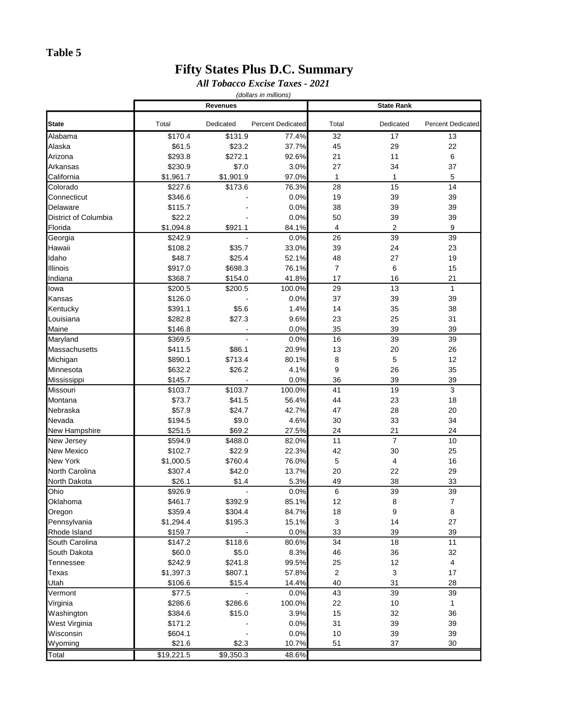### **Table 5**

### **Fifty States Plus D.C. Summary**

### *All Tobacco Excise Taxes - 2021 (dollars in millions)*

|                      |                      | <b>Revenues</b>      |                          |                    | <b>State Rank</b> |                          |
|----------------------|----------------------|----------------------|--------------------------|--------------------|-------------------|--------------------------|
|                      |                      |                      |                          |                    |                   |                          |
| <b>State</b>         | Total                | Dedicated            | <b>Percent Dedicated</b> | Total              | Dedicated         | <b>Percent Dedicated</b> |
| Alabama              | \$170.4              | \$131.9              | 77.4%                    | 32                 | 17                | 13                       |
| Alaska               | \$61.5               | \$23.2               | 37.7%                    | 45                 | 29                | 22                       |
| Arizona              | \$293.8              | \$272.1              | 92.6%                    | 21                 | 11                | 6                        |
| Arkansas             | \$230.9              | \$7.0                | 3.0%                     | 27                 | 34                | 37                       |
| California           | \$1,961.7<br>\$227.6 | \$1,901.9<br>\$173.6 | 97.0%                    | $\mathbf{1}$<br>28 | 1<br>15           | 5<br>14                  |
| Colorado             |                      |                      | 76.3%                    |                    |                   |                          |
| Connecticut          | \$346.6              |                      | 0.0%                     | 19                 | 39                | 39                       |
| Delaware             | \$115.7              |                      | 0.0%<br>0.0%             | 38                 | 39                | 39                       |
| District of Columbia | \$22.2               |                      |                          | 50                 | 39                | 39                       |
| Florida              | \$1,094.8            | \$921.1              | 84.1%                    | $\overline{4}$     | 2                 | 9                        |
| Georgia              | \$242.9              |                      | 0.0%                     | 26                 | 39                | 39                       |
| Hawaii               | \$108.2              | \$35.7               | 33.0%                    | 39                 | 24                | 23                       |
| Idaho                | \$48.7               | \$25.4               | 52.1%                    | 48                 | 27                | 19                       |
| Illinois             | \$917.0              | \$698.3              | 76.1%                    | $\overline{7}$     | 6                 | 15                       |
| Indiana              | \$368.7              | \$154.0              | 41.8%                    | 17                 | 16                | 21                       |
| lowa                 | \$200.5              | \$200.5              | 100.0%                   | 29                 | 13                | $\mathbf{1}$             |
| Kansas               | \$126.0              |                      | 0.0%                     | 37                 | 39                | 39                       |
| Kentucky             | \$391.1              | \$5.6                | 1.4%                     | 14                 | 35                | 38                       |
| Louisiana            | \$282.8              | \$27.3               | 9.6%                     | 23                 | 25                | 31                       |
| Maine                | \$146.8              |                      | 0.0%                     | 35                 | 39                | 39                       |
| Maryland             | \$369.5              |                      | 0.0%                     | 16                 | 39                | 39                       |
| Massachusetts        | \$411.5              | \$86.1               | 20.9%                    | 13                 | 20                | 26                       |
| Michigan             | \$890.1              | \$713.4              | 80.1%                    | 8                  | 5                 | 12                       |
| Minnesota            | \$632.2              | \$26.2               | 4.1%                     | 9                  | 26                | 35                       |
| Mississippi          | \$145.7              |                      | 0.0%                     | 36                 | 39                | 39                       |
| Missouri             | \$103.7              | \$103.7              | 100.0%                   | 41                 | 19                | $\mathbf{3}$             |
| Montana              | \$73.7               | \$41.5               | 56.4%                    | 44                 | 23                | 18                       |
| Nebraska             | \$57.9               | \$24.7               | 42.7%                    | 47                 | 28                | 20                       |
| Nevada               | \$194.5              | \$9.0                | 4.6%                     | 30                 | 33                | 34                       |
| New Hampshire        | \$251.5              | \$69.2               | 27.5%                    | 24                 | 21                | 24                       |
| New Jersey           | \$594.9              | \$488.0              | 82.0%                    | 11                 | $\overline{7}$    | 10                       |
| <b>New Mexico</b>    | \$102.7              | \$22.9               | 22.3%                    | 42                 | 30                | 25                       |
| <b>New York</b>      | \$1,000.5            | \$760.4              | 76.0%                    | 5                  | 4                 | 16                       |
| North Carolina       | \$307.4              | \$42.0               | 13.7%                    | 20                 | 22                | 29                       |
| North Dakota         | \$26.1               | \$1.4                | 5.3%                     | 49                 | 38                | 33                       |
| Ohio                 | \$926.9              |                      | 0.0%                     | 6                  | 39                | 39                       |
| Oklahoma             | \$461.7              | \$392.9              | 85.1%                    | 12                 | 8                 | $\boldsymbol{7}$         |
| Oregon               | \$359.4              | \$304.4              | 84.7%                    | 18                 | $\boldsymbol{9}$  | $\bf 8$                  |
| Pennsylvania         | \$1,294.4            | \$195.3              | 15.1%                    | 3                  | 14                | 27                       |
| Rhode Island         | \$159.7              |                      | 0.0%                     | 33                 | 39                | 39                       |
| South Carolina       | \$147.2              | \$118.6              | 80.6%                    | 34                 | 18                | 11                       |
| South Dakota         | \$60.0               | \$5.0                | 8.3%                     | 46                 | 36                | 32                       |
| Tennessee            | \$242.9              | \$241.8              | 99.5%                    | 25                 | 12                | 4                        |
| <b>Texas</b>         | \$1,397.3            | \$807.1              | 57.8%                    | $\mathbf 2$        | 3                 | 17                       |
| Utah                 | \$106.6              | \$15.4               | 14.4%                    | 40                 | 31                | 28                       |
| Vermont              | \$77.5               | ÷,                   | 0.0%                     | 43                 | 39                | 39                       |
| Virginia             | \$286.6              | \$286.6              | 100.0%                   | 22                 | $10$              | 1                        |
| Washington           | \$384.6              | \$15.0               | 3.9%                     | 15                 | 32                | 36                       |
| West Virginia        | \$171.2              |                      | 0.0%                     | 31                 | 39                | 39                       |
| Wisconsin            | \$604.1              |                      | 0.0%                     | $10$               | 39                | 39                       |
| Wyoming              | \$21.6               | \$2.3                | 10.7%                    | 51                 | 37                | 30                       |
| Total                | \$19,221.5           | \$9,350.3            | 48.6%                    |                    |                   |                          |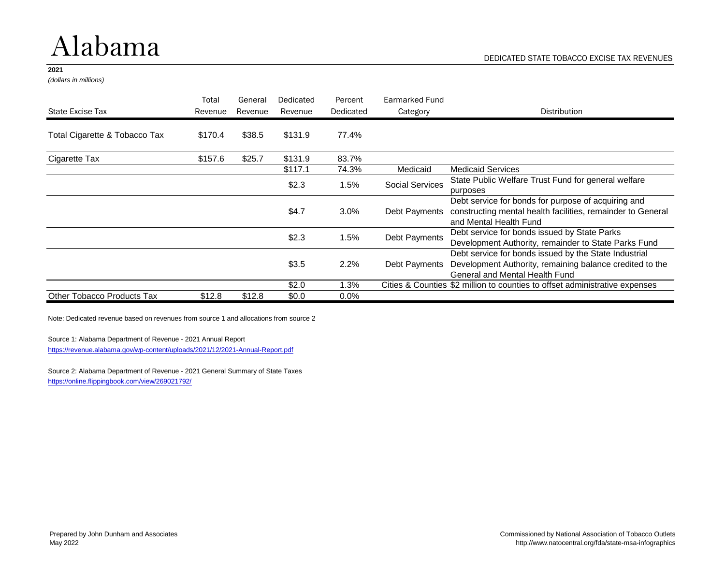## Alabama

#### **2021**

*(dollars in millions)*

|                                   | Total   | General | Dedicated | Percent   | Earmarked Fund         |                                                                                                                                                     |
|-----------------------------------|---------|---------|-----------|-----------|------------------------|-----------------------------------------------------------------------------------------------------------------------------------------------------|
| State Excise Tax                  | Revenue | Revenue | Revenue   | Dedicated | Category               | Distribution                                                                                                                                        |
| Total Cigarette & Tobacco Tax     | \$170.4 | \$38.5  | \$131.9   | 77.4%     |                        |                                                                                                                                                     |
| Cigarette Tax                     | \$157.6 | \$25.7  | \$131.9   | 83.7%     |                        |                                                                                                                                                     |
|                                   |         |         | \$117.1   | 74.3%     | Medicaid               | <b>Medicaid Services</b>                                                                                                                            |
|                                   |         |         | \$2.3     | 1.5%      | <b>Social Services</b> | State Public Welfare Trust Fund for general welfare<br>purposes                                                                                     |
|                                   |         |         | \$4.7     | 3.0%      | Debt Payments          | Debt service for bonds for purpose of acquiring and<br>constructing mental health facilities, remainder to General<br>and Mental Health Fund        |
|                                   |         |         | \$2.3     | 1.5%      | Debt Payments          | Debt service for bonds issued by State Parks<br>Development Authority, remainder to State Parks Fund                                                |
|                                   |         |         | \$3.5     | 2.2%      | Debt Payments          | Debt service for bonds issued by the State Industrial<br>Development Authority, remaining balance credited to the<br>General and Mental Health Fund |
|                                   |         |         | \$2.0     | 1.3%      |                        | Cities & Counties \$2 million to counties to offset administrative expenses                                                                         |
| <b>Other Tobacco Products Tax</b> | \$12.8  | \$12.8  | \$0.0     | $0.0\%$   |                        |                                                                                                                                                     |

Note: Dedicated revenue based on revenues from source 1 and allocations from source 2

Source 1: Alabama Department of Revenue - 2021 Annual Report

<https://revenue.alabama.gov/wp-content/uploads/2021/12/2021-Annual-Report.pdf>

Source 2: Alabama Department of Revenue - 2021 General Summary of State Taxes <https://online.flippingbook.com/view/269021792/>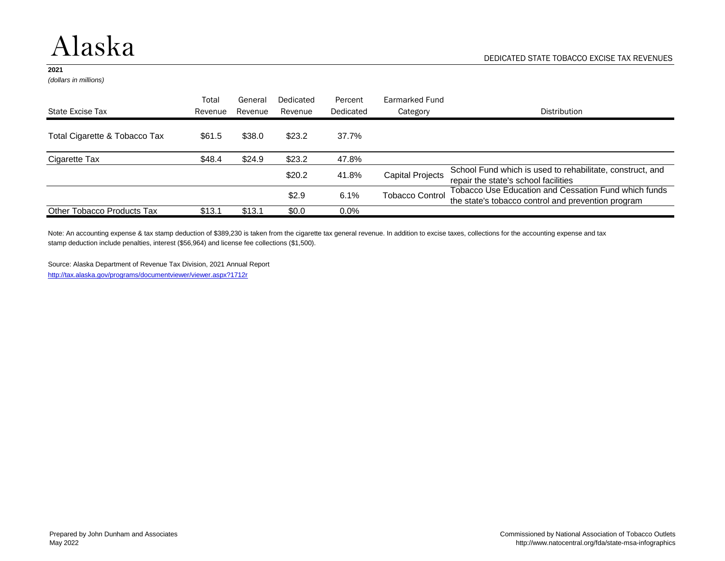### Alaska

#### **2021**

*(dollars in millions)*

|                               | Total   | General | Dedicated | Percent   | Earmarked Fund         |                                                                                                            |
|-------------------------------|---------|---------|-----------|-----------|------------------------|------------------------------------------------------------------------------------------------------------|
| State Excise Tax              | Revenue | Revenue | Revenue   | Dedicated | Category               | <b>Distribution</b>                                                                                        |
| Total Cigarette & Tobacco Tax | \$61.5  | \$38.0  | \$23.2    | 37.7%     |                        |                                                                                                            |
| Cigarette Tax                 | \$48.4  | \$24.9  | \$23.2    | 47.8%     |                        |                                                                                                            |
|                               |         |         | \$20.2    | 41.8%     | Capital Projects       | School Fund which is used to rehabilitate, construct, and<br>repair the state's school facilities          |
|                               |         |         | \$2.9     | 6.1%      | <b>Tobacco Control</b> | Tobacco Use Education and Cessation Fund which funds<br>the state's tobacco control and prevention program |
| Other Tobacco Products Tax    | \$13.1  | \$13.1  | \$0.0     | $0.0\%$   |                        |                                                                                                            |

Note: An accounting expense & tax stamp deduction of \$389,230 is taken from the cigarette tax general revenue. In addition to excise taxes, collections for the accounting expense and tax stamp deduction include penalties, interest (\$56,964) and license fee collections (\$1,500).

Source: Alaska Department of Revenue Tax Division, 2021 Annual Report <http://tax.alaska.gov/programs/documentviewer/viewer.aspx?1712r>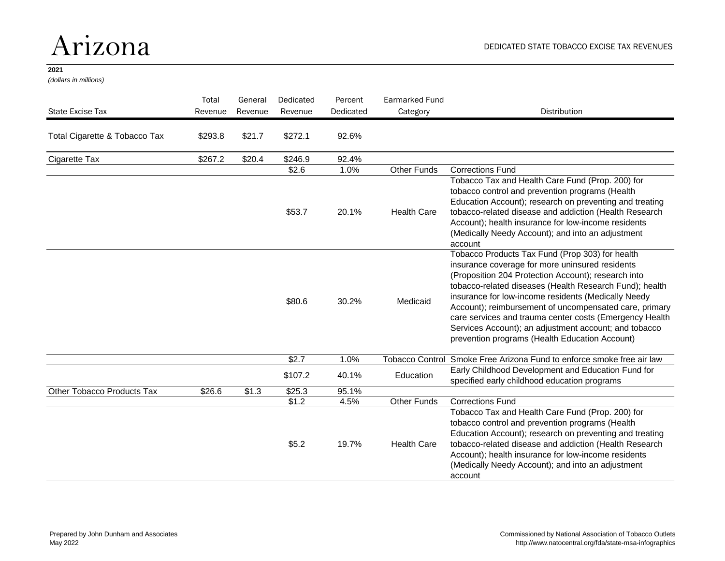### Arizona

### **2021**

*(dollars in millions)*

| <b>State Excise Tax</b>       | Total<br>Revenue | General<br>Revenue | Dedicated<br>Revenue | Percent<br>Dedicated | <b>Earmarked Fund</b><br>Category | <b>Distribution</b>                                                                                                                                                                                                                                                                                                                                                                                                                                                                                         |
|-------------------------------|------------------|--------------------|----------------------|----------------------|-----------------------------------|-------------------------------------------------------------------------------------------------------------------------------------------------------------------------------------------------------------------------------------------------------------------------------------------------------------------------------------------------------------------------------------------------------------------------------------------------------------------------------------------------------------|
| Total Cigarette & Tobacco Tax | \$293.8          | \$21.7             | \$272.1              | 92.6%                |                                   |                                                                                                                                                                                                                                                                                                                                                                                                                                                                                                             |
| Cigarette Tax                 | \$267.2          | \$20.4             | \$246.9              | 92.4%                |                                   |                                                                                                                                                                                                                                                                                                                                                                                                                                                                                                             |
|                               |                  |                    | \$2.6                | 1.0%                 | <b>Other Funds</b>                | <b>Corrections Fund</b>                                                                                                                                                                                                                                                                                                                                                                                                                                                                                     |
|                               |                  |                    | \$53.7               | 20.1%                | <b>Health Care</b>                | Tobacco Tax and Health Care Fund (Prop. 200) for<br>tobacco control and prevention programs (Health<br>Education Account); research on preventing and treating<br>tobacco-related disease and addiction (Health Research<br>Account); health insurance for low-income residents<br>(Medically Needy Account); and into an adjustment<br>account                                                                                                                                                             |
|                               |                  |                    | \$80.6               | 30.2%                | Medicaid                          | Tobacco Products Tax Fund (Prop 303) for health<br>insurance coverage for more uninsured residents<br>(Proposition 204 Protection Account); research into<br>tobacco-related diseases (Health Research Fund); health<br>insurance for low-income residents (Medically Needy<br>Account); reimbursement of uncompensated care, primary<br>care services and trauma center costs (Emergency Health<br>Services Account); an adjustment account; and tobacco<br>prevention programs (Health Education Account) |
|                               |                  |                    | \$2.7                | 1.0%                 | <b>Tobacco Control</b>            | Smoke Free Arizona Fund to enforce smoke free air law                                                                                                                                                                                                                                                                                                                                                                                                                                                       |
|                               |                  |                    | \$107.2              | 40.1%                | Education                         | Early Childhood Development and Education Fund for<br>specified early childhood education programs                                                                                                                                                                                                                                                                                                                                                                                                          |
| Other Tobacco Products Tax    | \$26.6           | \$1.3              | \$25.3               | 95.1%                |                                   |                                                                                                                                                                                                                                                                                                                                                                                                                                                                                                             |
|                               |                  |                    | \$1.2                | 4.5%                 | <b>Other Funds</b>                | <b>Corrections Fund</b>                                                                                                                                                                                                                                                                                                                                                                                                                                                                                     |
|                               |                  |                    | \$5.2                | 19.7%                | <b>Health Care</b>                | Tobacco Tax and Health Care Fund (Prop. 200) for<br>tobacco control and prevention programs (Health<br>Education Account); research on preventing and treating<br>tobacco-related disease and addiction (Health Research<br>Account); health insurance for low-income residents<br>(Medically Needy Account); and into an adjustment<br>account                                                                                                                                                             |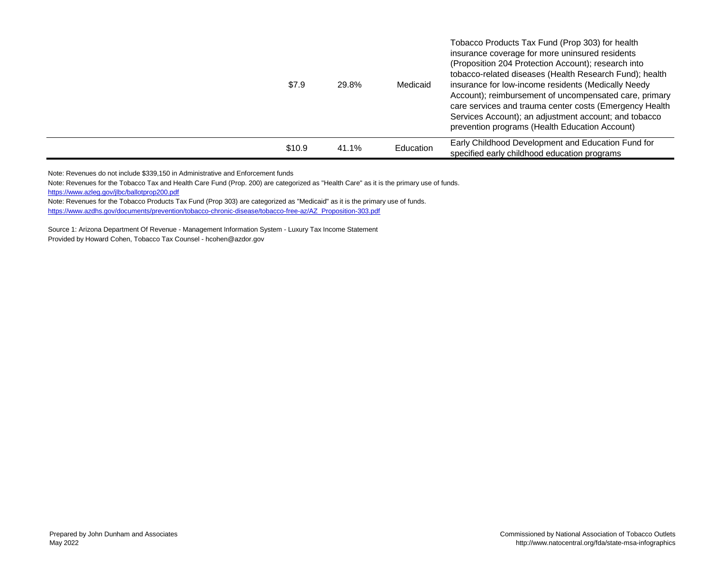| \$7.9  | 29.8% | Medicaid  | Tobacco Products Tax Fund (Prop 303) for health<br>insurance coverage for more uninsured residents<br>(Proposition 204 Protection Account); research into<br>tobacco-related diseases (Health Research Fund); health<br>insurance for low-income residents (Medically Needy<br>Account); reimbursement of uncompensated care, primary<br>care services and trauma center costs (Emergency Health<br>Services Account); an adjustment account; and tobacco<br>prevention programs (Health Education Account) |
|--------|-------|-----------|-------------------------------------------------------------------------------------------------------------------------------------------------------------------------------------------------------------------------------------------------------------------------------------------------------------------------------------------------------------------------------------------------------------------------------------------------------------------------------------------------------------|
| \$10.9 | 41.1% | Education | Early Childhood Development and Education Fund for<br>specified early childhood education programs                                                                                                                                                                                                                                                                                                                                                                                                          |

Note: Revenues do not include \$339,150 in Administrative and Enforcement funds

Note: Revenues for the Tobacco Tax and Health Care Fund (Prop. 200) are categorized as "Health Care" as it is the primary use of funds. <https://www.azleg.gov/jlbc/ballotprop200.pdf>

Note: Revenues for the Tobacco Products Tax Fund (Prop 303) are categorized as "Medicaid" as it is the primary use of funds. [https://www.azdhs.gov/documents/prevention/tobacco-chronic-disease/tobacco-free-az/AZ\\_Proposition-303.pdf](https://www.azdhs.gov/documents/prevention/tobacco-chronic-disease/tobacco-free-az/AZ_Proposition-303.pdf)

Source 1: Arizona Department Of Revenue - Management Information System - Luxury Tax Income Statement Provided by Howard Cohen, Tobacco Tax Counsel - hcohen@azdor.gov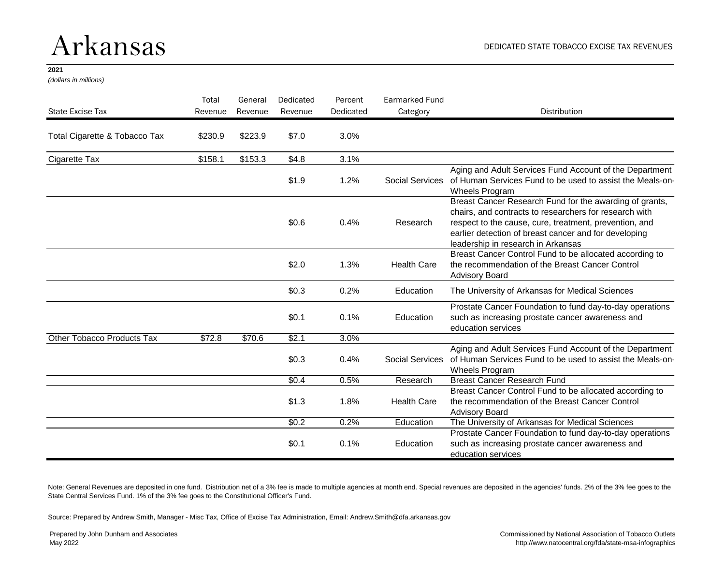### Arkansas

#### **2021**

*(dollars in millions)*

| State Excise Tax              | Total<br>Revenue | General<br>Revenue | Dedicated<br>Revenue   | Percent<br>Dedicated                                                                                                                          | <b>Earmarked Fund</b><br>Category | Distribution                                                                                                                                                                                                                                                               |
|-------------------------------|------------------|--------------------|------------------------|-----------------------------------------------------------------------------------------------------------------------------------------------|-----------------------------------|----------------------------------------------------------------------------------------------------------------------------------------------------------------------------------------------------------------------------------------------------------------------------|
| Total Cigarette & Tobacco Tax | \$230.9          | \$223.9            | \$7.0                  | 3.0%                                                                                                                                          |                                   |                                                                                                                                                                                                                                                                            |
| Cigarette Tax                 | \$158.1          | \$153.3            | \$4.8                  | 3.1%                                                                                                                                          |                                   |                                                                                                                                                                                                                                                                            |
|                               |                  |                    | \$1.9                  | 1.2%                                                                                                                                          | Social Services                   | Aging and Adult Services Fund Account of the Department<br>of Human Services Fund to be used to assist the Meals-on-<br>Wheels Program                                                                                                                                     |
|                               |                  |                    | \$0.6                  | 0.4%                                                                                                                                          | Research                          | Breast Cancer Research Fund for the awarding of grants,<br>chairs, and contracts to researchers for research with<br>respect to the cause, cure, treatment, prevention, and<br>earlier detection of breast cancer and for developing<br>leadership in research in Arkansas |
|                               |                  |                    | \$2.0                  | 1.3%                                                                                                                                          | <b>Health Care</b>                | Breast Cancer Control Fund to be allocated according to<br>the recommendation of the Breast Cancer Control<br><b>Advisory Board</b>                                                                                                                                        |
|                               |                  |                    | \$0.3                  | 0.2%                                                                                                                                          | Education                         | The University of Arkansas for Medical Sciences                                                                                                                                                                                                                            |
|                               |                  |                    | \$0.1                  | 0.1%                                                                                                                                          | Education                         | Prostate Cancer Foundation to fund day-to-day operations<br>such as increasing prostate cancer awareness and<br>education services                                                                                                                                         |
| Other Tobacco Products Tax    | \$72.8           | \$70.6             | \$2.1                  | 3.0%                                                                                                                                          |                                   |                                                                                                                                                                                                                                                                            |
|                               | \$0.3            | 0.4%               | <b>Social Services</b> | Aging and Adult Services Fund Account of the Department<br>of Human Services Fund to be used to assist the Meals-on-<br><b>Wheels Program</b> |                                   |                                                                                                                                                                                                                                                                            |
|                               |                  |                    | \$0.4                  | 0.5%                                                                                                                                          | Research                          | <b>Breast Cancer Research Fund</b>                                                                                                                                                                                                                                         |
|                               |                  |                    | \$1.3                  | 1.8%                                                                                                                                          | <b>Health Care</b>                | Breast Cancer Control Fund to be allocated according to<br>the recommendation of the Breast Cancer Control<br><b>Advisory Board</b>                                                                                                                                        |
|                               |                  |                    | \$0.2                  | 0.2%                                                                                                                                          | Education                         | The University of Arkansas for Medical Sciences                                                                                                                                                                                                                            |
|                               |                  |                    | \$0.1                  | 0.1%                                                                                                                                          | Education                         | Prostate Cancer Foundation to fund day-to-day operations<br>such as increasing prostate cancer awareness and<br>education services                                                                                                                                         |

Note: General Revenues are deposited in one fund. Distribution net of a 3% fee is made to multiple agencies at month end. Special revenues are deposited in the agencies' funds. 2% of the 3% fee goes to the State Central Services Fund. 1% of the 3% fee goes to the Constitutional Officer's Fund.

Source: Prepared by Andrew Smith, Manager - Misc Tax, Office of Excise Tax Administration, Email: Andrew.Smith@dfa.arkansas.gov

Prepared by John Dunham and Associates May 2022

Commissioned by National Association of Tobacco Outlets http://www.natocentral.org/fda/state-msa-infographics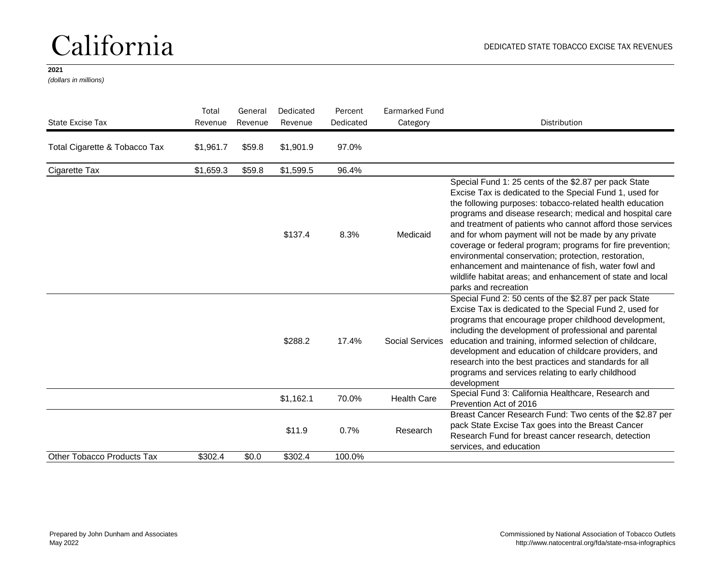### California

### **2021**

*(dollars in millions)*

| State Excise Tax              | Total<br>Revenue | General<br>Revenue | Dedicated<br>Revenue | Percent<br>Dedicated | Earmarked Fund<br>Category | <b>Distribution</b>                                                                                                                                                                                                                                                                                                                                                                                                                                                                                                                                                                                                               |
|-------------------------------|------------------|--------------------|----------------------|----------------------|----------------------------|-----------------------------------------------------------------------------------------------------------------------------------------------------------------------------------------------------------------------------------------------------------------------------------------------------------------------------------------------------------------------------------------------------------------------------------------------------------------------------------------------------------------------------------------------------------------------------------------------------------------------------------|
| Total Cigarette & Tobacco Tax | \$1,961.7        | \$59.8             | \$1,901.9            | 97.0%                |                            |                                                                                                                                                                                                                                                                                                                                                                                                                                                                                                                                                                                                                                   |
| Cigarette Tax                 | \$1,659.3        | \$59.8             | \$1,599.5            | 96.4%                |                            |                                                                                                                                                                                                                                                                                                                                                                                                                                                                                                                                                                                                                                   |
|                               |                  |                    | \$137.4              | 8.3%                 | Medicaid                   | Special Fund 1: 25 cents of the \$2.87 per pack State<br>Excise Tax is dedicated to the Special Fund 1, used for<br>the following purposes: tobacco-related health education<br>programs and disease research; medical and hospital care<br>and treatment of patients who cannot afford those services<br>and for whom payment will not be made by any private<br>coverage or federal program; programs for fire prevention;<br>environmental conservation; protection, restoration,<br>enhancement and maintenance of fish, water fowl and<br>wildlife habitat areas; and enhancement of state and local<br>parks and recreation |
|                               |                  |                    | \$288.2              | 17.4%                | <b>Social Services</b>     | Special Fund 2: 50 cents of the \$2.87 per pack State<br>Excise Tax is dedicated to the Special Fund 2, used for<br>programs that encourage proper childhood development,<br>including the development of professional and parental<br>education and training, informed selection of childcare,<br>development and education of childcare providers, and<br>research into the best practices and standards for all<br>programs and services relating to early childhood<br>development                                                                                                                                            |
|                               |                  |                    | \$1,162.1            | 70.0%                | <b>Health Care</b>         | Special Fund 3: California Healthcare, Research and<br>Prevention Act of 2016                                                                                                                                                                                                                                                                                                                                                                                                                                                                                                                                                     |
|                               |                  |                    | \$11.9               | 0.7%                 | Research                   | Breast Cancer Research Fund: Two cents of the \$2.87 per<br>pack State Excise Tax goes into the Breast Cancer<br>Research Fund for breast cancer research, detection<br>services, and education                                                                                                                                                                                                                                                                                                                                                                                                                                   |
| Other Tobacco Products Tax    | \$302.4          | \$0.0              | \$302.4              | 100.0%               |                            |                                                                                                                                                                                                                                                                                                                                                                                                                                                                                                                                                                                                                                   |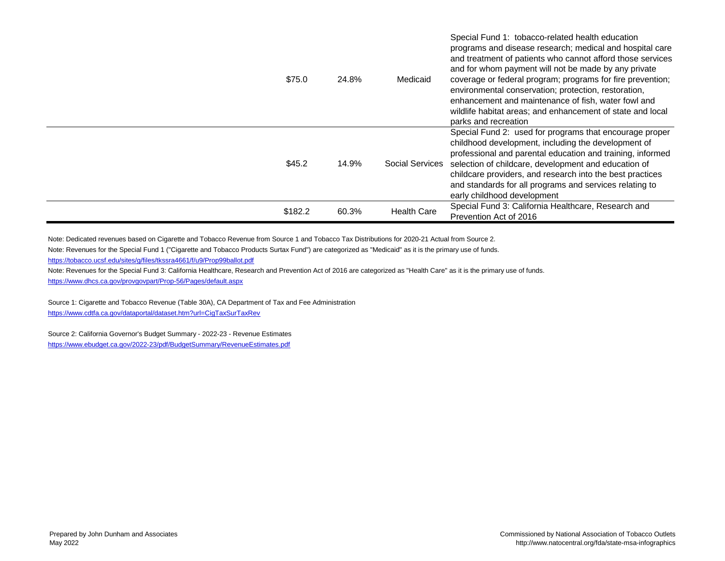| \$75.0  | 24.8% | Medicaid               | Special Fund 1: tobacco-related health education<br>programs and disease research; medical and hospital care<br>and treatment of patients who cannot afford those services<br>and for whom payment will not be made by any private<br>coverage or federal program; programs for fire prevention;<br>environmental conservation; protection, restoration,<br>enhancement and maintenance of fish, water fowl and<br>wildlife habitat areas; and enhancement of state and local<br>parks and recreation |
|---------|-------|------------------------|-------------------------------------------------------------------------------------------------------------------------------------------------------------------------------------------------------------------------------------------------------------------------------------------------------------------------------------------------------------------------------------------------------------------------------------------------------------------------------------------------------|
| \$45.2  | 14.9% | <b>Social Services</b> | Special Fund 2: used for programs that encourage proper<br>childhood development, including the development of<br>professional and parental education and training, informed<br>selection of childcare, development and education of<br>childcare providers, and research into the best practices<br>and standards for all programs and services relating to<br>early childhood development                                                                                                           |
| \$182.2 | 60.3% | <b>Health Care</b>     | Special Fund 3: California Healthcare, Research and<br>Prevention Act of 2016                                                                                                                                                                                                                                                                                                                                                                                                                         |

Note: Dedicated revenues based on Cigarette and Tobacco Revenue from Source 1 and Tobacco Tax Distributions for 2020-21 Actual from Source 2.

Note: Revenues for the Special Fund 1 ("Cigarette and Tobacco Products Surtax Fund") are categorized as "Medicaid" as it is the primary use of funds.

<https://tobacco.ucsf.edu/sites/g/files/tkssra4661/f/u9/Prop99ballot.pdf>

Note: Revenues for the Special Fund 3: California Healthcare, Research and Prevention Act of 2016 are categorized as "Health Care" as it is the primary use of funds. <https://www.dhcs.ca.gov/provgovpart/Prop-56/Pages/default.aspx>

Source 1: Cigarette and Tobacco Revenue (Table 30A), CA Department of Tax and Fee Administration <https://www.cdtfa.ca.gov/dataportal/dataset.htm?url=CigTaxSurTaxRev>

Source 2: California Governor's Budget Summary - 2022-23 - Revenue Estimates <https://www.ebudget.ca.gov/2022-23/pdf/BudgetSummary/RevenueEstimates.pdf>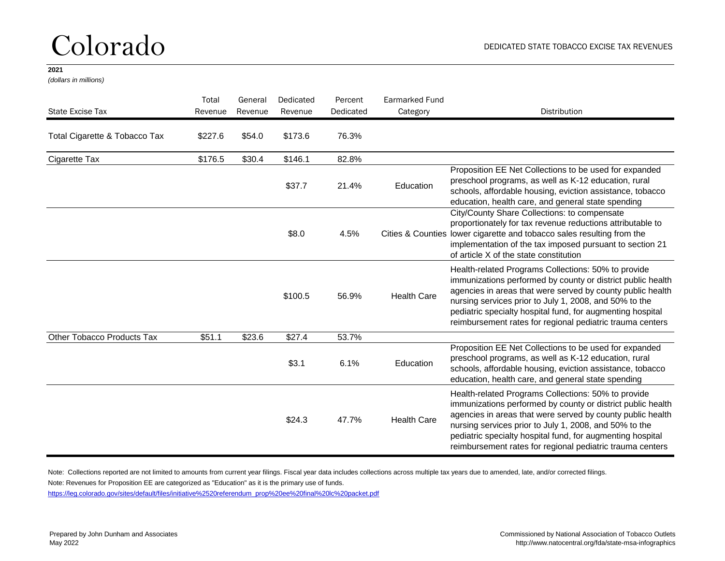### Colorado

#### **2021**

*(dollars in millions)*

| State Excise Tax              | Total<br>Revenue | General<br>Revenue | Dedicated<br>Revenue | Percent<br>Dedicated | Earmarked Fund<br>Category | <b>Distribution</b>                                                                                                                                                                                                                                                                                                                                                   |
|-------------------------------|------------------|--------------------|----------------------|----------------------|----------------------------|-----------------------------------------------------------------------------------------------------------------------------------------------------------------------------------------------------------------------------------------------------------------------------------------------------------------------------------------------------------------------|
| Total Cigarette & Tobacco Tax | \$227.6          | \$54.0             | \$173.6              | 76.3%                |                            |                                                                                                                                                                                                                                                                                                                                                                       |
| Cigarette Tax                 | \$176.5          | \$30.4             | \$146.1              | 82.8%                |                            |                                                                                                                                                                                                                                                                                                                                                                       |
|                               |                  |                    | \$37.7               | 21.4%                | Education                  | Proposition EE Net Collections to be used for expanded<br>preschool programs, as well as K-12 education, rural<br>schools, affordable housing, eviction assistance, tobacco<br>education, health care, and general state spending                                                                                                                                     |
|                               |                  |                    | \$8.0                | 4.5%                 |                            | City/County Share Collections: to compensate<br>proportionately for tax revenue reductions attributable to<br>Cities & Counties lower cigarette and tobacco sales resulting from the<br>implementation of the tax imposed pursuant to section 21<br>of article X of the state constitution                                                                            |
|                               |                  |                    | \$100.5              | 56.9%                | <b>Health Care</b>         | Health-related Programs Collections: 50% to provide<br>immunizations performed by county or district public health<br>agencies in areas that were served by county public health<br>nursing services prior to July 1, 2008, and 50% to the<br>pediatric specialty hospital fund, for augmenting hospital<br>reimbursement rates for regional pediatric trauma centers |
| Other Tobacco Products Tax    | \$51.1           | \$23.6             | \$27.4               | 53.7%                |                            |                                                                                                                                                                                                                                                                                                                                                                       |
|                               |                  |                    | \$3.1                | 6.1%                 | Education                  | Proposition EE Net Collections to be used for expanded<br>preschool programs, as well as K-12 education, rural<br>schools, affordable housing, eviction assistance, tobacco<br>education, health care, and general state spending                                                                                                                                     |
|                               |                  |                    | \$24.3               | 47.7%                | <b>Health Care</b>         | Health-related Programs Collections: 50% to provide<br>immunizations performed by county or district public health<br>agencies in areas that were served by county public health<br>nursing services prior to July 1, 2008, and 50% to the<br>pediatric specialty hospital fund, for augmenting hospital<br>reimbursement rates for regional pediatric trauma centers |

Note: Collections reported are not limited to amounts from current year filings. Fiscal year data includes collections across multiple tax years due to amended, late, and/or corrected filings.

Note: Revenues for Proposition EE are categorized as "Education" as it is the primary use of funds.

[https://leg.colorado.gov/sites/default/files/initiative%2520referendum\\_prop%20ee%20final%20lc%20packet.pdf](https://leg.colorado.gov/sites/default/files/initiative%2520referendum_prop ee final lc packet.pdf)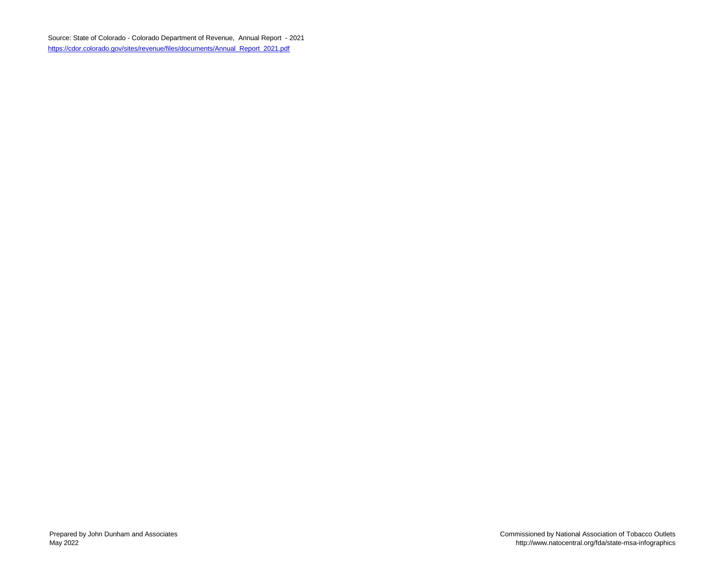Source: State of Colorado - Colorado Department of Revenue, Annual Report - 2021 [https://cdor.colorado.gov/sites/revenue/files/documents/Annual\\_Report\\_2021.pdf](https://cdor.colorado.gov/sites/revenue/files/documents/Annual_Report_2021.pdf)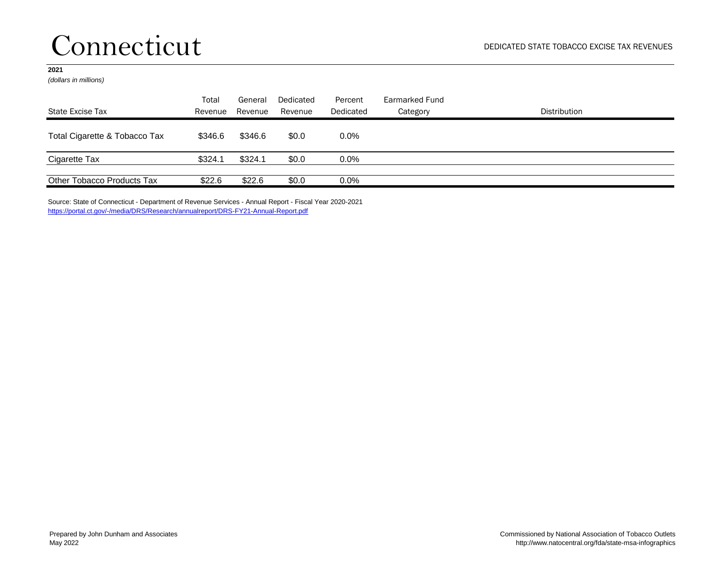### Connecticut

### **2021**

*(dollars in millions)*

| State Excise Tax              | Total<br>Revenue | General<br>Revenue | Dedicated<br>Revenue | Percent<br>Dedicated | Earmarked Fund<br>Category | Distribution |
|-------------------------------|------------------|--------------------|----------------------|----------------------|----------------------------|--------------|
| Total Cigarette & Tobacco Tax | \$346.6          | \$346.6            | \$0.0                | $0.0\%$              |                            |              |
| Cigarette Tax                 | \$324.1          | \$324.1            | \$0.0                | $0.0\%$              |                            |              |
| Other Tobacco Products Tax    | \$22.6           | \$22.6             | \$0.0                | $0.0\%$              |                            |              |

Source: State of Connecticut - Department of Revenue Services - Annual Report - Fiscal Year 2020-2021 <https://portal.ct.gov/-/media/DRS/Research/annualreport/DRS-FY21-Annual-Report.pdf>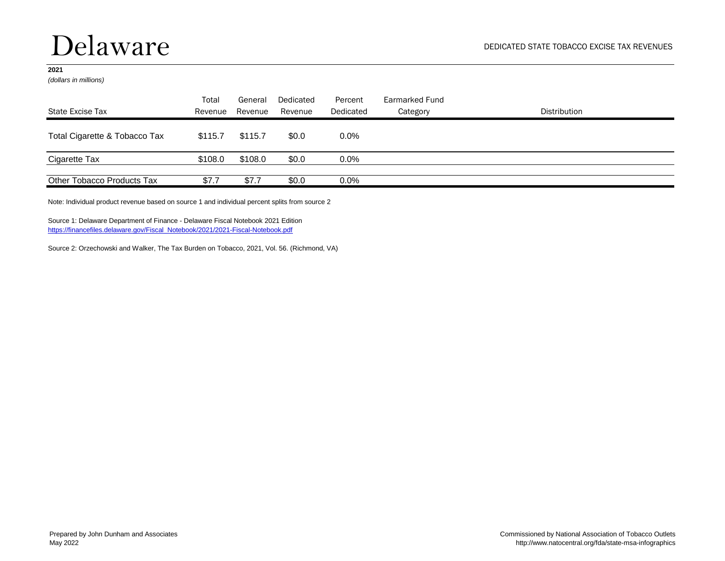### Delaware

#### **2021**

*(dollars in millions)*

| State Excise Tax              | Total<br>Revenue | General<br>Revenue | Dedicated<br>Revenue | Percent<br>Dedicated | Earmarked Fund<br>Category | Distribution |
|-------------------------------|------------------|--------------------|----------------------|----------------------|----------------------------|--------------|
| Total Cigarette & Tobacco Tax | \$115.7          | \$115.7            | \$0.0                | $0.0\%$              |                            |              |
| Cigarette Tax                 | \$108.0          | \$108.0            | \$0.0                | $0.0\%$              |                            |              |
| Other Tobacco Products Tax    | \$7.7            | \$7.7              | \$0.0                | $0.0\%$              |                            |              |

Note: Individual product revenue based on source 1 and individual percent splits from source 2

Source 1: Delaware Department of Finance - Delaware Fiscal Notebook 2021 Edition [https://financefiles.delaware.gov/Fiscal\\_Notebook/2021/2021-Fiscal-Notebook.pdf](https://financefiles.delaware.gov/Fiscal_Notebook/2021/2021-Fiscal-Notebook.pdf)

Source 2: Orzechowski and Walker, The Tax Burden on Tobacco, 2021, Vol. 56. (Richmond, VA)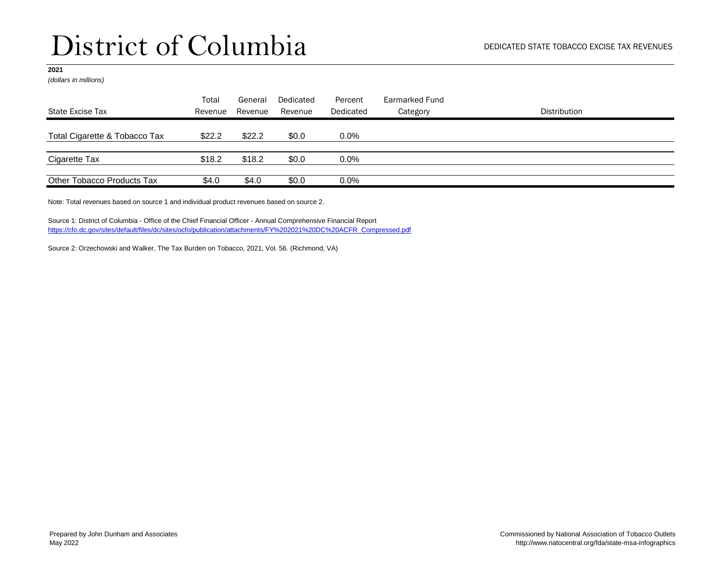*(dollars in millions)*

| State Excise Tax              | Total<br>Revenue | General<br>Revenue | Dedicated<br>Revenue | Percent<br>Dedicated | Earmarked Fund<br>Category | <b>Distribution</b> |
|-------------------------------|------------------|--------------------|----------------------|----------------------|----------------------------|---------------------|
| Total Cigarette & Tobacco Tax | \$22.2           | \$22.2             | \$0.0                | $0.0\%$              |                            |                     |
| Cigarette Tax                 | \$18.2           | \$18.2             | \$0.0                | 0.0%                 |                            |                     |
| Other Tobacco Products Tax    | \$4.0            | \$4.0              | \$0.0                | 0.0%                 |                            |                     |

Note: Total revenues based on source 1 and individual product revenues based on source 2.

Source 1: District of Columbia - Office of the Chief Financial Officer - Annual Comprehensive Financial Report [https://cfo.dc.gov/sites/default/files/dc/sites/ocfo/publication/attachments/FY%202021%20DC%20ACFR\\_Compressed.pdf](https://cfo.dc.gov/sites/default/files/dc/sites/ocfo/publication/attachments/FY 2021 DC ACFR_Compressed.pdf)

Source 2: Orzechowski and Walker, The Tax Burden on Tobacco, 2021, Vol. 56. (Richmond, VA)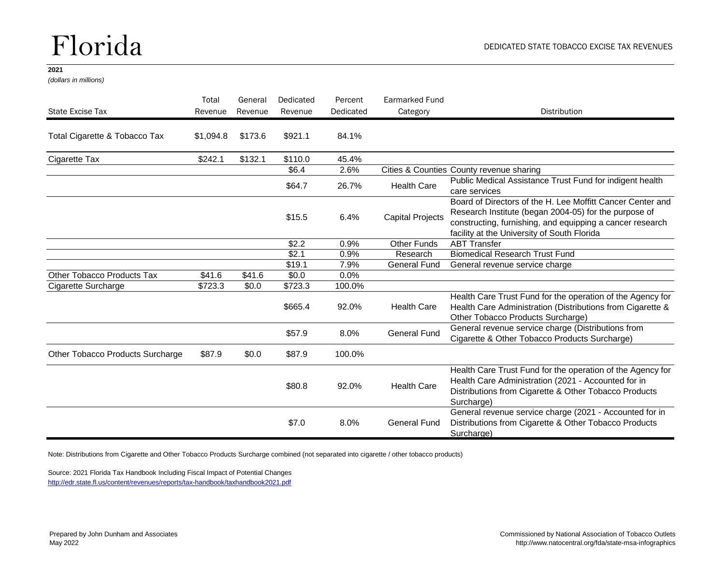### Florida

#### **2021**

*(dollars in millions)*

| State Excise Tax                 | Total<br>Revenue | General<br>Revenue | Dedicated<br>Revenue | Percent<br>Dedicated | <b>Earmarked Fund</b><br>Category | Distribution                                                                                                                                                                                                                    |
|----------------------------------|------------------|--------------------|----------------------|----------------------|-----------------------------------|---------------------------------------------------------------------------------------------------------------------------------------------------------------------------------------------------------------------------------|
| Total Cigarette & Tobacco Tax    | \$1,094.8        | \$173.6            | \$921.1              | 84.1%                |                                   |                                                                                                                                                                                                                                 |
| Cigarette Tax                    | \$242.1          | \$132.1            | \$110.0              | 45.4%                |                                   |                                                                                                                                                                                                                                 |
|                                  |                  |                    | \$6.4                | 2.6%                 |                                   | Cities & Counties County revenue sharing                                                                                                                                                                                        |
|                                  |                  |                    | \$64.7               | 26.7%                | <b>Health Care</b>                | Public Medical Assistance Trust Fund for indigent health<br>care services                                                                                                                                                       |
|                                  |                  |                    | \$15.5               | 6.4%                 | <b>Capital Projects</b>           | Board of Directors of the H. Lee Moffitt Cancer Center and<br>Research Institute (began 2004-05) for the purpose of<br>constructing, furnishing, and equipping a cancer research<br>facility at the University of South Florida |
|                                  |                  |                    | \$2.2                | 0.9%                 | <b>Other Funds</b>                | <b>ABT Transfer</b>                                                                                                                                                                                                             |
|                                  |                  |                    | \$2.1                | 0.9%                 | Research                          | <b>Biomedical Research Trust Fund</b>                                                                                                                                                                                           |
|                                  |                  |                    | \$19.1               | 7.9%                 | <b>General Fund</b>               | General revenue service charge                                                                                                                                                                                                  |
| Other Tobacco Products Tax       | \$41.6           | \$41.6             | \$0.0                | 0.0%                 |                                   |                                                                                                                                                                                                                                 |
| Cigarette Surcharge              | \$723.3          | \$0.0              | \$723.3              | 100.0%               |                                   |                                                                                                                                                                                                                                 |
|                                  |                  |                    | \$665.4              | 92.0%                | <b>Health Care</b>                | Health Care Trust Fund for the operation of the Agency for<br>Health Care Administration (Distributions from Cigarette &<br>Other Tobacco Products Surcharge)                                                                   |
|                                  |                  |                    | \$57.9               | 8.0%                 | <b>General Fund</b>               | General revenue service charge (Distributions from<br>Cigarette & Other Tobacco Products Surcharge)                                                                                                                             |
| Other Tobacco Products Surcharge | \$87.9           | \$0.0              | \$87.9               | 100.0%               |                                   |                                                                                                                                                                                                                                 |
|                                  |                  |                    | \$80.8               | 92.0%                | <b>Health Care</b>                | Health Care Trust Fund for the operation of the Agency for<br>Health Care Administration (2021 - Accounted for in<br>Distributions from Cigarette & Other Tobacco Products<br>Surcharge)                                        |
|                                  |                  |                    | \$7.0                | 8.0%                 | <b>General Fund</b>               | General revenue service charge (2021 - Accounted for in<br>Distributions from Cigarette & Other Tobacco Products<br>Surcharge)                                                                                                  |

Note: Distributions from Cigarette and Other Tobacco Products Surcharge combined (not separated into cigarette / other tobacco products)

Source: 2021 Florida Tax Handbook Including Fiscal Impact of Potential Changes <http://edr.state.fl.us/content/revenues/reports/tax-handbook/taxhandbook2021.pdf>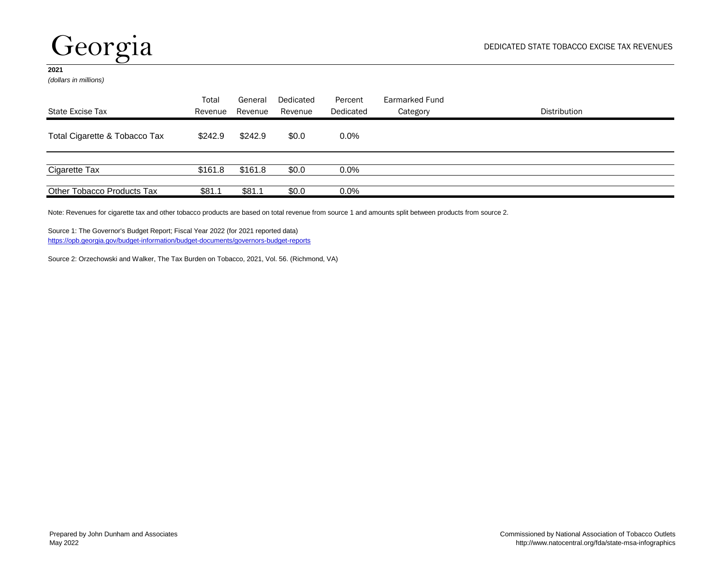## Georgia

#### **2021**

*(dollars in millions)*

|                               | Total   | General | Dedicated | Percent   | Earmarked Fund |              |
|-------------------------------|---------|---------|-----------|-----------|----------------|--------------|
| State Excise Tax              | Revenue | Revenue | Revenue   | Dedicated | Category       | Distribution |
| Total Cigarette & Tobacco Tax | \$242.9 | \$242.9 | \$0.0     | $0.0\%$   |                |              |
|                               |         |         |           |           |                |              |
| Cigarette Tax                 | \$161.8 | \$161.8 | \$0.0     | $0.0\%$   |                |              |
| Other Tobacco Products Tax    | \$81.1  | \$81.1  | \$0.0     | 0.0%      |                |              |

Note: Revenues for cigarette tax and other tobacco products are based on total revenue from source 1 and amounts split between products from source 2.

Source 1: The Governor's Budget Report; Fiscal Year 2022 (for 2021 reported data) <https://opb.georgia.gov/budget-information/budget-documents/governors-budget-reports>

Source 2: Orzechowski and Walker, The Tax Burden on Tobacco, 2021, Vol. 56. (Richmond, VA)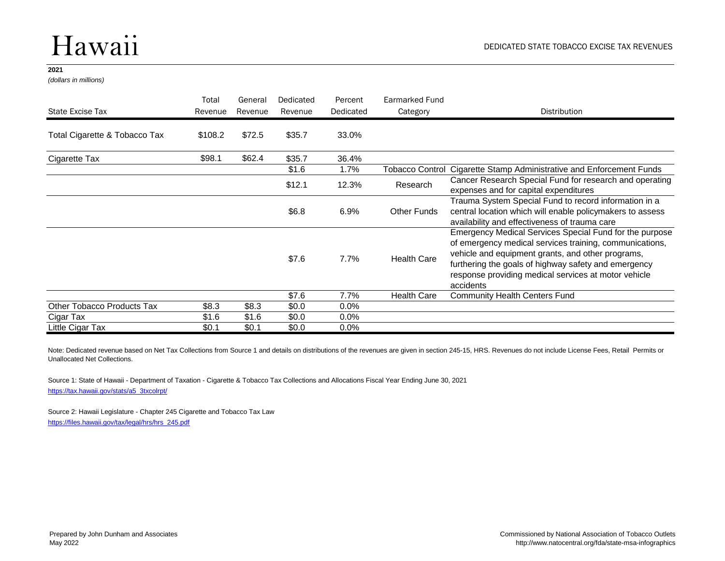### Hawaii

#### **2021**

*(dollars in millions)*

|                                   | Total   | General<br>Revenue | Dedicated<br>Revenue | Percent<br>Dedicated | Earmarked Fund<br>Category | <b>Distribution</b>                                                                                                                                                                                                                                                                                  |
|-----------------------------------|---------|--------------------|----------------------|----------------------|----------------------------|------------------------------------------------------------------------------------------------------------------------------------------------------------------------------------------------------------------------------------------------------------------------------------------------------|
| State Excise Tax                  | Revenue |                    |                      |                      |                            |                                                                                                                                                                                                                                                                                                      |
| Total Cigarette & Tobacco Tax     | \$108.2 | \$72.5             | \$35.7               | 33.0%                |                            |                                                                                                                                                                                                                                                                                                      |
| Cigarette Tax                     | \$98.1  | \$62.4             | \$35.7               | 36.4%                |                            |                                                                                                                                                                                                                                                                                                      |
|                                   |         |                    | \$1.6                | 1.7%                 |                            | Tobacco Control Cigarette Stamp Administrative and Enforcement Funds                                                                                                                                                                                                                                 |
|                                   |         |                    | \$12.1               | 12.3%                | Research                   | Cancer Research Special Fund for research and operating<br>expenses and for capital expenditures                                                                                                                                                                                                     |
|                                   |         |                    | \$6.8                | 6.9%                 | Other Funds                | Trauma System Special Fund to record information in a<br>central location which will enable policymakers to assess<br>availability and effectiveness of trauma care                                                                                                                                  |
|                                   |         |                    | \$7.6                | 7.7%                 | <b>Health Care</b>         | Emergency Medical Services Special Fund for the purpose<br>of emergency medical services training, communications,<br>vehicle and equipment grants, and other programs,<br>furthering the goals of highway safety and emergency<br>response providing medical services at motor vehicle<br>accidents |
|                                   |         |                    | \$7.6                | 7.7%                 | <b>Health Care</b>         | <b>Community Health Centers Fund</b>                                                                                                                                                                                                                                                                 |
| <b>Other Tobacco Products Tax</b> | \$8.3   | \$8.3              | \$0.0                | $0.0\%$              |                            |                                                                                                                                                                                                                                                                                                      |
| Cigar Tax                         | \$1.6   | \$1.6              | \$0.0                | $0.0\%$              |                            |                                                                                                                                                                                                                                                                                                      |
| Little Cigar Tax                  | \$0.1   | \$0.1              | \$0.0                | $0.0\%$              |                            |                                                                                                                                                                                                                                                                                                      |

Note: Dedicated revenue based on Net Tax Collections from Source 1 and details on distributions of the revenues are given in section 245-15, HRS. Revenues do not include License Fees, Retail Permits or Unallocated Net Collections.

Source 1: State of Hawaii - Department of Taxation - Cigarette & Tobacco Tax Collections and Allocations Fiscal Year Ending June 30, 2021

[https://tax.hawaii.gov/stats/a5\\_3txcolrpt/](https://tax.hawaii.gov/stats/a5_3txcolrpt/)

Source 2: Hawaii Legislature - Chapter 245 Cigarette and Tobacco Tax Law [https://files.hawaii.gov/tax/legal/hrs/hrs\\_245.pdf](https://files.hawaii.gov/tax/legal/hrs/hrs_245.pdf)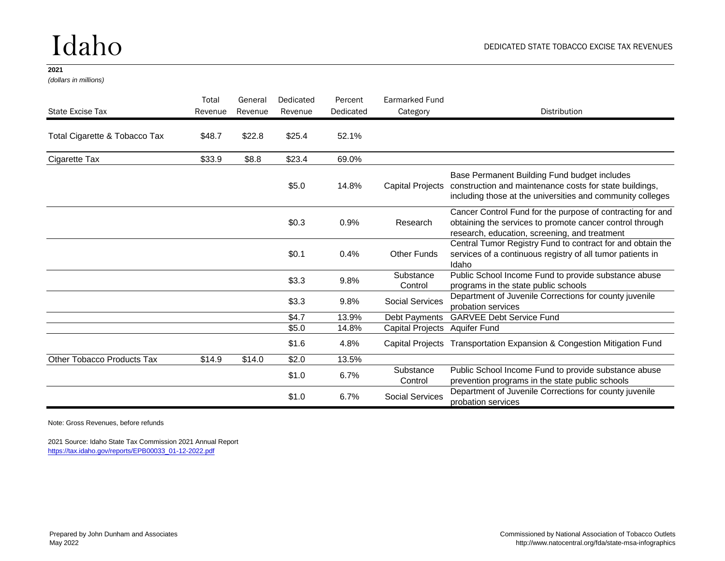## Idaho

### **2021**

*(dollars in millions)*

| State Excise Tax                  | Total<br>Revenue | General<br>Revenue | Dedicated<br>Revenue | Percent<br>Dedicated | <b>Earmarked Fund</b><br>Category | <b>Distribution</b>                                                                                                                                                                    |
|-----------------------------------|------------------|--------------------|----------------------|----------------------|-----------------------------------|----------------------------------------------------------------------------------------------------------------------------------------------------------------------------------------|
| Total Cigarette & Tobacco Tax     | \$48.7           | \$22.8             | \$25.4               | 52.1%                |                                   |                                                                                                                                                                                        |
| Cigarette Tax                     | \$33.9           | \$8.8              | \$23.4               | 69.0%                |                                   |                                                                                                                                                                                        |
|                                   |                  |                    | \$5.0                | 14.8%                |                                   | Base Permanent Building Fund budget includes<br>Capital Projects construction and maintenance costs for state buildings,<br>including those at the universities and community colleges |
|                                   |                  |                    | \$0.3                | 0.9%                 | Research                          | Cancer Control Fund for the purpose of contracting for and<br>obtaining the services to promote cancer control through<br>research, education, screening, and treatment                |
|                                   |                  |                    | \$0.1                | 0.4%                 | <b>Other Funds</b>                | Central Tumor Registry Fund to contract for and obtain the<br>services of a continuous registry of all tumor patients in<br>Idaho                                                      |
|                                   |                  |                    | \$3.3                | 9.8%                 | Substance<br>Control              | Public School Income Fund to provide substance abuse<br>programs in the state public schools                                                                                           |
|                                   |                  |                    | \$3.3                | 9.8%                 | <b>Social Services</b>            | Department of Juvenile Corrections for county juvenile<br>probation services                                                                                                           |
|                                   |                  |                    | \$4.7                | 13.9%                | Debt Payments                     | <b>GARVEE Debt Service Fund</b>                                                                                                                                                        |
|                                   |                  |                    | \$5.0                | 14.8%                | Capital Projects Aquifer Fund     |                                                                                                                                                                                        |
|                                   |                  |                    | \$1.6                | 4.8%                 |                                   | Capital Projects Transportation Expansion & Congestion Mitigation Fund                                                                                                                 |
| <b>Other Tobacco Products Tax</b> | \$14.9           | \$14.0             | \$2.0                | 13.5%                |                                   |                                                                                                                                                                                        |
|                                   |                  |                    | \$1.0                | 6.7%                 | Substance<br>Control              | Public School Income Fund to provide substance abuse<br>prevention programs in the state public schools                                                                                |
|                                   |                  |                    | \$1.0                | 6.7%                 | <b>Social Services</b>            | Department of Juvenile Corrections for county juvenile<br>probation services                                                                                                           |

Note: Gross Revenues, before refunds

2021 Source: Idaho State Tax Commission 2021 Annual Report [https://tax.idaho.gov/reports/EPB00033\\_01-12-2022.pdf](https://tax.idaho.gov/reports/EPB00033_01-12-2022.pdf)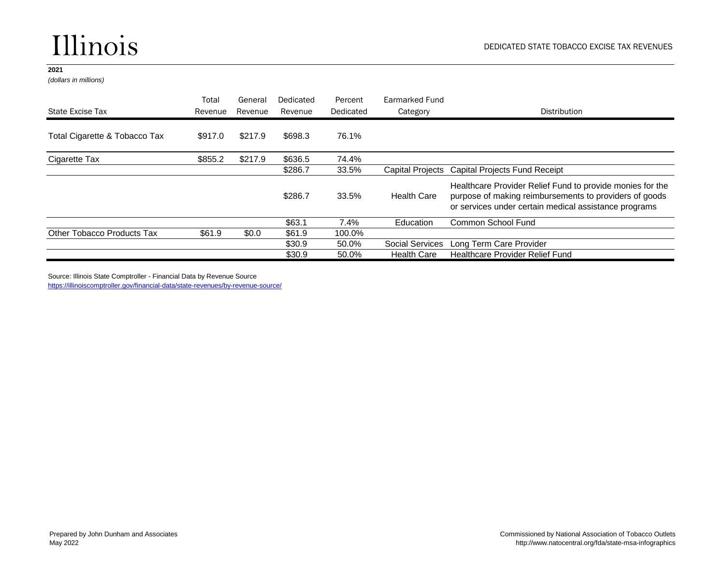### Illinois

### **2021**

*(dollars in millions)*

|                                   | Total   | General | Dedicated | Percent   | Earmarked Fund         |                                                                                                                                                                              |
|-----------------------------------|---------|---------|-----------|-----------|------------------------|------------------------------------------------------------------------------------------------------------------------------------------------------------------------------|
| State Excise Tax                  | Revenue | Revenue | Revenue   | Dedicated | Category               | Distribution                                                                                                                                                                 |
| Total Cigarette & Tobacco Tax     | \$917.0 | \$217.9 | \$698.3   | 76.1%     |                        |                                                                                                                                                                              |
| Cigarette Tax                     | \$855.2 | \$217.9 | \$636.5   | 74.4%     |                        |                                                                                                                                                                              |
|                                   |         |         | \$286.7   | 33.5%     |                        | Capital Projects Capital Projects Fund Receipt                                                                                                                               |
|                                   |         |         | \$286.7   | 33.5%     | <b>Health Care</b>     | Healthcare Provider Relief Fund to provide monies for the<br>purpose of making reimbursements to providers of goods<br>or services under certain medical assistance programs |
|                                   |         |         | \$63.1    | 7.4%      | Education              | Common School Fund                                                                                                                                                           |
| <b>Other Tobacco Products Tax</b> | \$61.9  | \$0.0   | \$61.9    | 100.0%    |                        |                                                                                                                                                                              |
|                                   |         |         | \$30.9    | 50.0%     | <b>Social Services</b> | Long Term Care Provider                                                                                                                                                      |
|                                   |         |         | \$30.9    | 50.0%     | <b>Health Care</b>     | Healthcare Provider Relief Fund                                                                                                                                              |

Source: Illinois State Comptroller - Financial Data by Revenue Source

<https://illinoiscomptroller.gov/financial-data/state-revenues/by-revenue-source/>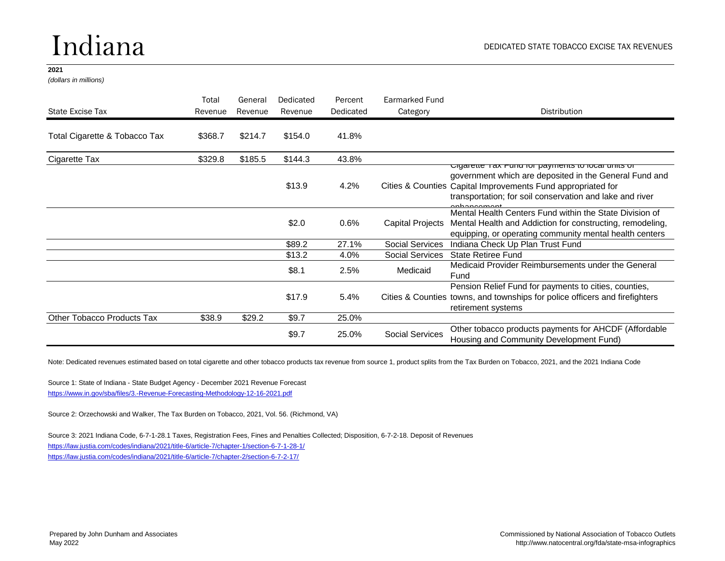## Indiana

#### **2021**

*(dollars in millions)*

|                                   | Total   | General | Dedicated | Percent   | Earmarked Fund         |                                                                                                                                                                                                                                                               |
|-----------------------------------|---------|---------|-----------|-----------|------------------------|---------------------------------------------------------------------------------------------------------------------------------------------------------------------------------------------------------------------------------------------------------------|
| State Excise Tax                  | Revenue | Revenue | Revenue   | Dedicated | Category               | <b>Distribution</b>                                                                                                                                                                                                                                           |
| Total Cigarette & Tobacco Tax     | \$368.7 | \$214.7 | \$154.0   | 41.8%     |                        |                                                                                                                                                                                                                                                               |
| Cigarette Tax                     | \$329.8 | \$185.5 | \$144.3   | 43.8%     |                        |                                                                                                                                                                                                                                                               |
|                                   |         |         | \$13.9    | 4.2%      |                        | <u>Ulgarette Tax Fund for payments to local units of</u><br>government which are deposited in the General Fund and<br>Cities & Counties Capital Improvements Fund appropriated for<br>transportation; for soil conservation and lake and river<br>anhanaamant |
|                                   |         |         | \$2.0     | 0.6%      | Capital Projects       | Mental Health Centers Fund within the State Division of<br>Mental Health and Addiction for constructing, remodeling,<br>equipping, or operating community mental health centers                                                                               |
|                                   |         |         | \$89.2    | 27.1%     | <b>Social Services</b> | Indiana Check Up Plan Trust Fund                                                                                                                                                                                                                              |
|                                   |         |         | \$13.2    | 4.0%      | <b>Social Services</b> | <b>State Retiree Fund</b>                                                                                                                                                                                                                                     |
|                                   |         |         | \$8.1     | 2.5%      | Medicaid               | Medicaid Provider Reimbursements under the General<br>Fund                                                                                                                                                                                                    |
|                                   |         |         | \$17.9    | 5.4%      |                        | Pension Relief Fund for payments to cities, counties,<br>Cities & Counties towns, and townships for police officers and firefighters<br>retirement systems                                                                                                    |
| <b>Other Tobacco Products Tax</b> | \$38.9  | \$29.2  | \$9.7     | 25.0%     |                        |                                                                                                                                                                                                                                                               |
|                                   |         |         | \$9.7     | 25.0%     | <b>Social Services</b> | Other tobacco products payments for AHCDF (Affordable<br>Housing and Community Development Fund)                                                                                                                                                              |

Note: Dedicated revenues estimated based on total cigarette and other tobacco products tax revenue from source 1, product splits from the Tax Burden on Tobacco, 2021, and the 2021 Indiana Code

Source 1: State of Indiana - State Budget Agency - December 2021 Revenue Forecast <https://www.in.gov/sba/files/3.-Revenue-Forecasting-Methodology-12-16-2021.pdf>

Source 2: Orzechowski and Walker, The Tax Burden on Tobacco, 2021, Vol. 56. (Richmond, VA)

Source 3: 2021 Indiana Code, 6-7-1-28.1 Taxes, Registration Fees, Fines and Penalties Collected; Disposition, 6-7-2-18. Deposit of Revenues <https://law.justia.com/codes/indiana/2021/title-6/article-7/chapter-1/section-6-7-1-28-1/> <https://law.justia.com/codes/indiana/2021/title-6/article-7/chapter-2/section-6-7-2-17/>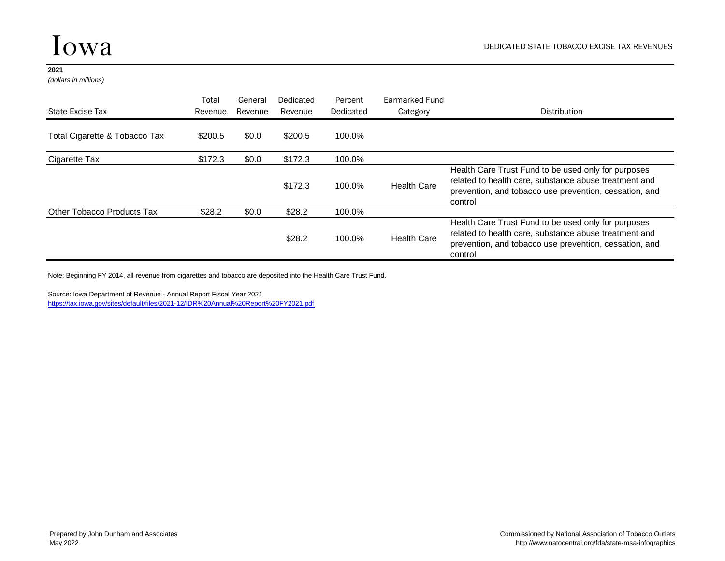*(dollars in millions)*

| State Excise Tax                  | Total<br>Revenue | General<br>Revenue | Dedicated<br>Revenue | Percent<br>Dedicated | Earmarked Fund<br>Category | Distribution                                                                                                                                                                      |
|-----------------------------------|------------------|--------------------|----------------------|----------------------|----------------------------|-----------------------------------------------------------------------------------------------------------------------------------------------------------------------------------|
|                                   |                  |                    |                      |                      |                            |                                                                                                                                                                                   |
| Total Cigarette & Tobacco Tax     | \$200.5          | \$0.0              | \$200.5              | 100.0%               |                            |                                                                                                                                                                                   |
| Cigarette Tax                     | \$172.3          | \$0.0              | \$172.3              | 100.0%               |                            |                                                                                                                                                                                   |
|                                   |                  |                    | \$172.3              | 100.0%               | <b>Health Care</b>         | Health Care Trust Fund to be used only for purposes<br>related to health care, substance abuse treatment and<br>prevention, and tobacco use prevention, cessation, and<br>control |
| <b>Other Tobacco Products Tax</b> | \$28.2           | \$0.0              | \$28.2               | 100.0%               |                            |                                                                                                                                                                                   |
|                                   |                  |                    | \$28.2               | 100.0%               | <b>Health Care</b>         | Health Care Trust Fund to be used only for purposes<br>related to health care, substance abuse treatment and<br>prevention, and tobacco use prevention, cessation, and<br>control |

Note: Beginning FY 2014, all revenue from cigarettes and tobacco are deposited into the Health Care Trust Fund.

Source: Iowa Department of Revenue - Annual Report Fiscal Year 2021

[https://tax.iowa.gov/sites/default/files/2021-12/IDR%20Annual%20Report%20FY2021.pdf](https://tax.iowa.gov/sites/default/files/2021-12/IDR Annual Report FY2021.pdf)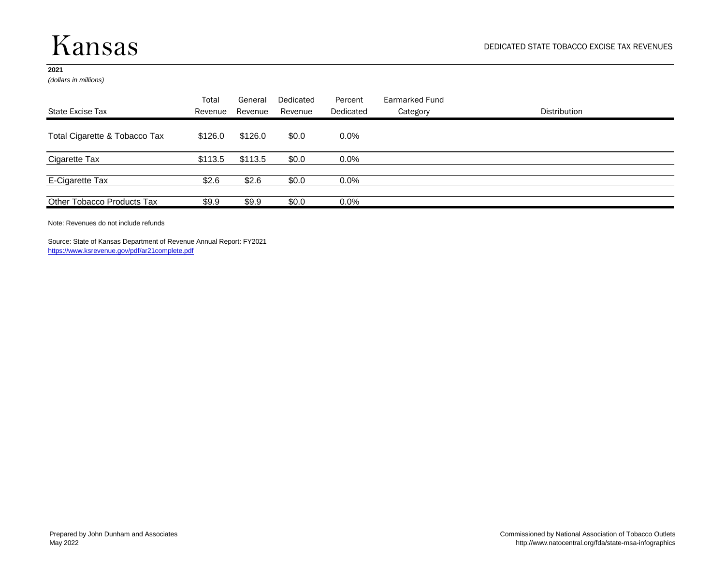### Kansas

### **2021**

*(dollars in millions)*

| State Excise Tax              | Total<br>Revenue | General<br>Revenue | Dedicated<br>Revenue | Percent<br>Dedicated | Earmarked Fund<br>Category | Distribution |
|-------------------------------|------------------|--------------------|----------------------|----------------------|----------------------------|--------------|
| Total Cigarette & Tobacco Tax | \$126.0          | \$126.0            | \$0.0                | $0.0\%$              |                            |              |
| Cigarette Tax                 | \$113.5          | \$113.5            | \$0.0                | $0.0\%$              |                            |              |
| E-Cigarette Tax               | \$2.6            | \$2.6              | \$0.0                | $0.0\%$              |                            |              |
| Other Tobacco Products Tax    | \$9.9            | \$9.9              | \$0.0                | $0.0\%$              |                            |              |

Note: Revenues do not include refunds

Source: State of Kansas Department of Revenue Annual Report: FY2021 <https://www.ksrevenue.gov/pdf/ar21complete.pdf>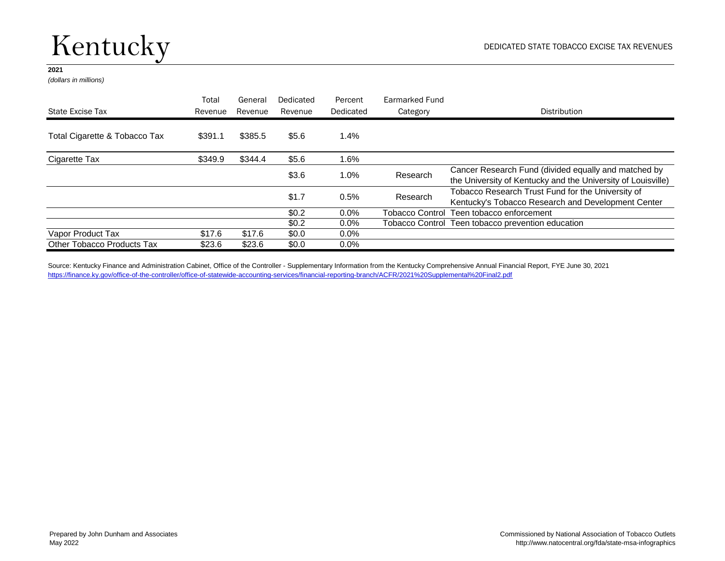## Kentucky

### **2021**

*(dollars in millions)*

|                                   | Total   | General | Dedicated | Percent   | Earmarked Fund |                                                                                                                      |
|-----------------------------------|---------|---------|-----------|-----------|----------------|----------------------------------------------------------------------------------------------------------------------|
| State Excise Tax                  | Revenue | Revenue | Revenue   | Dedicated | Category       | <b>Distribution</b>                                                                                                  |
| Total Cigarette & Tobacco Tax     | \$391.1 | \$385.5 | \$5.6     | 1.4%      |                |                                                                                                                      |
| Cigarette Tax                     | \$349.9 | \$344.4 | \$5.6     | 1.6%      |                |                                                                                                                      |
|                                   |         |         | \$3.6     | 1.0%      | Research       | Cancer Research Fund (divided equally and matched by<br>the University of Kentucky and the University of Louisville) |
|                                   |         |         | \$1.7     | 0.5%      | Research       | Tobacco Research Trust Fund for the University of<br>Kentucky's Tobacco Research and Development Center              |
|                                   |         |         | \$0.2\$   | $0.0\%$   |                | Tobacco Control Teen tobacco enforcement                                                                             |
|                                   |         |         | \$0.2     | $0.0\%$   |                | Tobacco Control Teen tobacco prevention education                                                                    |
| Vapor Product Tax                 | \$17.6  | \$17.6  | \$0.0     | $0.0\%$   |                |                                                                                                                      |
| <b>Other Tobacco Products Tax</b> | \$23.6  | \$23.6  | \$0.0     | $0.0\%$   |                |                                                                                                                      |

Source: Kentucky Finance and Administration Cabinet, Office of the Controller - Supplementary Information from the Kentucky Comprehensive Annual Financial Report, FYE June 30, 2021 [https://finance.ky.gov/office-of-the-controller/office-of-statewide-accounting-services/financial-reporting-branch/ACFR/2021%20Supplemental%20Final2.pdf](https://finance.ky.gov/office-of-the-controller/office-of-statewide-accounting-services/financial-reporting-branch/ACFR/2021 Supplemental Final2.pdf)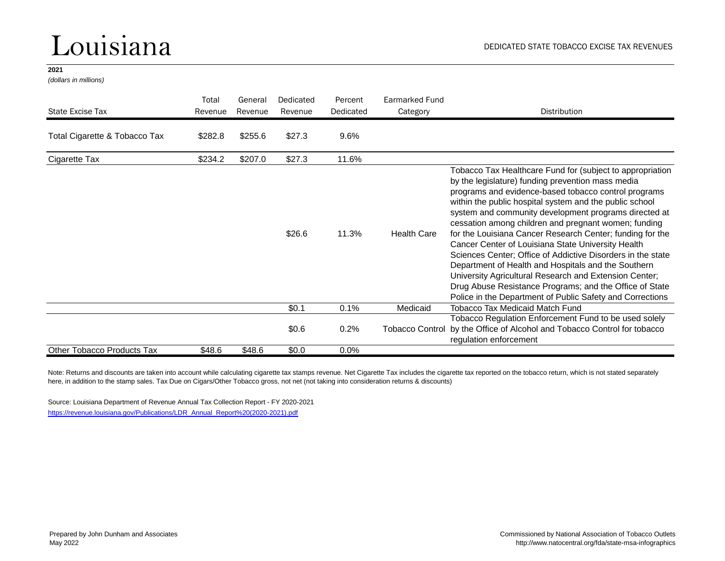### Louisiana

#### **2021**

*(dollars in millions)*

| State Excise Tax              | Total<br>Revenue | General<br>Revenue | Dedicated<br>Revenue | Percent<br>Dedicated | Earmarked Fund<br>Category | Distribution                                                                                                                                                                                                                                                                                                                                                                                                                                                                                                                                                                                                                                                                                                                                                                  |
|-------------------------------|------------------|--------------------|----------------------|----------------------|----------------------------|-------------------------------------------------------------------------------------------------------------------------------------------------------------------------------------------------------------------------------------------------------------------------------------------------------------------------------------------------------------------------------------------------------------------------------------------------------------------------------------------------------------------------------------------------------------------------------------------------------------------------------------------------------------------------------------------------------------------------------------------------------------------------------|
| Total Cigarette & Tobacco Tax | \$282.8          | \$255.6            | \$27.3               | 9.6%                 |                            |                                                                                                                                                                                                                                                                                                                                                                                                                                                                                                                                                                                                                                                                                                                                                                               |
| Cigarette Tax                 | \$234.2          | \$207.0            | \$27.3               | 11.6%                |                            |                                                                                                                                                                                                                                                                                                                                                                                                                                                                                                                                                                                                                                                                                                                                                                               |
|                               |                  |                    | \$26.6               | 11.3%                | <b>Health Care</b>         | Tobacco Tax Healthcare Fund for (subject to appropriation<br>by the legislature) funding prevention mass media<br>programs and evidence-based tobacco control programs<br>within the public hospital system and the public school<br>system and community development programs directed at<br>cessation among children and pregnant women; funding<br>for the Louisiana Cancer Research Center; funding for the<br>Cancer Center of Louisiana State University Health<br>Sciences Center; Office of Addictive Disorders in the state<br>Department of Health and Hospitals and the Southern<br>University Agricultural Research and Extension Center;<br>Drug Abuse Resistance Programs; and the Office of State<br>Police in the Department of Public Safety and Corrections |
|                               |                  |                    | \$0.1                | 0.1%                 | Medicaid                   | <b>Tobacco Tax Medicaid Match Fund</b>                                                                                                                                                                                                                                                                                                                                                                                                                                                                                                                                                                                                                                                                                                                                        |
|                               |                  |                    | \$0.6                | 0.2%                 | <b>Tobacco Control</b>     | Tobacco Regulation Enforcement Fund to be used solely<br>by the Office of Alcohol and Tobacco Control for tobacco<br>regulation enforcement                                                                                                                                                                                                                                                                                                                                                                                                                                                                                                                                                                                                                                   |
| Other Tobacco Products Tax    | \$48.6           | \$48.6             | \$0.0                | $0.0\%$              |                            |                                                                                                                                                                                                                                                                                                                                                                                                                                                                                                                                                                                                                                                                                                                                                                               |

Note: Returns and discounts are taken into account while calculating cigarette tax stamps revenue. Net Cigarette Tax includes the cigarette tax reported on the tobacco return, which is not stated separately here, in addition to the stamp sales. Tax Due on Cigars/Other Tobacco gross, not net (not taking into consideration returns & discounts)

Source: Louisiana Department of Revenue Annual Tax Collection Report - FY 2020-2021

[https://revenue.louisiana.gov/Publications/LDR\\_Annual\\_Report%20\(2020-2021\).pdf](https://revenue.louisiana.gov/Publications/LDR_Annual_Report (2020-2021).pdf)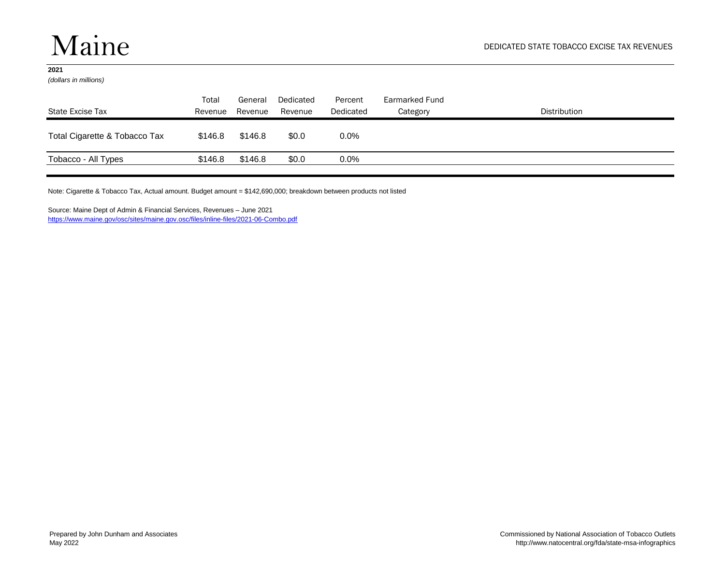*(dollars in millions)*

| State Excise Tax              | Total<br>Revenue | General<br>Revenue | Dedicated<br>Revenue | Percent<br>Dedicated | Earmarked Fund<br>Category | Distribution |
|-------------------------------|------------------|--------------------|----------------------|----------------------|----------------------------|--------------|
| Total Cigarette & Tobacco Tax | \$146.8          | \$146.8            | \$0.0                | $0.0\%$              |                            |              |
| Tobacco - All Types           | \$146.8          | \$146.8            | \$0.0                | $0.0\%$              |                            |              |

Note: Cigarette & Tobacco Tax, Actual amount. Budget amount = \$142,690,000; breakdown between products not listed

Source: Maine Dept of Admin & Financial Services, Revenues – June 2021 <https://www.maine.gov/osc/sites/maine.gov.osc/files/inline-files/2021-06-Combo.pdf>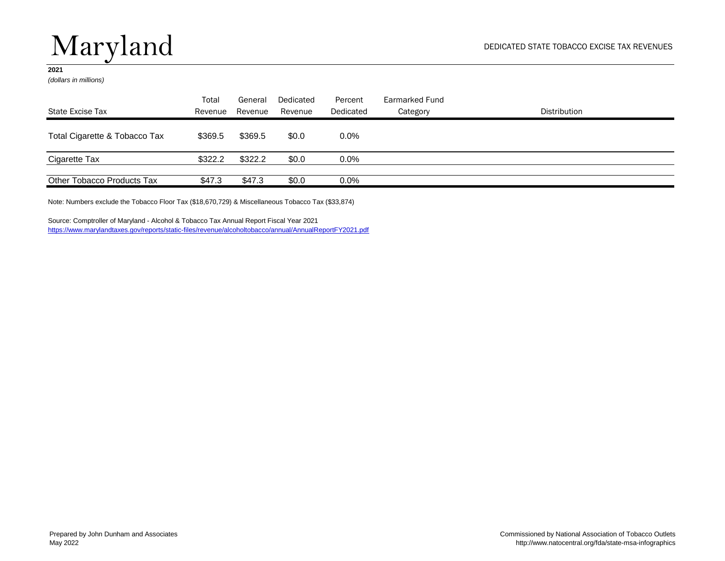# Maryland

### **2021**

*(dollars in millions)*

|                               | Total   | General | Dedicated | Percent   | Earmarked Fund |              |
|-------------------------------|---------|---------|-----------|-----------|----------------|--------------|
| State Excise Tax              | Revenue | Revenue | Revenue   | Dedicated | Category       | Distribution |
| Total Cigarette & Tobacco Tax | \$369.5 | \$369.5 | \$0.0     | $0.0\%$   |                |              |
| Cigarette Tax                 | \$322.2 | \$322.2 | \$0.0     | $0.0\%$   |                |              |
| Other Tobacco Products Tax    | \$47.3  | \$47.3  | \$0.0     | $0.0\%$   |                |              |

Note: Numbers exclude the Tobacco Floor Tax (\$18,670,729) & Miscellaneous Tobacco Tax (\$33,874)

Source: Comptroller of Maryland - Alcohol & Tobacco Tax Annual Report Fiscal Year 2021 <https://www.marylandtaxes.gov/reports/static-files/revenue/alcoholtobacco/annual/AnnualReportFY2021.pdf>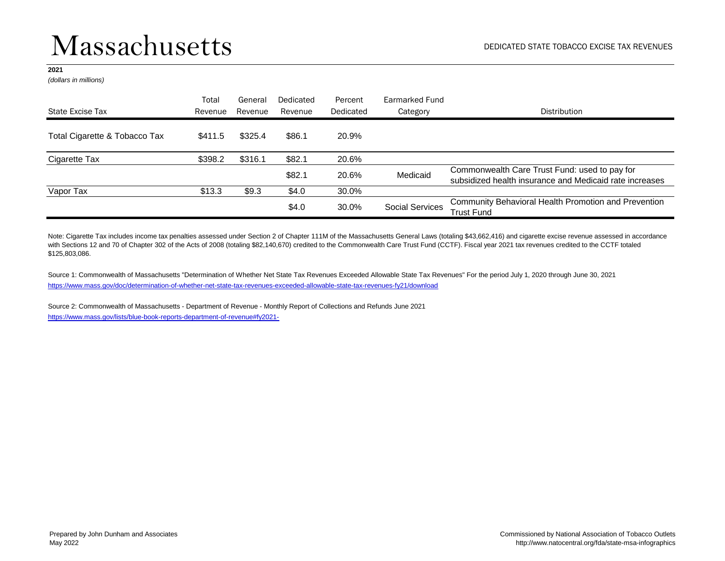*(dollars in millions)*

| State Excise Tax              | Total<br>Revenue | General<br>Revenue | Dedicated<br>Revenue | Percent<br>Dedicated | Earmarked Fund<br>Category | Distribution                                                                                             |
|-------------------------------|------------------|--------------------|----------------------|----------------------|----------------------------|----------------------------------------------------------------------------------------------------------|
|                               |                  |                    |                      |                      |                            |                                                                                                          |
| Total Cigarette & Tobacco Tax | \$411.5          | \$325.4            | \$86.1               | 20.9%                |                            |                                                                                                          |
| Cigarette Tax                 | \$398.2          | \$316.1            | \$82.1               | 20.6%                |                            |                                                                                                          |
|                               |                  |                    | \$82.1               | 20.6%                | Medicaid                   | Commonwealth Care Trust Fund: used to pay for<br>subsidized health insurance and Medicaid rate increases |
| Vapor Tax                     | \$13.3           | \$9.3              | \$4.0                | 30.0%                |                            |                                                                                                          |
|                               |                  |                    | \$4.0                | 30.0%                | <b>Social Services</b>     | <b>Community Behavioral Health Promotion and Prevention</b><br>Trust Fund                                |

Note: Cigarette Tax includes income tax penalties assessed under Section 2 of Chapter 111M of the Massachusetts General Laws (totaling \$43,662,416) and cigarette excise revenue assessed in accordance with Sections 12 and 70 of Chapter 302 of the Acts of 2008 (totaling \$82,140,670) credited to the Commonwealth Care Trust Fund (CCTF). Fiscal year 2021 tax revenues credited to the CCTF totaled \$125,803,086.

<https://www.mass.gov/doc/determination-of-whether-net-state-tax-revenues-exceeded-allowable-state-tax-revenues-fy21/download> Source 1: Commonwealth of Massachusetts "Determination of Whether Net State Tax Revenues Exceeded Allowable State Tax Revenues" For the period July 1, 2020 through June 30, 2021

Source 2: Commonwealth of Massachusetts - Department of Revenue - Monthly Report of Collections and Refunds June 2021 <https://www.mass.gov/lists/blue-book-reports-department-of-revenue#fy2021->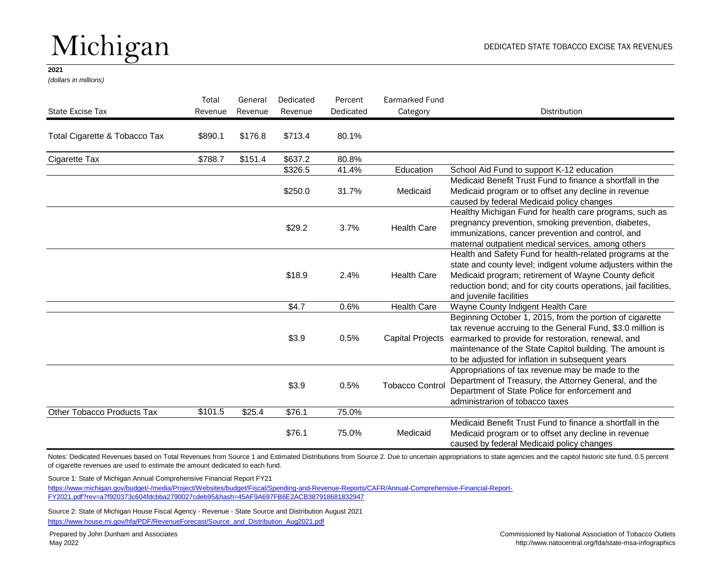# Michigan

#### **2021**

*(dollars in millions)*

| State Excise Tax              | Total<br>Revenue | General<br>Revenue | Dedicated<br>Revenue | Percent<br>Dedicated | Earmarked Fund<br>Category | <b>Distribution</b>                                                                                                                                                                                                                                                                                           |
|-------------------------------|------------------|--------------------|----------------------|----------------------|----------------------------|---------------------------------------------------------------------------------------------------------------------------------------------------------------------------------------------------------------------------------------------------------------------------------------------------------------|
| Total Cigarette & Tobacco Tax | \$890.1          | \$176.8            | \$713.4              | 80.1%                |                            |                                                                                                                                                                                                                                                                                                               |
| Cigarette Tax                 | \$788.7          | \$151.4            | \$637.2              | 80.8%                |                            |                                                                                                                                                                                                                                                                                                               |
|                               |                  |                    | \$326.5              | 41.4%                | Education                  | School Aid Fund to support K-12 education                                                                                                                                                                                                                                                                     |
|                               |                  |                    | \$250.0              | 31.7%                | Medicaid                   | Medicaid Benefit Trust Fund to finance a shortfall in the<br>Medicaid program or to offset any decline in revenue<br>caused by federal Medicaid policy changes                                                                                                                                                |
|                               |                  |                    | \$29.2               | 3.7%                 | <b>Health Care</b>         | Healthy Michigan Fund for health care programs, such as<br>pregnancy prevention, smoking prevention, diabetes,<br>immunizations, cancer prevention and control, and<br>maternal outpatient medical services, among others                                                                                     |
|                               |                  |                    | \$18.9               | 2.4%                 | <b>Health Care</b>         | Health and Safety Fund for health-related programs at the<br>state and county level; indigent volume adjusters within the<br>Medicaid program; retirement of Wayne County deficit<br>reduction bond; and for city courts operations, jail facilities,<br>and juvenile facilities                              |
|                               |                  |                    | \$4.7                | 0.6%                 | <b>Health Care</b>         | Wayne County Indigent Health Care                                                                                                                                                                                                                                                                             |
|                               |                  |                    | \$3.9                | 0.5%                 |                            | Beginning October 1, 2015, from the portion of cigarette<br>tax revenue accruing to the General Fund, \$3.0 million is<br>Capital Projects earmarked to provide for restoration, renewal, and<br>maintenance of the State Capitol building. The amount is<br>to be adjusted for inflation in subsequent years |
|                               |                  |                    | \$3.9                | 0.5%                 | <b>Tobacco Control</b>     | Appropriations of tax revenue may be made to the<br>Department of Treasury, the Attorney General, and the<br>Department of State Police for enforcement and<br>administrarion of tobacco taxes                                                                                                                |
| Other Tobacco Products Tax    | \$101.5          | \$25.4             | \$76.1               | 75.0%                |                            |                                                                                                                                                                                                                                                                                                               |
|                               |                  |                    | \$76.1               | 75.0%                | Medicaid                   | Medicaid Benefit Trust Fund to finance a shortfall in the<br>Medicaid program or to offset any decline in revenue<br>caused by federal Medicaid policy changes                                                                                                                                                |

Notes: Dedicated Revenues based on Total Revenues from Source 1 and Estimated Distributions from Source 2. Due to uncertain appropriations to state agencies and the capitol historic site fund, 0.5 percent of cigarette revenues are used to estimate the amount dedicated to each fund.

Source 1: State of Michigan Annual Comprehensive Financial Report FY21

[https://www.michigan.gov/budget/-/media/Projec](https://www.michigan.gov/budget/-/media/Project/Websites/budget/Fiscal/Spending-and-Revenue-Reports/CAFR/Annual-Comprehensive-Financial-Report-FY2021.pdf?rev=a7f920373c604fdcbba2790027cdeb95&hash=45AF9A697FB6E2ACB387918681832947)t/Websites/budget/Fiscal/Spending-and-Revenue-Reports/CAFR/Annual-Comprehensive-Financial-Report-[FY2021.pdf?rev=a7f920373c604fdcbba2790027](https://www.michigan.gov/budget/-/media/Project/Websites/budget/Fiscal/Spending-and-Revenue-Reports/CAFR/Annual-Comprehensive-Financial-Report-FY2021.pdf?rev=a7f920373c604fdcbba2790027cdeb95&hash=45AF9A697FB6E2ACB387918681832947)cdeb95&hash=45AF9A697FB6E2ACB387918681832947

Source 2: State of Michigan House Fiscal Agency - Revenue - State Source and Distribution August 2021 [https://www.house.mi.gov/hfa/PDF/RevenueForecast/Source\\_and\\_Distribution\\_Aug2021.pdf](https://www.house.mi.gov/hfa/PDF/RevenueForecast/Source_and_Distribution_Aug2021.pdf)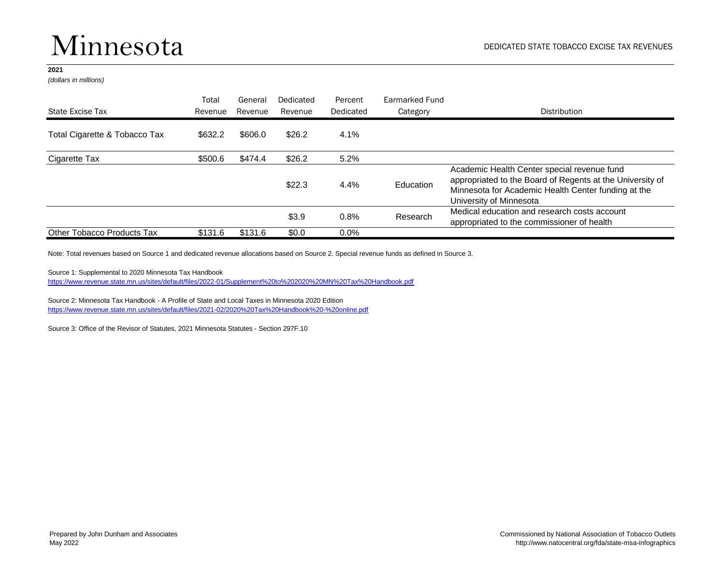### Minnesota

#### **2021**

*(dollars in millions)*

|                               | Total   | General | Dedicated | Percent   | Earmarked Fund |                                                                                                                                                                                            |
|-------------------------------|---------|---------|-----------|-----------|----------------|--------------------------------------------------------------------------------------------------------------------------------------------------------------------------------------------|
| State Excise Tax              | Revenue | Revenue | Revenue   | Dedicated | Category       | Distribution                                                                                                                                                                               |
| Total Cigarette & Tobacco Tax | \$632.2 | \$606.0 | \$26.2    | 4.1%      |                |                                                                                                                                                                                            |
| Cigarette Tax                 | \$500.6 | \$474.4 | \$26.2    | 5.2%      |                |                                                                                                                                                                                            |
|                               |         |         | \$22.3    | 4.4%      | Education      | Academic Health Center special revenue fund<br>appropriated to the Board of Regents at the University of<br>Minnesota for Academic Health Center funding at the<br>University of Minnesota |
|                               |         |         | \$3.9     | 0.8%      | Research       | Medical education and research costs account<br>appropriated to the commissioner of health                                                                                                 |
| Other Tobacco Products Tax    | \$131.6 | \$131.6 | \$0.0     | $0.0\%$   |                |                                                                                                                                                                                            |

Note: Total revenues based on Source 1 and dedicated revenue allocations based on Source 2. Special revenue funds as defined in Source 3.

Source 1: Supplemental to 2020 Minnesota Tax Handbook

[https://www.revenue.state.mn.us/sites/default/files/2022-01/Supplement%20to%202020%20MN%20Tax%20Handbook.pdf](https://www.revenue.state.mn.us/sites/default/files/2022-01/Supplement to 2020 MN Tax Handbook.pdf)

Source 2: Minnesota Tax Handbook - A Profile of State and Local Taxes in Minnesota 2020 Edition [https://www.revenue.state.mn.us/sites/default/files/2021-02/2020%20Tax%20Handbook%20-%20online.pdf](https://www.revenue.state.mn.us/sites/default/files/2021-02/2020 Tax Handbook - online.pdf)

Source 3: Office of the Revisor of Statutes, 2021 Minnesota Statutes - Section 297F.10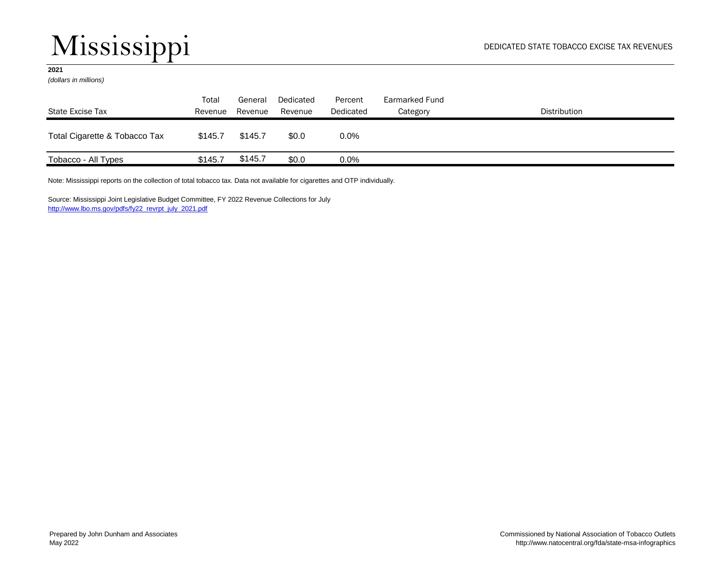## Mississippi

### **2021**

*(dollars in millions)*

| State Excise Tax              | Total<br>Revenue | General<br>Revenue | Dedicated<br>Revenue | Percent<br>Dedicated | Earmarked Fund<br>Category | Distribution |
|-------------------------------|------------------|--------------------|----------------------|----------------------|----------------------------|--------------|
| Total Cigarette & Tobacco Tax | \$145.7          | \$145.7            | \$0.0                | $0.0\%$              |                            |              |
| Tobacco - All Types           | \$145.7          | \$145.7            | \$0.0                | $0.0\%$              |                            |              |

Note: Mississippi reports on the collection of total tobacco tax. Data not available for cigarettes and OTP individually.

Source: Mississippi Joint Legislative Budget Committee, FY 2022 Revenue Collections for July [http://www.lbo.ms.gov/pdfs/fy22\\_revrpt\\_july\\_2021.pdf](http://www.lbo.ms.gov/pdfs/fy22_revrpt_july_2021.pdf)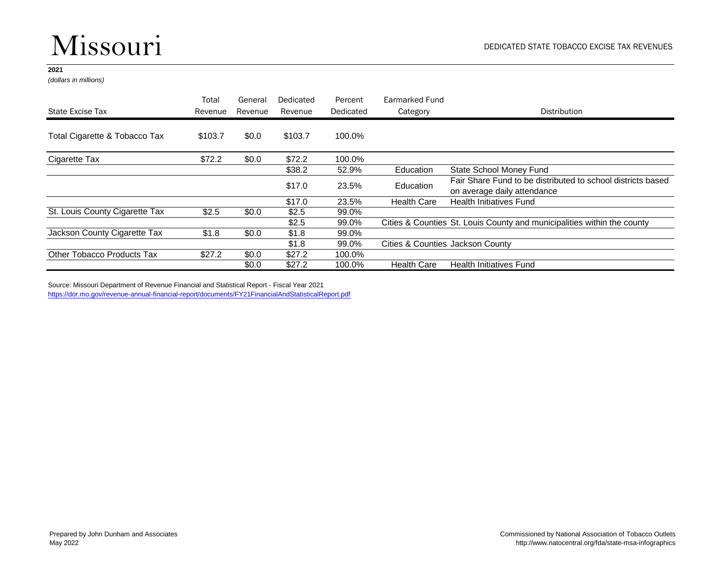## Missouri

### **2021**

*(dollars in millions)*

|                                | Total   | General | Dedicated | Percent   | Earmarked Fund     |                                                                         |
|--------------------------------|---------|---------|-----------|-----------|--------------------|-------------------------------------------------------------------------|
| State Excise Tax               | Revenue | Revenue | Revenue   | Dedicated | Category           | Distribution                                                            |
| Total Cigarette & Tobacco Tax  | \$103.7 | \$0.0   | \$103.7   | 100.0%    |                    |                                                                         |
| Cigarette Tax                  | \$72.2  | \$0.0   | \$72.2    | 100.0%    |                    |                                                                         |
|                                |         |         | \$38.2    | 52.9%     | Education          | State School Money Fund                                                 |
|                                |         |         | \$17.0    | 23.5%     | Education          | Fair Share Fund to be distributed to school districts based             |
|                                |         |         |           |           |                    | on average daily attendance                                             |
|                                |         |         | \$17.0    | 23.5%     | <b>Health Care</b> | <b>Health Initiatives Fund</b>                                          |
| St. Louis County Cigarette Tax | \$2.5   | \$0.0   | \$2.5     | 99.0%     |                    |                                                                         |
|                                |         |         | \$2.5     | 99.0%     |                    | Cities & Counties St. Louis County and municipalities within the county |
| Jackson County Cigarette Tax   | \$1.8   | \$0.0   | \$1.8     | 99.0%     |                    |                                                                         |
|                                |         |         | \$1.8     | 99.0%     |                    | Cities & Counties Jackson County                                        |
| Other Tobacco Products Tax     | \$27.2  | \$0.0   | \$27.2    | 100.0%    |                    |                                                                         |
|                                |         | \$0.0   | \$27.2    | 100.0%    | <b>Health Care</b> | <b>Health Initiatives Fund</b>                                          |

Source: Missouri Department of Revenue Financial and Statistical Report - Fiscal Year 2021 <https://dor.mo.gov/revenue-annual-financial-report/documents/FY21FinancialAndStatisticalReport.pdf>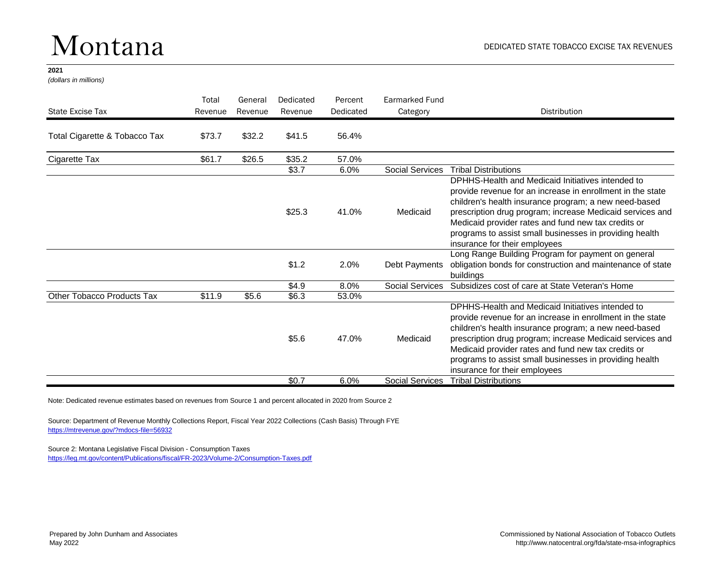### Montana

#### **2021**

*(dollars in millions)*

| State Excise Tax              | Total<br>Revenue | General<br>Revenue | Dedicated<br>Revenue | Percent<br>Dedicated | Earmarked Fund<br>Category | <b>Distribution</b>                                                                                                                                                                                                                                                                                                                                                                      |
|-------------------------------|------------------|--------------------|----------------------|----------------------|----------------------------|------------------------------------------------------------------------------------------------------------------------------------------------------------------------------------------------------------------------------------------------------------------------------------------------------------------------------------------------------------------------------------------|
| Total Cigarette & Tobacco Tax | \$73.7           | \$32.2             | \$41.5               | 56.4%                |                            |                                                                                                                                                                                                                                                                                                                                                                                          |
| Cigarette Tax                 | \$61.7           | \$26.5             | \$35.2               | 57.0%                |                            |                                                                                                                                                                                                                                                                                                                                                                                          |
|                               |                  |                    | \$3.7                | 6.0%                 | <b>Social Services</b>     | <b>Tribal Distributions</b>                                                                                                                                                                                                                                                                                                                                                              |
|                               |                  |                    | \$25.3               | 41.0%                | Medicaid                   | DPHHS-Health and Medicaid Initiatives intended to<br>provide revenue for an increase in enrollment in the state<br>children's health insurance program; a new need-based<br>prescription drug program; increase Medicaid services and<br>Medicaid provider rates and fund new tax credits or<br>programs to assist small businesses in providing health<br>insurance for their employees |
|                               |                  |                    | \$1.2                | 2.0%                 | Debt Payments              | Long Range Building Program for payment on general<br>obligation bonds for construction and maintenance of state<br>buildings                                                                                                                                                                                                                                                            |
|                               |                  |                    | \$4.9                | 8.0%                 | Social Services            | Subsidizes cost of care at State Veteran's Home                                                                                                                                                                                                                                                                                                                                          |
| Other Tobacco Products Tax    | \$11.9           | \$5.6              | \$6.3                | 53.0%                |                            |                                                                                                                                                                                                                                                                                                                                                                                          |
|                               |                  |                    | \$5.6                | 47.0%                | Medicaid                   | DPHHS-Health and Medicaid Initiatives intended to<br>provide revenue for an increase in enrollment in the state<br>children's health insurance program; a new need-based<br>prescription drug program; increase Medicaid services and<br>Medicaid provider rates and fund new tax credits or<br>programs to assist small businesses in providing health<br>insurance for their employees |
|                               |                  |                    | \$0.7                | 6.0%                 | <b>Social Services</b>     | <b>Tribal Distributions</b>                                                                                                                                                                                                                                                                                                                                                              |

Note: Dedicated revenue estimates based on revenues from Source 1 and percent allocated in 2020 from Source 2

Source: Department of Revenue Monthly Collections Report, Fiscal Year 2022 Collections (Cash Basis) Through FYE <https://mtrevenue.gov/?mdocs-file=56932>

Source 2: Montana Legislative Fiscal Division - Consumption Taxes

<https://leg.mt.gov/content/Publications/fiscal/FR-2023/Volume-2/Consumption-Taxes.pdf>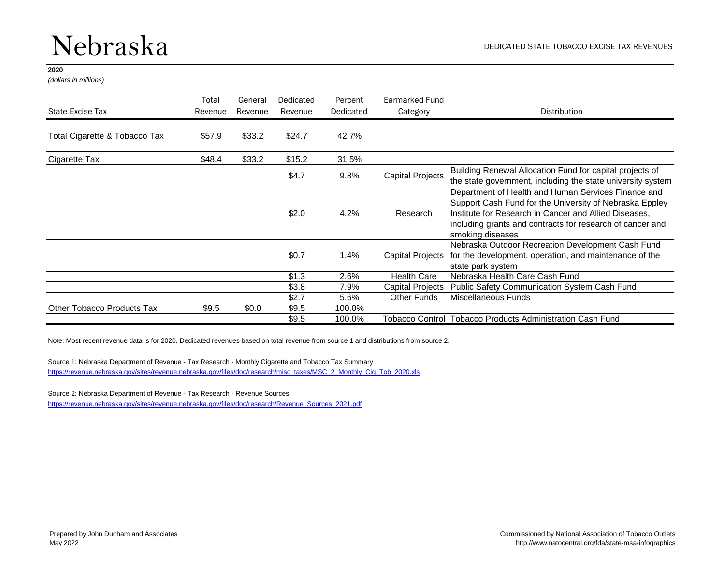### Nebraska

#### **2020**

*(dollars in millions)*

|                               | Total   | General | Dedicated | Percent   | Earmarked Fund          |                                                                                                                                                                                                                                                          |
|-------------------------------|---------|---------|-----------|-----------|-------------------------|----------------------------------------------------------------------------------------------------------------------------------------------------------------------------------------------------------------------------------------------------------|
| State Excise Tax              | Revenue | Revenue | Revenue   | Dedicated | Category                | <b>Distribution</b>                                                                                                                                                                                                                                      |
| Total Cigarette & Tobacco Tax | \$57.9  | \$33.2  | \$24.7    | 42.7%     |                         |                                                                                                                                                                                                                                                          |
| Cigarette Tax                 | \$48.4  | \$33.2  | \$15.2    | 31.5%     |                         |                                                                                                                                                                                                                                                          |
|                               |         |         | \$4.7     | 9.8%      | <b>Capital Projects</b> | Building Renewal Allocation Fund for capital projects of<br>the state government, including the state university system                                                                                                                                  |
|                               |         |         | \$2.0     | 4.2%      | Research                | Department of Health and Human Services Finance and<br>Support Cash Fund for the University of Nebraska Eppley<br>Institute for Research in Cancer and Allied Diseases.<br>including grants and contracts for research of cancer and<br>smoking diseases |
|                               |         |         | \$0.7     | 1.4%      | <b>Capital Projects</b> | Nebraska Outdoor Recreation Development Cash Fund<br>for the development, operation, and maintenance of the<br>state park system                                                                                                                         |
|                               |         |         | \$1.3     | 2.6%      | <b>Health Care</b>      | Nebraska Health Care Cash Fund                                                                                                                                                                                                                           |
|                               |         |         | \$3.8     | 7.9%      | <b>Capital Projects</b> | Public Safety Communication System Cash Fund                                                                                                                                                                                                             |
|                               |         |         | \$2.7     | 5.6%      | <b>Other Funds</b>      | Miscellaneous Funds                                                                                                                                                                                                                                      |
| Other Tobacco Products Tax    | \$9.5   | \$0.0   | \$9.5     | 100.0%    |                         |                                                                                                                                                                                                                                                          |
|                               |         |         | \$9.5     | 100.0%    |                         | Tobacco Control Tobacco Products Administration Cash Fund                                                                                                                                                                                                |

Note: Most recent revenue data is for 2020. Dedicated revenues based on total revenue from source 1 and distributions from source 2.

Source 1: Nebraska Department of Revenue - Tax Research - Monthly Cigarette and Tobacco Tax Summary [https://revenue.nebraska.gov/sites/revenue.nebraska.gov/files/doc/research/misc\\_taxes/MSC\\_2\\_Monthly\\_Cig\\_Tob\\_2020.xls](https://revenue.nebraska.gov/sites/revenue.nebraska.gov/files/doc/research/misc_taxes/MSC_2_Monthly_Cig_Tob_2020.xls)

Source 2: Nebraska Department of Revenue - Tax Research - Revenue Sources

[https://revenue.nebraska.gov/sites/revenue.nebraska.gov/files/doc/research/Revenue\\_Sources\\_2021.pdf](https://revenue.nebraska.gov/sites/revenue.nebraska.gov/files/doc/research/Revenue_Sources_2021.pdf)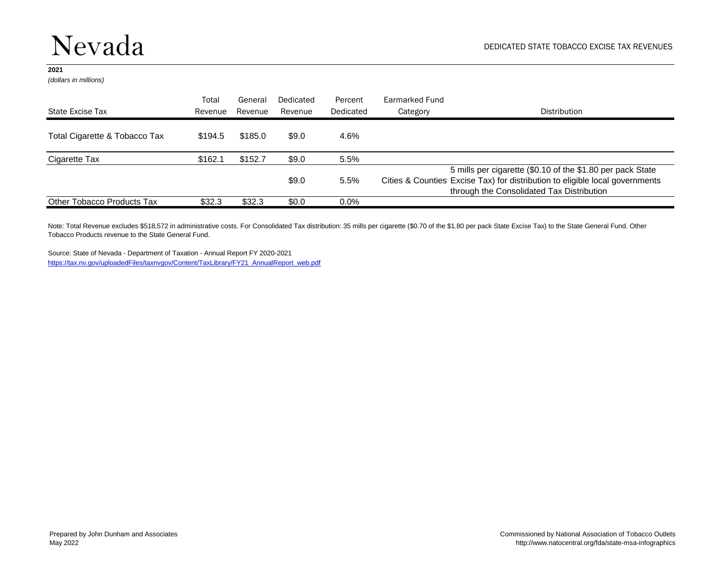*(dollars in millions)*

| State Excise Tax              | Total<br>Revenue | General<br>Revenue | Dedicated<br>Revenue | Percent<br>Dedicated | Earmarked Fund<br>Category | Distribution                                                                                                                                                                            |
|-------------------------------|------------------|--------------------|----------------------|----------------------|----------------------------|-----------------------------------------------------------------------------------------------------------------------------------------------------------------------------------------|
| Total Cigarette & Tobacco Tax | \$194.5          | \$185.0            | \$9.0                | 4.6%                 |                            |                                                                                                                                                                                         |
| Cigarette Tax                 | \$162.1          | \$152.7            | \$9.0                | 5.5%                 |                            |                                                                                                                                                                                         |
|                               |                  |                    | \$9.0                | 5.5%                 |                            | 5 mills per cigarette (\$0.10 of the \$1.80 per pack State<br>Cities & Counties Excise Tax) for distribution to eligible local governments<br>through the Consolidated Tax Distribution |
| Other Tobacco Products Tax    | \$32.3           | \$32.3             | \$0.0                | $0.0\%$              |                            |                                                                                                                                                                                         |

Note: Total Revenue excludes \$518,572 in administrative costs. For Consolidated Tax distribution: 35 mills per cigarette (\$0.70 of the \$1.80 per pack State Excise Tax) to the State General Fund. Other Tobacco Products revenue to the State General Fund.

Source: State of Nevada - Department of Taxation - Annual Report FY 2020-2021 [https://tax.nv.gov/uploadedFiles/taxnvgov/Content/TaxLibrary/FY21\\_AnnualReport\\_web.pdf](https://tax.nv.gov/uploadedFiles/taxnvgov/Content/TaxLibrary/FY21_AnnualReport_web.pdf)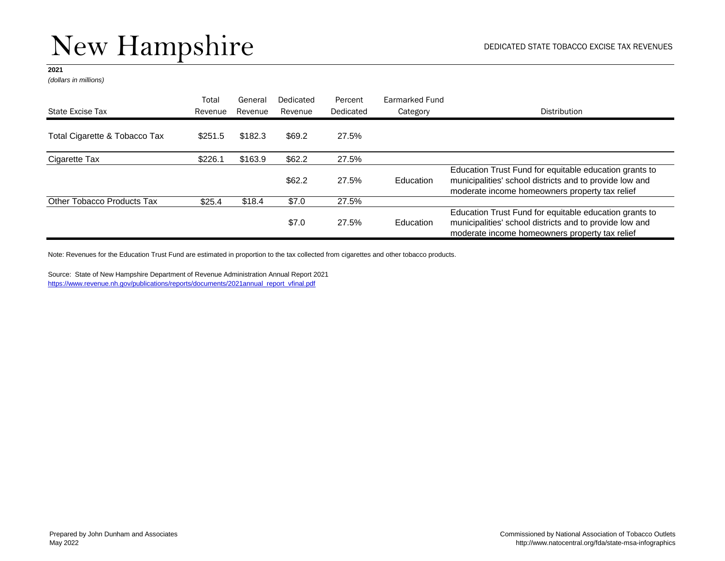*(dollars in millions)*

| State Excise Tax              | Total<br>Revenue | General<br>Revenue | Dedicated<br>Revenue | Percent<br>Dedicated | Earmarked Fund<br>Category | Distribution                                                                                                                                                        |
|-------------------------------|------------------|--------------------|----------------------|----------------------|----------------------------|---------------------------------------------------------------------------------------------------------------------------------------------------------------------|
| Total Cigarette & Tobacco Tax | \$251.5          | \$182.3            | \$69.2               | 27.5%                |                            |                                                                                                                                                                     |
| Cigarette Tax                 | \$226.1          | \$163.9            | \$62.2\$             | 27.5%                |                            |                                                                                                                                                                     |
|                               |                  |                    | \$62.2               | 27.5%                | Education                  | Education Trust Fund for equitable education grants to<br>municipalities' school districts and to provide low and<br>moderate income homeowners property tax relief |
| Other Tobacco Products Tax    | \$25.4           | \$18.4             | \$7.0                | 27.5%                |                            |                                                                                                                                                                     |
|                               |                  |                    | \$7.0                | 27.5%                | Education                  | Education Trust Fund for equitable education grants to<br>municipalities' school districts and to provide low and<br>moderate income homeowners property tax relief |

Note: Revenues for the Education Trust Fund are estimated in proportion to the tax collected from cigarettes and other tobacco products.

Source: State of New Hampshire Department of Revenue Administration Annual Report 2021 [https://www.revenue.nh.gov/publications/reports/documents/2021annual\\_report\\_vfinal.pdf](https://www.revenue.nh.gov/publications/reports/documents/2021annual_report_vfinal.pdf)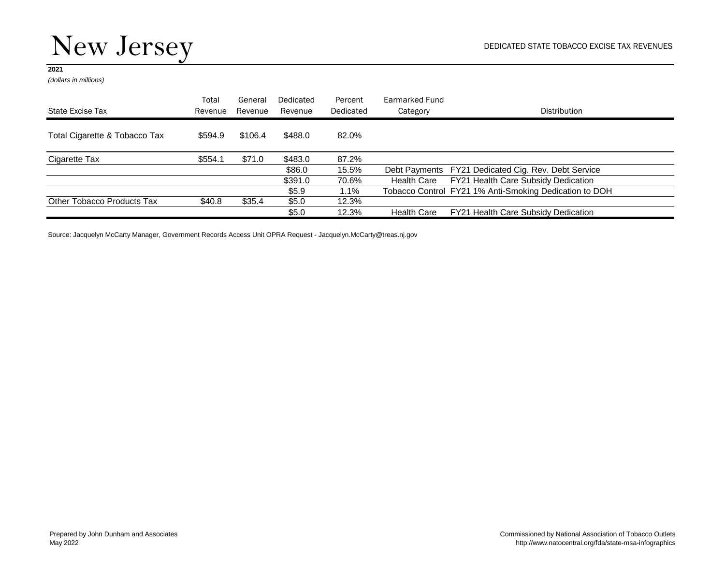*(dollars in millions)*

| State Excise Tax              | Total<br>Revenue | General<br>Revenue | Dedicated<br>Revenue | Percent<br>Dedicated | Earmarked Fund<br>Category | Distribution                                           |
|-------------------------------|------------------|--------------------|----------------------|----------------------|----------------------------|--------------------------------------------------------|
|                               |                  |                    |                      |                      |                            |                                                        |
| Total Cigarette & Tobacco Tax | \$594.9          | \$106.4            | \$488.0              | 82.0%                |                            |                                                        |
| Cigarette Tax                 | \$554.1          | \$71.0             | \$483.0              | 87.2%                |                            |                                                        |
|                               |                  |                    | \$86.0               | 15.5%                |                            | Debt Payments FY21 Dedicated Cig. Rev. Debt Service    |
|                               |                  |                    | \$391.0              | 70.6%                | Health Care                | FY21 Health Care Subsidy Dedication                    |
|                               |                  |                    | \$5.9                | $1.1\%$              |                            | Tobacco Control FY21 1% Anti-Smoking Dedication to DOH |
| Other Tobacco Products Tax    | \$40.8           | \$35.4             | \$5.0                | 12.3%                |                            |                                                        |
|                               |                  |                    | \$5.0                | 12.3%                | <b>Health Care</b>         | FY21 Health Care Subsidy Dedication                    |

Source: Jacquelyn McCarty Manager, Government Records Access Unit OPRA Request - Jacquelyn.McCarty@treas.nj.gov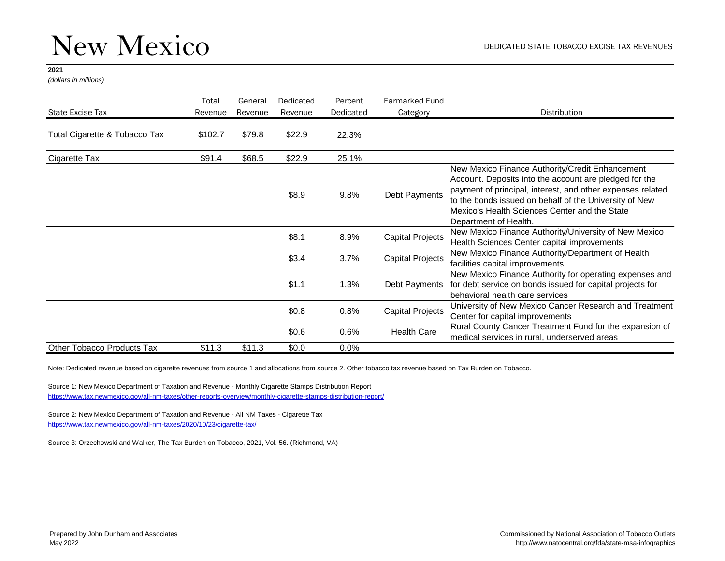*(dollars in millions)*

| State Excise Tax              | Total<br>Revenue | General<br>Revenue | Dedicated<br>Revenue | Percent<br>Dedicated | Earmarked Fund<br>Category                                                                                                                              | Distribution                                                                                                                                                                                                                                                                                                |
|-------------------------------|------------------|--------------------|----------------------|----------------------|---------------------------------------------------------------------------------------------------------------------------------------------------------|-------------------------------------------------------------------------------------------------------------------------------------------------------------------------------------------------------------------------------------------------------------------------------------------------------------|
| Total Cigarette & Tobacco Tax | \$102.7          | \$79.8             | \$22.9               | 22.3%                |                                                                                                                                                         |                                                                                                                                                                                                                                                                                                             |
| Cigarette Tax                 | \$91.4           | \$68.5             | \$22.9               | 25.1%                |                                                                                                                                                         |                                                                                                                                                                                                                                                                                                             |
|                               |                  |                    | \$8.9                | 9.8%                 | Debt Payments                                                                                                                                           | New Mexico Finance Authority/Credit Enhancement<br>Account. Deposits into the account are pledged for the<br>payment of principal, interest, and other expenses related<br>to the bonds issued on behalf of the University of New<br>Mexico's Health Sciences Center and the State<br>Department of Health. |
|                               |                  |                    | \$8.1                | 8.9%                 | <b>Capital Projects</b>                                                                                                                                 | New Mexico Finance Authority/University of New Mexico<br>Health Sciences Center capital improvements                                                                                                                                                                                                        |
|                               |                  |                    | \$3.4                | 3.7%                 | <b>Capital Projects</b>                                                                                                                                 | New Mexico Finance Authority/Department of Health<br>facilities capital improvements                                                                                                                                                                                                                        |
|                               |                  | \$1.1              | 1.3%                 | Debt Payments        | New Mexico Finance Authority for operating expenses and<br>for debt service on bonds issued for capital projects for<br>behavioral health care services |                                                                                                                                                                                                                                                                                                             |
|                               |                  |                    | \$0.8                | 0.8%                 | <b>Capital Projects</b>                                                                                                                                 | University of New Mexico Cancer Research and Treatment<br>Center for capital improvements                                                                                                                                                                                                                   |
|                               |                  |                    | \$0.6\$              | 0.6%                 | <b>Health Care</b>                                                                                                                                      | Rural County Cancer Treatment Fund for the expansion of<br>medical services in rural, underserved areas                                                                                                                                                                                                     |
| Other Tobacco Products Tax    | \$11.3           | \$11.3             | \$0.0                | $0.0\%$              |                                                                                                                                                         |                                                                                                                                                                                                                                                                                                             |

Note: Dedicated revenue based on cigarette revenues from source 1 and allocations from source 2. Other tobacco tax revenue based on Tax Burden on Tobacco.

Source 1: New Mexico Department of Taxation and Revenue - Monthly Cigarette Stamps Distribution Report <https://www.tax.newmexico.gov/all-nm-taxes/other-reports-overview/monthly-cigarette-stamps-distribution-report/>

Source 2: New Mexico Department of Taxation and Revenue - All NM Taxes - Cigarette Tax <https://www.tax.newmexico.gov/all-nm-taxes/2020/10/23/cigarette-tax/>

Source 3: Orzechowski and Walker, The Tax Burden on Tobacco, 2021, Vol. 56. (Richmond, VA)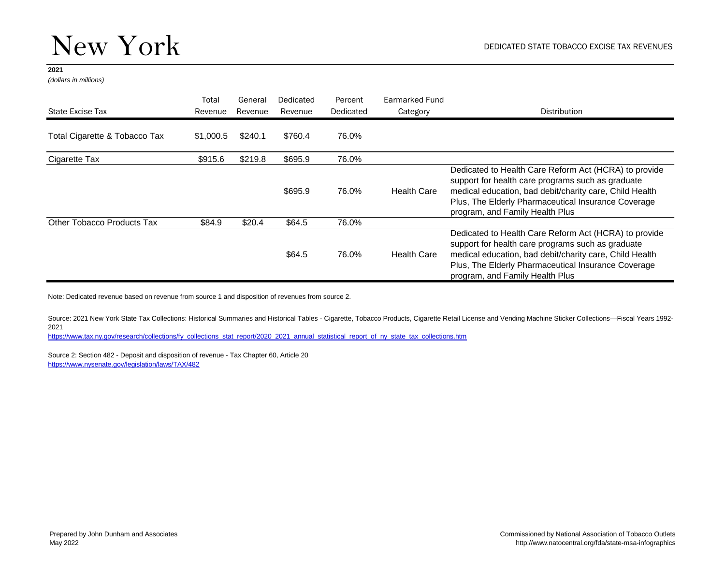*(dollars in millions)*

|                                   | Total     | General | Dedicated | Percent   | Earmarked Fund     |                                                                                                                                                                                                                                                                 |
|-----------------------------------|-----------|---------|-----------|-----------|--------------------|-----------------------------------------------------------------------------------------------------------------------------------------------------------------------------------------------------------------------------------------------------------------|
| State Excise Tax                  | Revenue   | Revenue | Revenue   | Dedicated | Category           | Distribution                                                                                                                                                                                                                                                    |
| Total Cigarette & Tobacco Tax     | \$1,000.5 | \$240.1 | \$760.4   | 76.0%     |                    |                                                                                                                                                                                                                                                                 |
| Cigarette Tax                     | \$915.6   | \$219.8 | \$695.9   | 76.0%     |                    |                                                                                                                                                                                                                                                                 |
|                                   |           |         | \$695.9   | 76.0%     | <b>Health Care</b> | Dedicated to Health Care Reform Act (HCRA) to provide<br>support for health care programs such as graduate<br>medical education, bad debit/charity care, Child Health<br>Plus, The Elderly Pharmaceutical Insurance Coverage<br>program, and Family Health Plus |
| <b>Other Tobacco Products Tax</b> | \$84.9    | \$20.4  | \$64.5    | 76.0%     |                    |                                                                                                                                                                                                                                                                 |
|                                   |           |         | \$64.5    | 76.0%     | <b>Health Care</b> | Dedicated to Health Care Reform Act (HCRA) to provide<br>support for health care programs such as graduate<br>medical education, bad debit/charity care, Child Health<br>Plus, The Elderly Pharmaceutical Insurance Coverage<br>program, and Family Health Plus |

Note: Dedicated revenue based on revenue from source 1 and disposition of revenues from source 2.

Source: 2021 New York State Tax Collections: Historical Summaries and Historical Tables - Cigarette, Tobacco Products, Cigarette Retail License and Vending Machine Sticker Collections—Fiscal Years 1992- 2021

[https://www.tax.ny.gov/research/collections/fy\\_collections\\_stat\\_report/2020\\_2021\\_annual\\_statistical\\_report\\_of\\_ny\\_state\\_tax\\_collections.htm](https://www.tax.ny.gov/research/collections/fy_collections_stat_report/2020_2021_annual_statistical_report_of_ny_state_tax_collections.htm)

Source 2: Section 482 - Deposit and disposition of revenue - Tax Chapter 60, Article 20 <https://www.nysenate.gov/legislation/laws/TAX/482>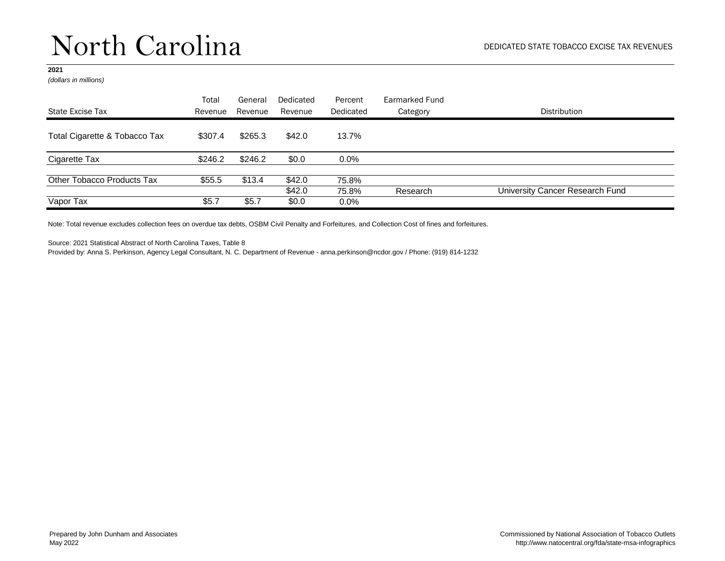*(dollars in millions)*

|                               | Total   | General | Dedicated       | Percent          | Earmarked Fund |                                 |
|-------------------------------|---------|---------|-----------------|------------------|----------------|---------------------------------|
| State Excise Tax              | Revenue | Revenue | Revenue         | Dedicated        | Category       | <b>Distribution</b>             |
| Total Cigarette & Tobacco Tax | \$307.4 | \$265.3 | \$42.0          | 13.7%            |                |                                 |
| Cigarette Tax                 | \$246.2 | \$246.2 | \$0.0           | 0.0%             |                |                                 |
| Other Tobacco Products Tax    | \$55.5  | \$13.4  | \$42.0          | 75.8%            |                |                                 |
| Vapor Tax                     | \$5.7   | \$5.7   | \$42.0<br>\$0.0 | 75.8%<br>$0.0\%$ | Research       | University Cancer Research Fund |

Note: Total revenue excludes collection fees on overdue tax debts, OSBM Civil Penalty and Forfeitures, and Collection Cost of fines and forfeitures.

Source: 2021 Statistical Abstract of North Carolina Taxes, Table 8

Provided by: Anna S. Perkinson, Agency Legal Consultant, N. C. Department of Revenue - anna.perkinson@ncdor.gov / Phone: (919) 814-1232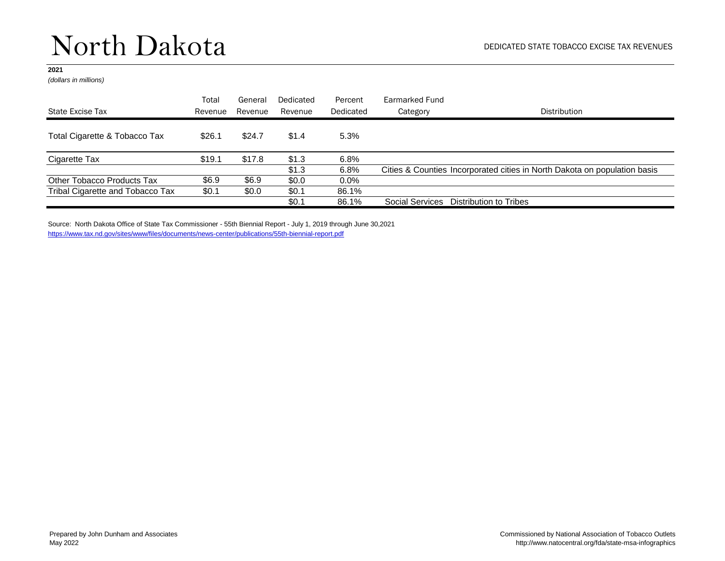### North Dakota

### **2021**

*(dollars in millions)*

|                                  | Total   | General | Dedicated | Percent   | Earmarked Fund  |                                                                           |
|----------------------------------|---------|---------|-----------|-----------|-----------------|---------------------------------------------------------------------------|
| State Excise Tax                 | Revenue | Revenue | Revenue   | Dedicated | Category        | Distribution                                                              |
| Total Cigarette & Tobacco Tax    | \$26.1  | \$24.7  | \$1.4     | 5.3%      |                 |                                                                           |
| Cigarette Tax                    | \$19.1  | \$17.8  | \$1.3     | 6.8%      |                 |                                                                           |
|                                  |         |         | \$1.3     | 6.8%      |                 | Cities & Counties Incorporated cities in North Dakota on population basis |
| Other Tobacco Products Tax       | \$6.9   | \$6.9   | \$0.0     | $0.0\%$   |                 |                                                                           |
| Tribal Cigarette and Tobacco Tax | \$0.1   | \$0.0   | \$0.1     | 86.1%     |                 |                                                                           |
|                                  |         |         | \$0.1     | 86.1%     | Social Services | Distribution to Tribes                                                    |

Source: North Dakota Office of State Tax Commissioner - 55th Biennial Report - July 1, 2019 through June 30,2021 <https://www.tax.nd.gov/sites/www/files/documents/news-center/publications/55th-biennial-report.pdf>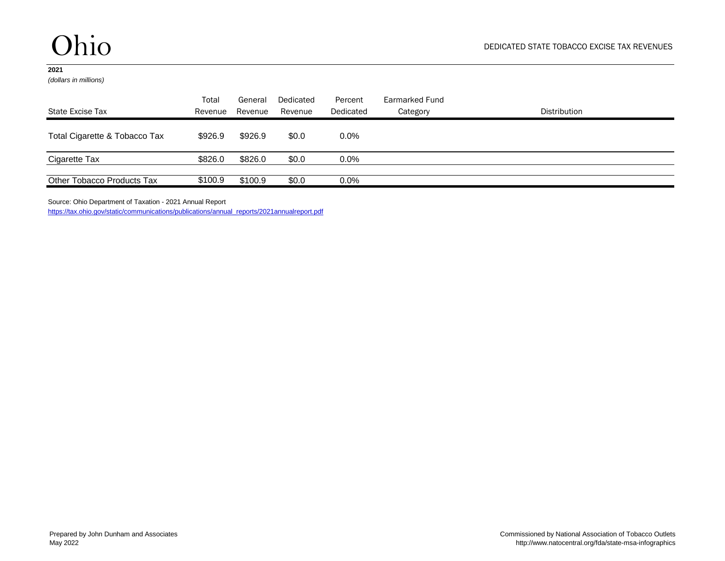*(dollars in millions)*

| State Excise Tax              | Total<br>Revenue | General<br>Revenue | Dedicated<br>Revenue | Percent<br>Dedicated | Earmarked Fund<br>Category | Distribution |
|-------------------------------|------------------|--------------------|----------------------|----------------------|----------------------------|--------------|
| Total Cigarette & Tobacco Tax | \$926.9          | \$926.9            | \$0.0                | $0.0\%$              |                            |              |
| Cigarette Tax                 | \$826.0          | \$826.0            | \$0.0                | $0.0\%$              |                            |              |
| Other Tobacco Products Tax    | \$100.9          | \$100.9            | \$0.0                | $0.0\%$              |                            |              |

Source: Ohio Department of Taxation - 2021 Annual Report

[https://tax.ohio.gov/static/communications/publications/annual\\_reports/2021annualreport.pdf](https://tax.ohio.gov/static/communications/publications/annual_reports/2021annualreport.pdf)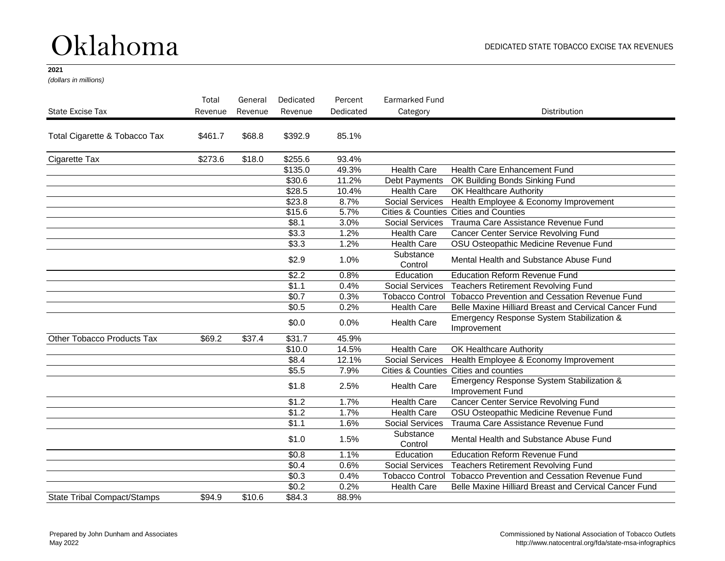## Oklahoma

### **2021**

*(dollars in millions)*

|                                    | Total   | General | Dedicated         | Percent   | Earmarked Fund         |                                                               |
|------------------------------------|---------|---------|-------------------|-----------|------------------------|---------------------------------------------------------------|
| State Excise Tax                   | Revenue | Revenue | Revenue           | Dedicated | Category               | <b>Distribution</b>                                           |
| Total Cigarette & Tobacco Tax      | \$461.7 | \$68.8  | \$392.9           | 85.1%     |                        |                                                               |
| Cigarette Tax                      | \$273.6 | \$18.0  | \$255.6           | 93.4%     |                        |                                                               |
|                                    |         |         | \$135.0           | 49.3%     | <b>Health Care</b>     | Health Care Enhancement Fund                                  |
|                                    |         |         | \$30.6            | 11.2%     | Debt Payments          | OK Building Bonds Sinking Fund                                |
|                                    |         |         | \$28.5            | 10.4%     | <b>Health Care</b>     | OK Healthcare Authority                                       |
|                                    |         |         | \$23.8            | 8.7%      | <b>Social Services</b> | Health Employee & Economy Improvement                         |
|                                    |         |         | \$15.6            | 5.7%      |                        | Cities & Counties Cities and Counties                         |
|                                    |         |         | \$8.1             | 3.0%      | Social Services        | Trauma Care Assistance Revenue Fund                           |
|                                    |         |         | \$3.3             | 1.2%      | <b>Health Care</b>     | Cancer Center Service Revolving Fund                          |
|                                    |         |         | \$3.3             | 1.2%      | <b>Health Care</b>     | OSU Osteopathic Medicine Revenue Fund                         |
|                                    |         |         | \$2.9             | 1.0%      | Substance<br>Control   | Mental Health and Substance Abuse Fund                        |
|                                    |         |         | \$2.2             | 0.8%      | Education              | <b>Education Reform Revenue Fund</b>                          |
|                                    |         |         | $\overline{$1.1}$ | 0.4%      | <b>Social Services</b> | <b>Teachers Retirement Revolving Fund</b>                     |
|                                    |         |         | \$0.7             | 0.3%      | <b>Tobacco Control</b> | <b>Tobacco Prevention and Cessation Revenue Fund</b>          |
|                                    |         |         | \$0.5             | 0.2%      | <b>Health Care</b>     | Belle Maxine Hilliard Breast and Cervical Cancer Fund         |
|                                    |         |         | \$0.0             | 0.0%      | <b>Health Care</b>     | Emergency Response System Stabilization &<br>Improvement      |
| Other Tobacco Products Tax         | \$69.2  | \$37.4  | \$31.7            | 45.9%     |                        |                                                               |
|                                    |         |         | \$10.0            | 14.5%     | <b>Health Care</b>     | OK Healthcare Authority                                       |
|                                    |         |         | \$8.4             | 12.1%     | <b>Social Services</b> | Health Employee & Economy Improvement                         |
|                                    |         |         | \$5.5             | 7.9%      |                        | Cities & Counties Cities and counties                         |
|                                    |         |         | \$1.8             | 2.5%      | <b>Health Care</b>     | Emergency Response System Stabilization &<br>Improvement Fund |
|                                    |         |         | $\sqrt{$1.2}$     | 1.7%      | Health Care            | Cancer Center Service Revolving Fund                          |
|                                    |         |         | $\sqrt{$1.2}$     | 1.7%      | <b>Health Care</b>     | OSU Osteopathic Medicine Revenue Fund                         |
|                                    |         |         | \$1.1             | 1.6%      | <b>Social Services</b> | Trauma Care Assistance Revenue Fund                           |
|                                    |         |         | \$1.0             | 1.5%      | Substance<br>Control   | Mental Health and Substance Abuse Fund                        |
|                                    |         |         | \$0.8             | 1.1%      | Education              | <b>Education Reform Revenue Fund</b>                          |
|                                    |         |         | \$0.4             | 0.6%      | <b>Social Services</b> | <b>Teachers Retirement Revolving Fund</b>                     |
|                                    |         |         | $\sqrt{$0.3}$     | 0.4%      | <b>Tobacco Control</b> | <b>Tobacco Prevention and Cessation Revenue Fund</b>          |
|                                    |         |         | $\sqrt{$0.2}$     | 0.2%      | <b>Health Care</b>     | Belle Maxine Hilliard Breast and Cervical Cancer Fund         |
| <b>State Tribal Compact/Stamps</b> | \$94.9  | \$10.6  | \$84.3            | 88.9%     |                        |                                                               |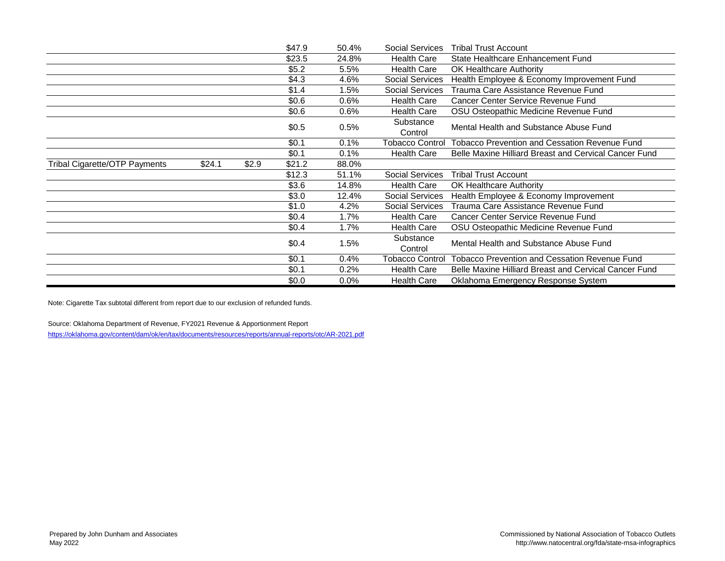|                                      |        |       | \$47.9 | 50.4%   | <b>Social Services</b> | <b>Tribal Trust Account</b>                           |
|--------------------------------------|--------|-------|--------|---------|------------------------|-------------------------------------------------------|
|                                      |        |       | \$23.5 | 24.8%   | <b>Health Care</b>     | State Healthcare Enhancement Fund                     |
|                                      |        |       | \$5.2  | $5.5\%$ | <b>Health Care</b>     | <b>OK Healthcare Authority</b>                        |
|                                      |        |       | \$4.3  | 4.6%    | Social Services        | Health Employee & Economy Improvement Fund            |
|                                      |        |       | \$1.4  | 1.5%    | <b>Social Services</b> | Trauma Care Assistance Revenue Fund                   |
|                                      |        |       | \$0.6  | $0.6\%$ | <b>Health Care</b>     | Cancer Center Service Revenue Fund                    |
|                                      |        |       | \$0.6  | 0.6%    | <b>Health Care</b>     | OSU Osteopathic Medicine Revenue Fund                 |
|                                      |        |       | \$0.5  | 0.5%    | Substance<br>Control   | Mental Health and Substance Abuse Fund                |
|                                      |        |       | \$0.1  | 0.1%    | <b>Tobacco Control</b> | Tobacco Prevention and Cessation Revenue Fund         |
|                                      |        |       | \$0.1  | 0.1%    | <b>Health Care</b>     | Belle Maxine Hilliard Breast and Cervical Cancer Fund |
| <b>Tribal Cigarette/OTP Payments</b> | \$24.1 | \$2.9 | \$21.2 | 88.0%   |                        |                                                       |
|                                      |        |       | \$12.3 | 51.1%   | <b>Social Services</b> | <b>Tribal Trust Account</b>                           |
|                                      |        |       | \$3.6  | 14.8%   | <b>Health Care</b>     | <b>OK Healthcare Authority</b>                        |
|                                      |        |       | \$3.0  | 12.4%   | <b>Social Services</b> | Health Employee & Economy Improvement                 |
|                                      |        |       | \$1.0  | 4.2%    | <b>Social Services</b> | Trauma Care Assistance Revenue Fund                   |
|                                      |        |       | \$0.4  | 1.7%    | <b>Health Care</b>     | Cancer Center Service Revenue Fund                    |
|                                      |        |       | \$0.4  | 1.7%    | <b>Health Care</b>     | OSU Osteopathic Medicine Revenue Fund                 |
|                                      |        |       | \$0.4  | 1.5%    | Substance<br>Control   | Mental Health and Substance Abuse Fund                |
|                                      |        |       | \$0.1  | 0.4%    | <b>Tobacco Control</b> | Tobacco Prevention and Cessation Revenue Fund         |
|                                      |        |       | \$0.1  | 0.2%    | <b>Health Care</b>     | Belle Maxine Hilliard Breast and Cervical Cancer Fund |
|                                      |        |       | \$0.0  | $0.0\%$ | <b>Health Care</b>     | Oklahoma Emergency Response System                    |

Note: Cigarette Tax subtotal different from report due to our exclusion of refunded funds.

Source: Oklahoma Department of Revenue, FY2021 Revenue & Apportionment Report <https://oklahoma.gov/content/dam/ok/en/tax/documents/resources/reports/annual-reports/otc/AR-2021.pdf>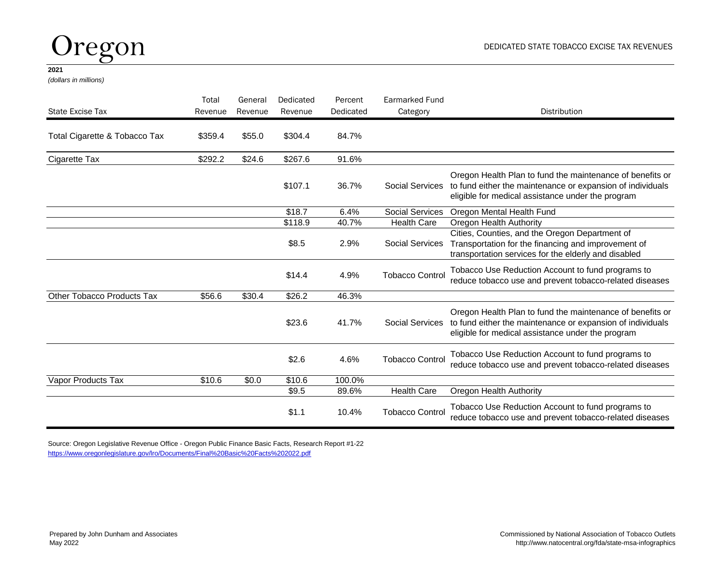## Oregon

#### **2021**

*(dollars in millions)*

| State Excise Tax              | Total<br>Revenue | General<br>Revenue | Dedicated<br>Revenue | Percent<br>Dedicated | <b>Earmarked Fund</b><br>Category | <b>Distribution</b>                                                                                                                                                          |
|-------------------------------|------------------|--------------------|----------------------|----------------------|-----------------------------------|------------------------------------------------------------------------------------------------------------------------------------------------------------------------------|
| Total Cigarette & Tobacco Tax | \$359.4          | \$55.0             | \$304.4              | 84.7%                |                                   |                                                                                                                                                                              |
| Cigarette Tax                 | \$292.2          | \$24.6             | \$267.6              | 91.6%                |                                   |                                                                                                                                                                              |
|                               |                  |                    | \$107.1              | 36.7%                | <b>Social Services</b>            | Oregon Health Plan to fund the maintenance of benefits or<br>to fund either the maintenance or expansion of individuals<br>eligible for medical assistance under the program |
|                               |                  |                    | \$18.7               | 6.4%                 | <b>Social Services</b>            | Oregon Mental Health Fund                                                                                                                                                    |
|                               |                  |                    | \$118.9              | 40.7%                | <b>Health Care</b>                | Oregon Health Authority                                                                                                                                                      |
|                               |                  |                    | \$8.5                | 2.9%                 | <b>Social Services</b>            | Cities, Counties, and the Oregon Department of<br>Transportation for the financing and improvement of<br>transportation services for the elderly and disabled                |
|                               |                  |                    | \$14.4               | 4.9%                 | <b>Tobacco Control</b>            | Tobacco Use Reduction Account to fund programs to<br>reduce tobacco use and prevent tobacco-related diseases                                                                 |
| Other Tobacco Products Tax    | \$56.6           | \$30.4             | \$26.2               | 46.3%                |                                   |                                                                                                                                                                              |
|                               |                  |                    | \$23.6               | 41.7%                | <b>Social Services</b>            | Oregon Health Plan to fund the maintenance of benefits or<br>to fund either the maintenance or expansion of individuals<br>eligible for medical assistance under the program |
|                               |                  |                    | \$2.6                | 4.6%                 | <b>Tobacco Control</b>            | Tobacco Use Reduction Account to fund programs to<br>reduce tobacco use and prevent tobacco-related diseases                                                                 |
| Vapor Products Tax            | \$10.6           | \$0.0              | \$10.6               | 100.0%               |                                   |                                                                                                                                                                              |
|                               |                  |                    | \$9.5                | 89.6%                | <b>Health Care</b>                | Oregon Health Authority                                                                                                                                                      |
|                               |                  |                    | \$1.1                | 10.4%                | <b>Tobacco Control</b>            | Tobacco Use Reduction Account to fund programs to<br>reduce tobacco use and prevent tobacco-related diseases                                                                 |

Source: Oregon Legislative Revenue Office - Oregon Public Finance Basic Facts, Research Report #1-22 [https://www.oregonlegislature.gov/lro/Documents/Final%20Basic%20Facts%202022.pdf](https://www.oregonlegislature.gov/lro/Documents/Final Basic Facts 2022.pdf)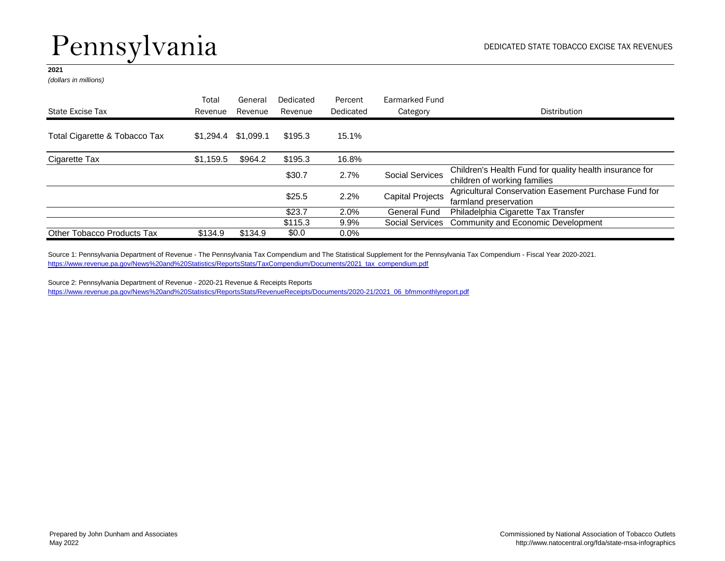# Pennsylvania

### **2021**

*(dollars in millions)*

|                               | Total               | General | Dedicated | Percent   | Earmarked Fund          |                                                                                         |
|-------------------------------|---------------------|---------|-----------|-----------|-------------------------|-----------------------------------------------------------------------------------------|
| State Excise Tax              | Revenue             | Revenue | Revenue   | Dedicated | Category                | Distribution                                                                            |
| Total Cigarette & Tobacco Tax | \$1,294.4 \$1,099.1 |         | \$195.3   | 15.1%     |                         |                                                                                         |
| Cigarette Tax                 | \$1,159.5           | \$964.2 | \$195.3   | 16.8%     |                         |                                                                                         |
|                               |                     |         | \$30.7    | 2.7%      | <b>Social Services</b>  | Children's Health Fund for quality health insurance for<br>children of working families |
|                               |                     |         | \$25.5    | 2.2%      | <b>Capital Projects</b> | Agricultural Conservation Easement Purchase Fund for<br>farmland preservation           |
|                               |                     |         | \$23.7    | 2.0%      | General Fund            | Philadelphia Cigarette Tax Transfer                                                     |
|                               |                     |         | \$115.3   | $9.9\%$   |                         | Social Services Community and Economic Development                                      |
| Other Tobacco Products Tax    | \$134.9             | \$134.9 | \$0.0     | $0.0\%$   |                         |                                                                                         |

Source 1: Pennsylvania Department of Revenue - The Pennsylvania Tax Compendium and The Statistical Supplement for the Pennsylvania Tax Compendium - Fiscal Year 2020-2021. [https://www.revenue.pa.gov/News%20and%20Statistics/ReportsStats/TaxCompendium/Documents/2021\\_tax\\_compendium.pdf](https://www.revenue.pa.gov/News and Statistics/ReportsStats/TaxCompendium/Documents/2021_tax_compendium.pdf)

Source 2: Pennsylvania Department of Revenue - 2020-21 Revenue & Receipts Reports [https://www.revenue.pa.gov/News%20and%20Statistics/ReportsStats/RevenueReceipts/Documents/2020-21/2021\\_06\\_bfmmonthlyreport.pdf](https://www.revenue.pa.gov/News and Statistics/ReportsStats/RevenueReceipts/Documents/2020-21/2021_06_bfmmonthlyreport.pdf)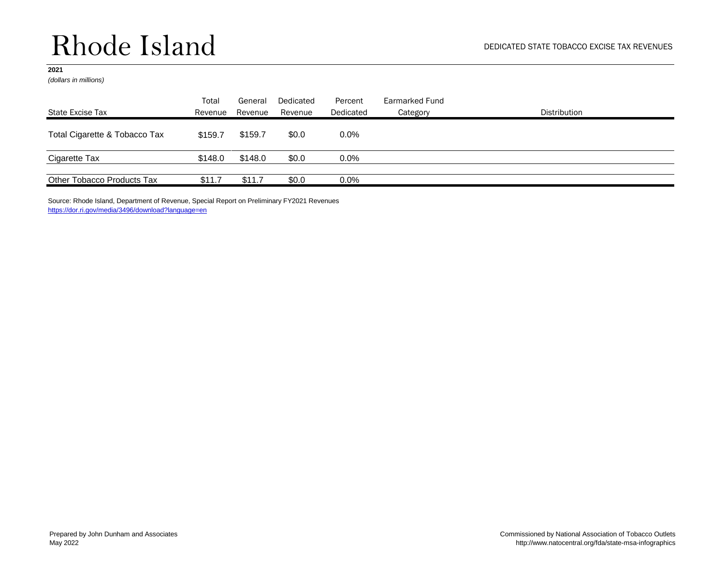## Rhode Island

### **2021**

*(dollars in millions)*

| State Excise Tax              | Total<br>Revenue | General<br>Revenue | Dedicated<br>Revenue | Percent<br>Dedicated | Earmarked Fund<br>Category | <b>Distribution</b> |
|-------------------------------|------------------|--------------------|----------------------|----------------------|----------------------------|---------------------|
| Total Cigarette & Tobacco Tax | \$159.7          | \$159.7            | \$0.0                | $0.0\%$              |                            |                     |
| Cigarette Tax                 | \$148.0          | \$148.0            | \$0.0                | 0.0%                 |                            |                     |
| Other Tobacco Products Tax    | \$11.7           | \$11.7             | \$0.0                | $0.0\%$              |                            |                     |

Source: Rhode Island, Department of Revenue, Special Report on Preliminary FY2021 Revenues <https://dor.ri.gov/media/3496/download?language=en>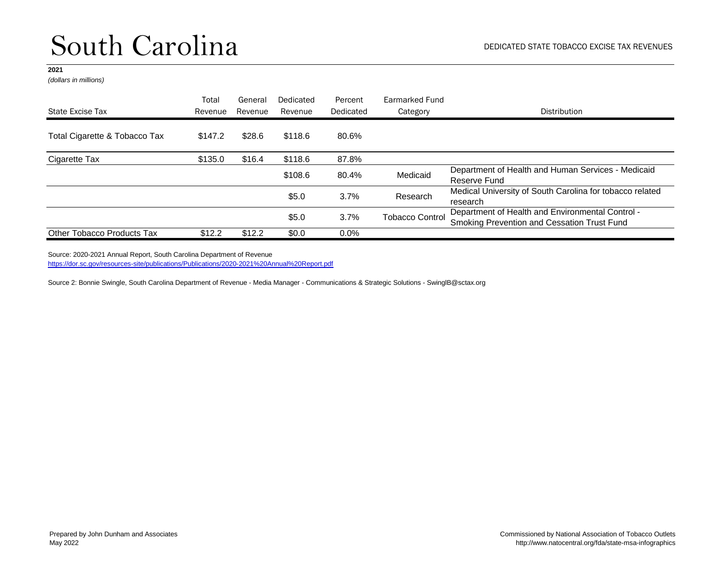*(dollars in millions)*

|                               | Total   | General | Dedicated | Percent   | Earmarked Fund         |                                                                                                 |
|-------------------------------|---------|---------|-----------|-----------|------------------------|-------------------------------------------------------------------------------------------------|
| State Excise Tax              | Revenue | Revenue | Revenue   | Dedicated | Category               | Distribution                                                                                    |
| Total Cigarette & Tobacco Tax | \$147.2 | \$28.6  | \$118.6   | 80.6%     |                        |                                                                                                 |
| Cigarette Tax                 | \$135.0 | \$16.4  | \$118.6   | 87.8%     |                        |                                                                                                 |
|                               |         |         | \$108.6   | 80.4%     | Medicaid               | Department of Health and Human Services - Medicaid<br>Reserve Fund                              |
|                               |         |         | \$5.0     | 3.7%      | Research               | Medical University of South Carolina for tobacco related<br>research                            |
|                               |         |         | \$5.0     | 3.7%      | <b>Tobacco Control</b> | Department of Health and Environmental Control -<br>Smoking Prevention and Cessation Trust Fund |
| Other Tobacco Products Tax    | \$12.2  | \$12.2  | \$0.0     | $0.0\%$   |                        |                                                                                                 |

Source: 2020-2021 Annual Report, South Carolina Department of Revenue

[https://dor.sc.gov/resources-site/publications/Publications/2020-2021%20Annual%20Report.pdf](https://dor.sc.gov/resources-site/publications/Publications/2020-2021 Annual Report.pdf)

Source 2: Bonnie Swingle, South Carolina Department of Revenue - Media Manager - Communications & Strategic Solutions - SwinglB@sctax.org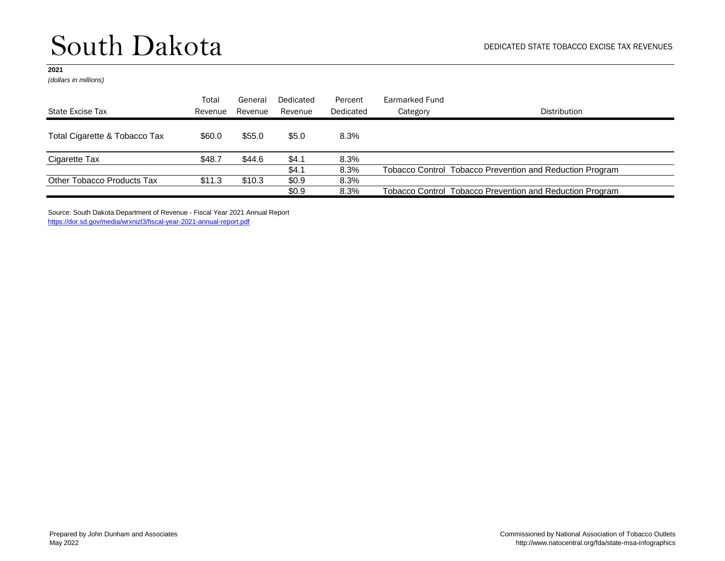### South Dakota

#### **2021**

*(dollars in millions)*

|                               | Total   | General | Dedicated | Percent   | Earmarked Fund |                                                          |
|-------------------------------|---------|---------|-----------|-----------|----------------|----------------------------------------------------------|
| State Excise Tax              | Revenue | Revenue | Revenue   | Dedicated | Category       | <b>Distribution</b>                                      |
| Total Cigarette & Tobacco Tax | \$60.0  | \$55.0  | \$5.0     | 8.3%      |                |                                                          |
| Cigarette Tax                 | \$48.7  | \$44.6  | \$4.1     | 8.3%      |                |                                                          |
|                               |         |         | \$4.1     | 8.3%      |                | Tobacco Control Tobacco Prevention and Reduction Program |
| Other Tobacco Products Tax    | \$11.3  | \$10.3  | \$0.9     | 8.3%      |                |                                                          |
|                               |         |         | \$0.9     | 8.3%      |                | Tobacco Control Tobacco Prevention and Reduction Program |

Source: South Dakota Department of Revenue - Fiscal Year 2021 Annual Report <https://dor.sd.gov/media/wrxnizl3/fiscal-year-2021-annual-report.pdf>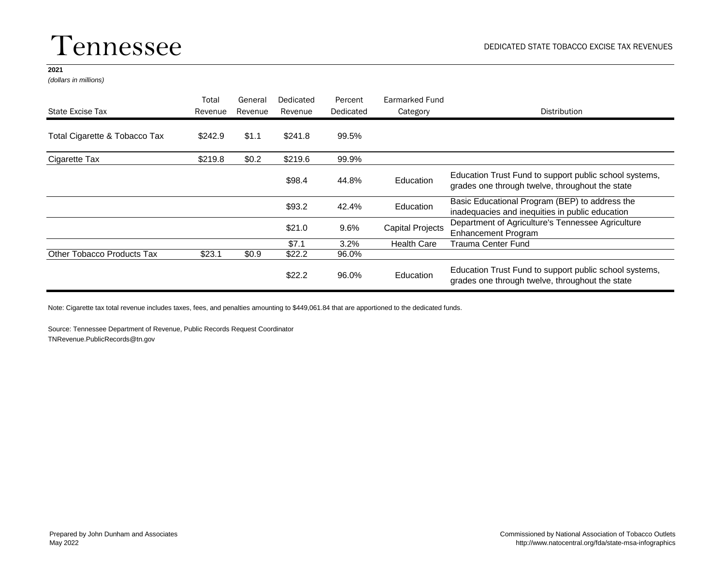### Tennessee

#### **2021**

*(dollars in millions)*

| State Excise Tax              | Total<br>Revenue | General<br>Revenue | Dedicated<br>Revenue | Percent<br>Dedicated | Earmarked Fund<br>Category | Distribution                                                                                              |
|-------------------------------|------------------|--------------------|----------------------|----------------------|----------------------------|-----------------------------------------------------------------------------------------------------------|
|                               |                  |                    |                      |                      |                            |                                                                                                           |
| Total Cigarette & Tobacco Tax | \$242.9          | \$1.1              | \$241.8              | 99.5%                |                            |                                                                                                           |
| Cigarette Tax                 | \$219.8          | \$0.2              | \$219.6              | 99.9%                |                            |                                                                                                           |
|                               |                  |                    | \$98.4               | 44.8%                | <b>Education</b>           | Education Trust Fund to support public school systems,<br>grades one through twelve, throughout the state |
|                               |                  |                    | \$93.2               | 42.4%                | Education                  | Basic Educational Program (BEP) to address the<br>inadequacies and inequities in public education         |
|                               |                  |                    | \$21.0               | 9.6%                 | <b>Capital Projects</b>    | Department of Agriculture's Tennessee Agriculture<br><b>Enhancement Program</b>                           |
|                               |                  |                    | \$7.1                | $3.2\%$              | <b>Health Care</b>         | Trauma Center Fund                                                                                        |
| Other Tobacco Products Tax    | \$23.1           | \$0.9              | \$22.2               | 96.0%                |                            |                                                                                                           |
|                               |                  |                    | \$22.2               | 96.0%                | Education                  | Education Trust Fund to support public school systems,<br>grades one through twelve, throughout the state |

Note: Cigarette tax total revenue includes taxes, fees, and penalties amounting to \$449,061.84 that are apportioned to the dedicated funds.

Source: Tennessee Department of Revenue, Public Records Request Coordinator TNRevenue.PublicRecords@tn.gov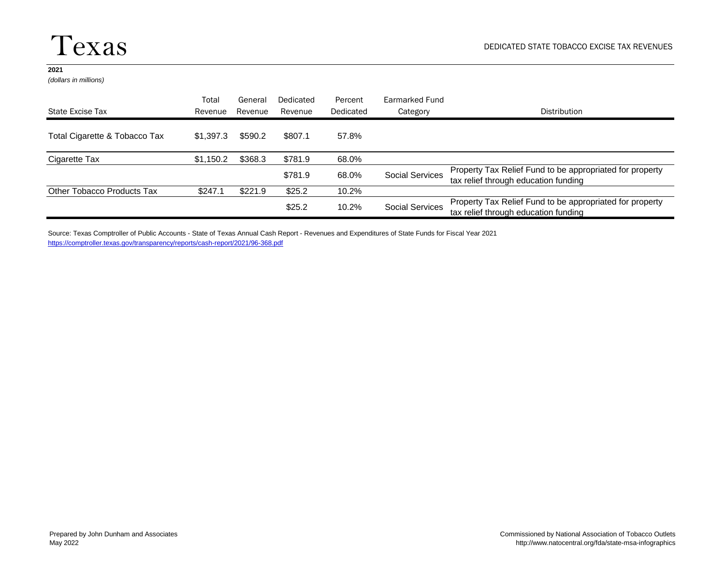*(dollars in millions)*

|                               | Total     | General | Dedicated | Percent   | Earmarked Fund         |                                                                                                  |
|-------------------------------|-----------|---------|-----------|-----------|------------------------|--------------------------------------------------------------------------------------------------|
| State Excise Tax              | Revenue   | Revenue | Revenue   | Dedicated | Category               | Distribution                                                                                     |
| Total Cigarette & Tobacco Tax | \$1.397.3 | \$590.2 | \$807.1   | 57.8%     |                        |                                                                                                  |
| Cigarette Tax                 | \$1,150.2 | \$368.3 | \$781.9   | 68.0%     |                        |                                                                                                  |
|                               |           |         | \$781.9   | 68.0%     | <b>Social Services</b> | Property Tax Relief Fund to be appropriated for property<br>tax relief through education funding |
| Other Tobacco Products Tax    | \$247.1   | \$221.9 | \$25.2    | 10.2%     |                        |                                                                                                  |
|                               |           |         | \$25.2    | 10.2%     | <b>Social Services</b> | Property Tax Relief Fund to be appropriated for property<br>tax relief through education funding |

Source: Texas Comptroller of Public Accounts - State of Texas Annual Cash Report - Revenues and Expenditures of State Funds for Fiscal Year 2021 <https://comptroller.texas.gov/transparency/reports/cash-report/2021/96-368.pdf>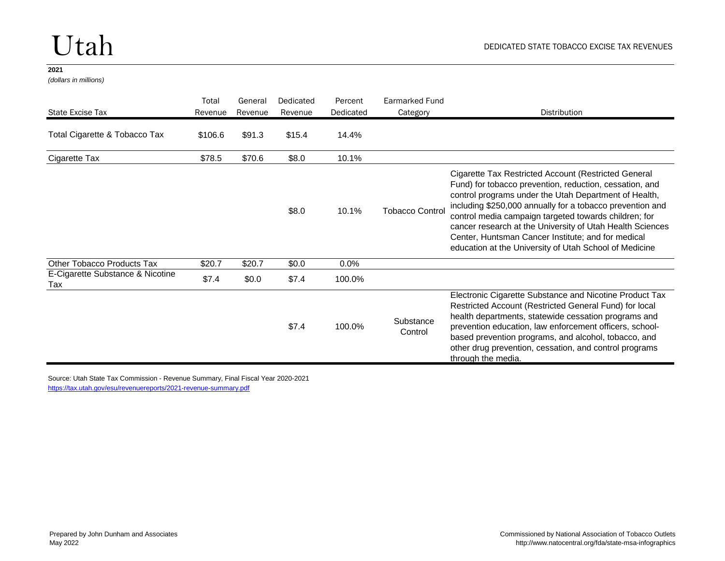*(dollars in millions)*

| State Excise Tax                        | Total<br>Revenue | General<br>Revenue | Dedicated<br>Revenue | Percent<br>Dedicated | <b>Earmarked Fund</b><br>Category | Distribution                                                                                                                                                                                                                                                                                                                                                                                                                                                                |
|-----------------------------------------|------------------|--------------------|----------------------|----------------------|-----------------------------------|-----------------------------------------------------------------------------------------------------------------------------------------------------------------------------------------------------------------------------------------------------------------------------------------------------------------------------------------------------------------------------------------------------------------------------------------------------------------------------|
| Total Cigarette & Tobacco Tax           | \$106.6          | \$91.3             | \$15.4               | 14.4%                |                                   |                                                                                                                                                                                                                                                                                                                                                                                                                                                                             |
| Cigarette Tax                           | \$78.5           | \$70.6             | \$8.0                | 10.1%                |                                   |                                                                                                                                                                                                                                                                                                                                                                                                                                                                             |
|                                         |                  |                    | \$8.0                | 10.1%                | <b>Tobacco Control</b>            | Cigarette Tax Restricted Account (Restricted General<br>Fund) for tobacco prevention, reduction, cessation, and<br>control programs under the Utah Department of Health,<br>including \$250,000 annually for a tobacco prevention and<br>control media campaign targeted towards children; for<br>cancer research at the University of Utah Health Sciences<br>Center, Huntsman Cancer Institute; and for medical<br>education at the University of Utah School of Medicine |
| Other Tobacco Products Tax              | \$20.7           | \$20.7             | \$0.0                | 0.0%                 |                                   |                                                                                                                                                                                                                                                                                                                                                                                                                                                                             |
| E-Cigarette Substance & Nicotine<br>Tax | \$7.4            | \$0.0              | \$7.4                | 100.0%               |                                   |                                                                                                                                                                                                                                                                                                                                                                                                                                                                             |
|                                         |                  |                    | \$7.4                | 100.0%               | Substance<br>Control              | Electronic Cigarette Substance and Nicotine Product Tax<br>Restricted Account (Restricted General Fund) for local<br>health departments, statewide cessation programs and<br>prevention education, law enforcement officers, school-<br>based prevention programs, and alcohol, tobacco, and<br>other drug prevention, cessation, and control programs<br>through the media.                                                                                                |

Source: Utah State Tax Commission - Revenue Summary, Final Fiscal Year 2020-2021 <https://tax.utah.gov/esu/revenuereports/2021-revenue-summary.pdf>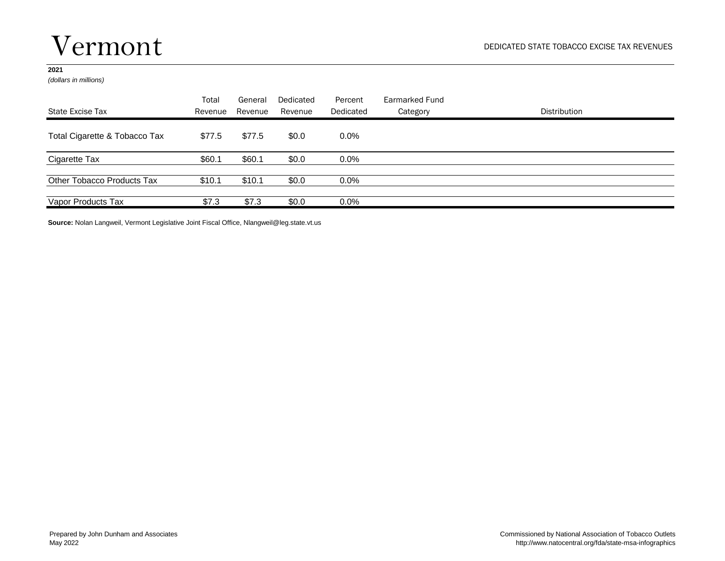### Vermont

### **2021**

*(dollars in millions)*

| State Excise Tax              | Total<br>Revenue | General<br>Revenue | Dedicated<br>Revenue | Percent<br>Dedicated | Earmarked Fund<br>Category | Distribution |
|-------------------------------|------------------|--------------------|----------------------|----------------------|----------------------------|--------------|
| Total Cigarette & Tobacco Tax | \$77.5           | \$77.5             | \$0.0                | $0.0\%$              |                            |              |
| Cigarette Tax                 | \$60.1           | \$60.1             | \$0.0                | $0.0\%$              |                            |              |
| Other Tobacco Products Tax    | \$10.1           | \$10.1             | \$0.0                | $0.0\%$              |                            |              |
| Vapor Products Tax            | \$7.3            | \$7.3              | \$0.0                | $0.0\%$              |                            |              |

**Source:** Nolan Langweil, Vermont Legislative Joint Fiscal Office, Nlangweil@leg.state.vt.us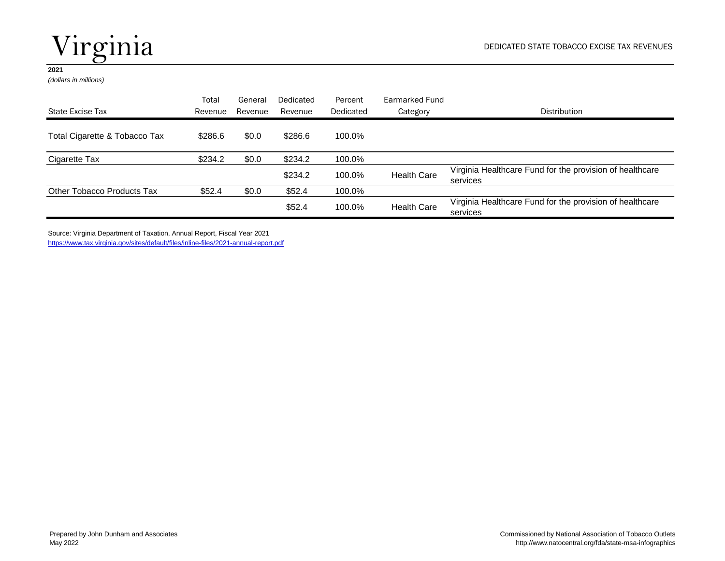# Virginia

### **2021**

*(dollars in millions)*

|                               | Total   | General | Dedicated | Percent   | Earmarked Fund     |                                                                      |
|-------------------------------|---------|---------|-----------|-----------|--------------------|----------------------------------------------------------------------|
| State Excise Tax              | Revenue | Revenue | Revenue   | Dedicated | Category           | Distribution                                                         |
| Total Cigarette & Tobacco Tax | \$286.6 | \$0.0   | \$286.6   | 100.0%    |                    |                                                                      |
| Cigarette Tax                 | \$234.2 | \$0.0   | \$234.2   | 100.0%    |                    |                                                                      |
|                               |         |         | \$234.2   | 100.0%    | <b>Health Care</b> | Virginia Healthcare Fund for the provision of healthcare<br>services |
| Other Tobacco Products Tax    | \$52.4  | \$0.0   | \$52.4    | 100.0%    |                    |                                                                      |
|                               |         |         | \$52.4    | 100.0%    | <b>Health Care</b> | Virginia Healthcare Fund for the provision of healthcare<br>services |

Source: Virginia Department of Taxation, Annual Report, Fiscal Year 2021 <https://www.tax.virginia.gov/sites/default/files/inline-files/2021-annual-report.pdf>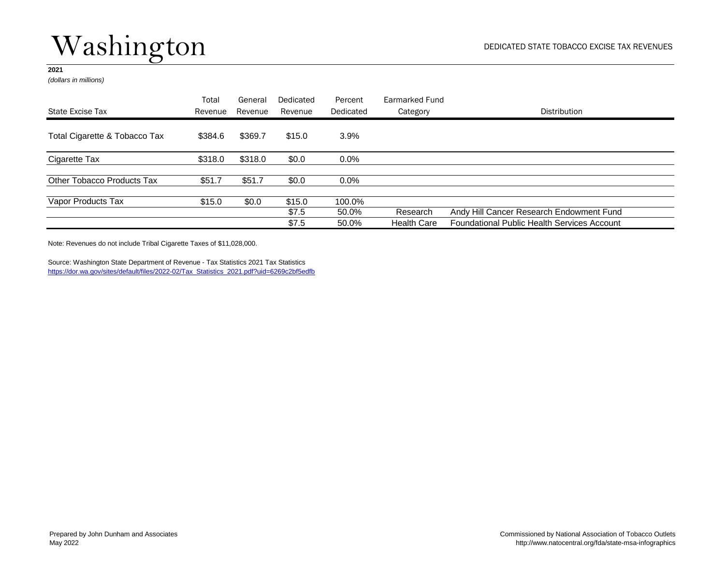# Washington

### **2021**

*(dollars in millions)*

|                               | Total   | General | Dedicated       | Percent         | Earmarked Fund     |                                                    |
|-------------------------------|---------|---------|-----------------|-----------------|--------------------|----------------------------------------------------|
| State Excise Tax              | Revenue | Revenue | Revenue         | Dedicated       | Category           | Distribution                                       |
| Total Cigarette & Tobacco Tax | \$384.6 | \$369.7 | \$15.0          | 3.9%            |                    |                                                    |
| Cigarette Tax                 | \$318.0 | \$318.0 | \$0.0           | $0.0\%$         |                    |                                                    |
| Other Tobacco Products Tax    | \$51.7  | \$51.7  | \$0.0           | $0.0\%$         |                    |                                                    |
| Vapor Products Tax            | \$15.0  | \$0.0   | \$15.0<br>\$7.5 | 100.0%<br>50.0% | Research           | Andy Hill Cancer Research Endowment Fund           |
|                               |         |         | \$7.5           | 50.0%           | <b>Health Care</b> | <b>Foundational Public Health Services Account</b> |

Note: Revenues do not include Tribal Cigarette Taxes of \$11,028,000.

Source: Washington State Department of Revenue - Tax Statistics 2021 Tax Statistics [https://dor.wa.gov/sites/default/files/2022-02/Tax\\_Statistics\\_2021.pdf?uid=6269c2bf5edfb](https://dor.wa.gov/sites/default/files/2022-02/Tax_Statistics_2021.pdf?uid=6269c2bf5edfb)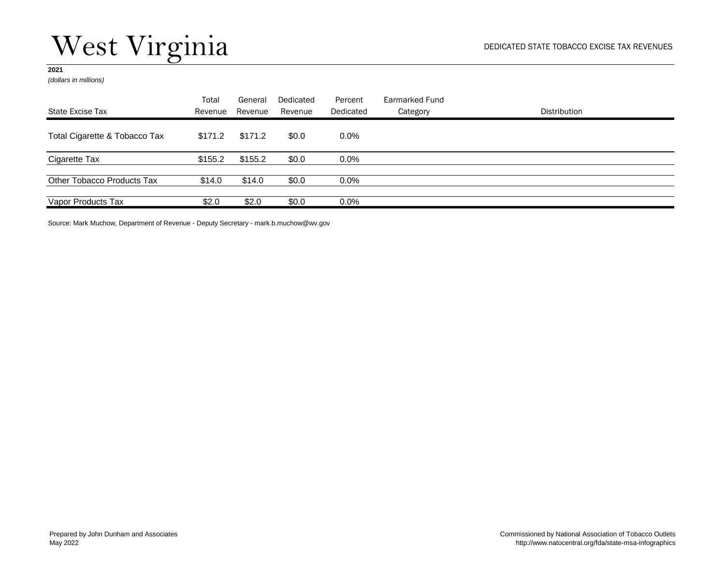# West Virginia

### **2021**

*(dollars in millions)*

| State Excise Tax              | Total<br>Revenue | General<br>Revenue | Dedicated<br>Revenue | Percent<br>Dedicated | Earmarked Fund<br>Category | Distribution |
|-------------------------------|------------------|--------------------|----------------------|----------------------|----------------------------|--------------|
| Total Cigarette & Tobacco Tax | \$171.2          | \$171.2            | \$0.0                | $0.0\%$              |                            |              |
| Cigarette Tax                 | \$155.2          | \$155.2            | \$0.0                | $0.0\%$              |                            |              |
| Other Tobacco Products Tax    | \$14.0           | \$14.0             | \$0.0                | $0.0\%$              |                            |              |
| Vapor Products Tax            | \$2.0            | \$2.0              | \$0.0\$              | $0.0\%$              |                            |              |

Source: Mark Muchow, Department of Revenue - Deputy Secretary - mark.b.muchow@wv.gov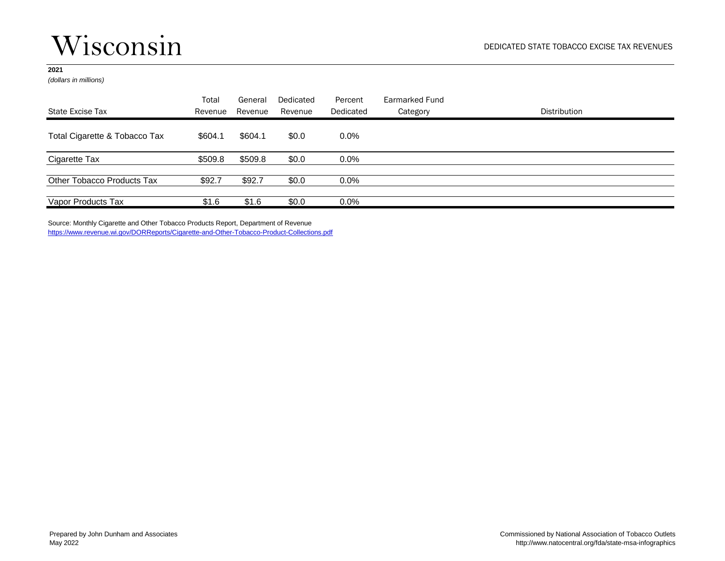### Wisconsin

### **2021**

*(dollars in millions)*

| State Excise Tax              | Total<br>Revenue | General<br>Revenue | Dedicated<br>Revenue | Percent<br>Dedicated | Earmarked Fund<br>Category | Distribution |
|-------------------------------|------------------|--------------------|----------------------|----------------------|----------------------------|--------------|
| Total Cigarette & Tobacco Tax | \$604.1          | \$604.1            | \$0.0                | $0.0\%$              |                            |              |
| Cigarette Tax                 | \$509.8          | \$509.8            | \$0.0                | $0.0\%$              |                            |              |
| Other Tobacco Products Tax    | \$92.7           | \$92.7             | \$0.0                | $0.0\%$              |                            |              |
| Vapor Products Tax            | \$1.6            | \$1.6              | \$0.0                | $0.0\%$              |                            |              |

Source: Monthly Cigarette and Other Tobacco Products Report, Department of Revenue <https://www.revenue.wi.gov/DORReports/Cigarette-and-Other-Tobacco-Product-Collections.pdf>